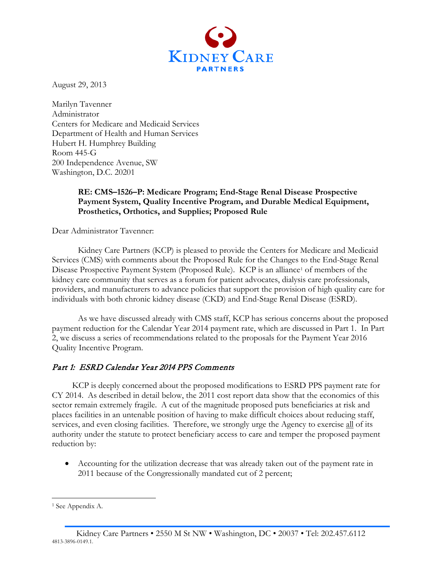

August 29, 2013

Marilyn Tavenner Administrator Centers for Medicare and Medicaid Services Department of Health and Human Services Hubert H. Humphrey Building Room 445-G 200 Independence Avenue, SW Washington, D.C. 20201

# **RE: CMS–1526–P: Medicare Program; End-Stage Renal Disease Prospective Payment System, Quality Incentive Program, and Durable Medical Equipment, Prosthetics, Orthotics, and Supplies; Proposed Rule**

Dear Administrator Tavenner:

Kidney Care Partners (KCP) is pleased to provide the Centers for Medicare and Medicaid Services (CMS) with comments about the Proposed Rule for the Changes to the End-Stage Renal Disease Prospective Payment System (Proposed Rule). KCP is an alliance<sup>[1](#page-0-0)</sup> of members of the kidney care community that serves as a forum for patient advocates, dialysis care professionals, providers, and manufacturers to advance policies that support the provision of high quality care for individuals with both chronic kidney disease (CKD) and End-Stage Renal Disease (ESRD).

As we have discussed already with CMS staff, KCP has serious concerns about the proposed payment reduction for the Calendar Year 2014 payment rate, which are discussed in Part 1. In Part 2, we discuss a series of recommendations related to the proposals for the Payment Year 2016 Quality Incentive Program.

# Part 1: ESRD Calendar Year 2014 PPS Comments

KCP is deeply concerned about the proposed modifications to ESRD PPS payment rate for CY 2014. As described in detail below, the 2011 cost report data show that the economics of this sector remain extremely fragile. A cut of the magnitude proposed puts beneficiaries at risk and places facilities in an untenable position of having to make difficult choices about reducing staff, services, and even closing facilities. Therefore, we strongly urge the Agency to exercise all of its authority under the statute to protect beneficiary access to care and temper the proposed payment reduction by:

• Accounting for the utilization decrease that was already taken out of the payment rate in 2011 because of the Congressionally mandated cut of 2 percent;

 $\overline{a}$ 

<span id="page-0-0"></span><sup>&</sup>lt;sup>1</sup> See Appendix A.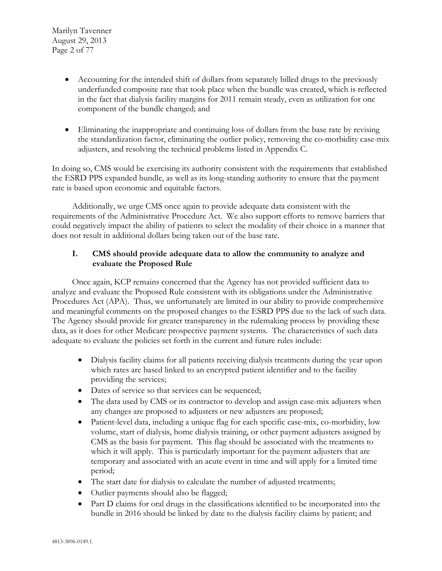Marilyn Tavenner August 29, 2013 Page 2 of 77

- Accounting for the intended shift of dollars from separately billed drugs to the previously underfunded composite rate that took place when the bundle was created, which is reflected in the fact that dialysis facility margins for 2011 remain steady, even as utilization for one component of the bundle changed; and
- Eliminating the inappropriate and continuing loss of dollars from the base rate by revising the standardization factor, eliminating the outlier policy, removing the co-morbidity case-mix adjusters, and resolving the technical problems listed in Appendix C.

In doing so, CMS would be exercising its authority consistent with the requirements that established the ESRD PPS expanded bundle, as well as its long-standing authority to ensure that the payment rate is based upon economic and equitable factors.

Additionally, we urge CMS once again to provide adequate data consistent with the requirements of the Administrative Procedure Act. We also support efforts to remove barriers that could negatively impact the ability of patients to select the modality of their choice in a manner that does not result in additional dollars being taken out of the base rate.

# **I. CMS should provide adequate data to allow the community to analyze and evaluate the Proposed Rule**

Once again, KCP remains concerned that the Agency has not provided sufficient data to analyze and evaluate the Proposed Rule consistent with its obligations under the Administrative Procedures Act (APA). Thus, we unfortunately are limited in our ability to provide comprehensive and meaningful comments on the proposed changes to the ESRD PPS due to the lack of such data. The Agency should provide for greater transparency in the rulemaking process by providing these data, as it does for other Medicare prospective payment systems. The characteristics of such data adequate to evaluate the policies set forth in the current and future rules include:

- Dialysis facility claims for all patients receiving dialysis treatments during the year upon which rates are based linked to an encrypted patient identifier and to the facility providing the services;
- Dates of service so that services can be sequenced;
- The data used by CMS or its contractor to develop and assign case-mix adjusters when any changes are proposed to adjusters or new adjusters are proposed;
- Patient-level data, including a unique flag for each specific case-mix, co-morbidity, low volume, start of dialysis, home dialysis training, or other payment adjusters assigned by CMS as the basis for payment. This flag should be associated with the treatments to which it will apply. This is particularly important for the payment adjusters that are temporary and associated with an acute event in time and will apply for a limited time period;
- The start date for dialysis to calculate the number of adjusted treatments;
- Outlier payments should also be flagged;
- Part D claims for oral drugs in the classifications identified to be incorporated into the bundle in 2016 should be linked by date to the dialysis facility claims by patient; and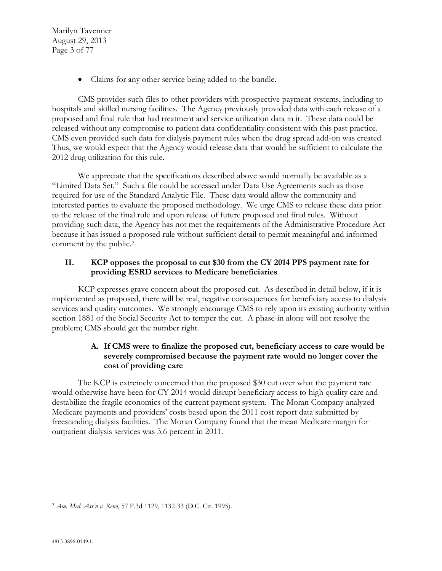Marilyn Tavenner August 29, 2013 Page 3 of 77

• Claims for any other service being added to the bundle.

CMS provides such files to other providers with prospective payment systems, including to hospitals and skilled nursing facilities. The Agency previously provided data with each release of a proposed and final rule that had treatment and service utilization data in it. These data could be released without any compromise to patient data confidentiality consistent with this past practice. CMS even provided such data for dialysis payment rules when the drug spread add-on was created. Thus, we would expect that the Agency would release data that would be sufficient to calculate the 2012 drug utilization for this rule.

We appreciate that the specifications described above would normally be available as a "Limited Data Set." Such a file could be accessed under Data Use Agreements such as those required for use of the Standard Analytic File. These data would allow the community and interested parties to evaluate the proposed methodology. We urge CMS to release these data prior to the release of the final rule and upon release of future proposed and final rules. Without providing such data, the Agency has not met the requirements of the Administrative Procedure Act because it has issued a proposed rule without sufficient detail to permit meaningful and informed comment by the public.[2](#page-2-0)

# **II. KCP opposes the proposal to cut \$30 from the CY 2014 PPS payment rate for providing ESRD services to Medicare beneficiaries**

KCP expresses grave concern about the proposed cut. As described in detail below, if it is implemented as proposed, there will be real, negative consequences for beneficiary access to dialysis services and quality outcomes. We strongly encourage CMS to rely upon its existing authority within section 1881 of the Social Security Act to temper the cut. A phase-in alone will not resolve the problem; CMS should get the number right.

# **A. If CMS were to finalize the proposed cut, beneficiary access to care would be severely compromised because the payment rate would no longer cover the cost of providing care**

The KCP is extremely concerned that the proposed \$30 cut over what the payment rate would otherwise have been for CY 2014 would disrupt beneficiary access to high quality care and destabilize the fragile economics of the current payment system. The Moran Company analyzed Medicare payments and providers' costs based upon the 2011 cost report data submitted by freestanding dialysis facilities. The Moran Company found that the mean Medicare margin for outpatient dialysis services was 3.6 percent in 2011.

<span id="page-2-0"></span> $\overline{a}$ <sup>2</sup> *Am. Med. Ass'n v. Reno*, 57 F.3d 1129, 1132-33 (D.C. Cir. 1995).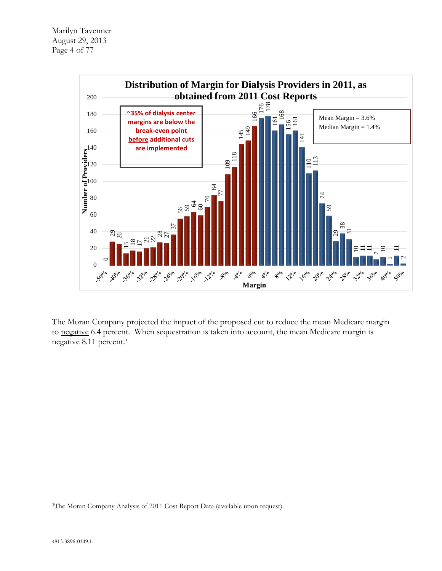

The Moran Company projected the impact of the proposed cut to reduce the mean Medicare margin to negative 6.4 percent. When sequestration is taken into account, the mean Medicare margin is negative 8.11 percent.[3](#page-3-0)

<span id="page-3-0"></span> $\overline{a}$ 3The Moran Company Analysis of 2011 Cost Report Data (available upon request).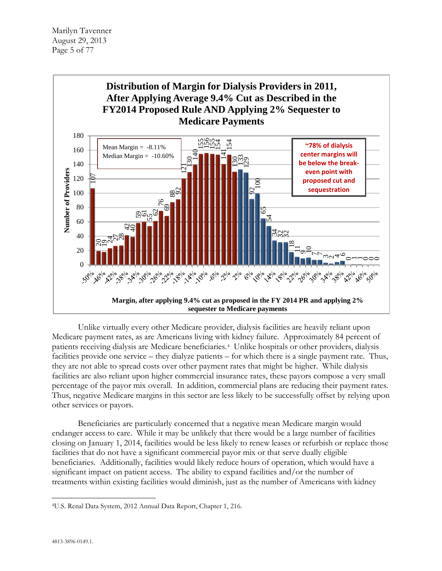

Unlike virtually every other Medicare provider, dialysis facilities are heavily reliant upon Medicare payment rates, as are Americans living with kidney failure. Approximately 84 percent of patients receiving dialysis are Medicare beneficiaries.[4](#page-4-0) Unlike hospitals or other providers, dialysis facilities provide one service – they dialyze patients – for which there is a single payment rate. Thus, they are not able to spread costs over other payment rates that might be higher. While dialysis facilities are also reliant upon higher commercial insurance rates, these payors compose a very small percentage of the payor mix overall. In addition, commercial plans are reducing their payment rates. Thus, negative Medicare margins in this sector are less likely to be successfully offset by relying upon other services or payors.

Beneficiaries are particularly concerned that a negative mean Medicare margin would endanger access to care. While it may be unlikely that there would be a large number of facilities closing on January 1, 2014, facilities would be less likely to renew leases or refurbish or replace those facilities that do not have a significant commercial payor mix or that serve dually eligible beneficiaries. Additionally, facilities would likely reduce hours of operation, which would have a significant impact on patient access. The ability to expand facilities and/or the number of treatments within existing facilities would diminish, just as the number of Americans with kidney

<span id="page-4-0"></span> $\overline{a}$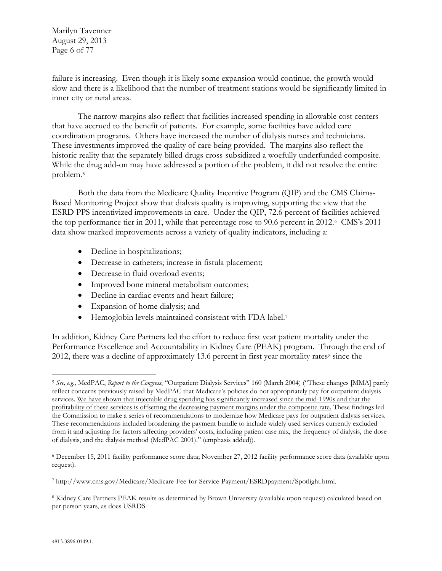Marilyn Tavenner August 29, 2013 Page 6 of 77

failure is increasing. Even though it is likely some expansion would continue, the growth would slow and there is a likelihood that the number of treatment stations would be significantly limited in inner city or rural areas.

The narrow margins also reflect that facilities increased spending in allowable cost centers that have accrued to the benefit of patients. For example, some facilities have added care coordination programs. Others have increased the number of dialysis nurses and technicians. These investments improved the quality of care being provided. The margins also reflect the historic reality that the separately billed drugs cross-subsidized a woefully underfunded composite. While the drug add-on may have addressed a portion of the problem, it did not resolve the entire problem.[5](#page-5-0)

Both the data from the Medicare Quality Incentive Program (QIP) and the CMS Claims-Based Monitoring Project show that dialysis quality is improving, supporting the view that the ESRD PPS incentivized improvements in care. Under the QIP, 72.6 percent of facilities achieved the top performance tier in 2011, while that percentage rose to 90.[6](#page-5-1) percent in 2012.<sup>6</sup> CMS's 2011 data show marked improvements across a variety of quality indicators, including a:

- Decline in hospitalizations;
- Decrease in catheters; increase in fistula placement;
- Decrease in fluid overload events;
- Improved bone mineral metabolism outcomes;
- Decline in cardiac events and heart failure;
- Expansion of home dialysis; and
- Hemoglobin levels maintained consistent with FDA label[.7](#page-5-2)

In addition, Kidney Care Partners led the effort to reduce first year patient mortality under the Performance Excellence and Accountability in Kidney Care (PEAK) program. Through the end of 2012, there was a decline of approximately 13.6 percent in first year mortality rates $8 \text{ since the}$  $8 \text{ since the}$ 

<span id="page-5-0"></span> $\overline{a}$ <sup>5</sup> *See, e.g.,* MedPAC, *Report to the Congress*, "Outpatient Dialysis Services" 160 (March 2004) ("These changes [MMA] partly reflect concerns previously raised by MedPAC that Medicare's policies do not appropriately pay for outpatient dialysis services. We have shown that injectable drug spending has significantly increased since the mid-1990s and that the profitability of these services is offsetting the decreasing payment margins under the composite rate. These findings led the Commission to make a series of recommendations to modernize how Medicare pays for outpatient dialysis services. These recommendations included broadening the payment bundle to include widely used services currently excluded from it and adjusting for factors affecting providers' costs, including patient case mix, the frequency of dialysis, the dose of dialysis, and the dialysis method (MedPAC 2001)." (emphasis added)).

<span id="page-5-1"></span><sup>6</sup> December 15, 2011 facility performance score data; November 27, 2012 facility performance score data (available upon request).

<span id="page-5-2"></span><sup>7</sup> http://www.cms.gov/Medicare/Medicare-Fee-for-Service-Payment/ESRDpayment/Spotlight.html.

<span id="page-5-3"></span><sup>8</sup> Kidney Care Partners PEAK results as determined by Brown University (available upon request) calculated based on per person years, as does USRDS.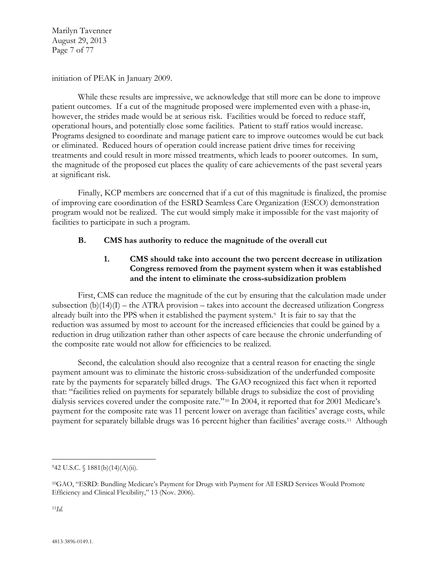Marilyn Tavenner August 29, 2013 Page 7 of 77

initiation of PEAK in January 2009.

While these results are impressive, we acknowledge that still more can be done to improve patient outcomes. If a cut of the magnitude proposed were implemented even with a phase-in, however, the strides made would be at serious risk. Facilities would be forced to reduce staff, operational hours, and potentially close some facilities. Patient to staff ratios would increase. Programs designed to coordinate and manage patient care to improve outcomes would be cut back or eliminated. Reduced hours of operation could increase patient drive times for receiving treatments and could result in more missed treatments, which leads to poorer outcomes. In sum, the magnitude of the proposed cut places the quality of care achievements of the past several years at significant risk.

Finally, KCP members are concerned that if a cut of this magnitude is finalized, the promise of improving care coordination of the ESRD Seamless Care Organization (ESCO) demonstration program would not be realized. The cut would simply make it impossible for the vast majority of facilities to participate in such a program.

## **B. CMS has authority to reduce the magnitude of the overall cut**

## **1. CMS should take into account the two percent decrease in utilization Congress removed from the payment system when it was established and the intent to eliminate the cross-subsidization problem**

First, CMS can reduce the magnitude of the cut by ensuring that the calculation made under subsection  $(b)(14)(I)$  – the ATRA provision – takes into account the decreased utilization Congress already built into the PPS when it established the payment system.[9](#page-6-0) It is fair to say that the reduction was assumed by most to account for the increased efficiencies that could be gained by a reduction in drug utilization rather than other aspects of care because the chronic underfunding of the composite rate would not allow for efficiencies to be realized.

Second, the calculation should also recognize that a central reason for enacting the single payment amount was to eliminate the historic cross-subsidization of the underfunded composite rate by the payments for separately billed drugs. The GAO recognized this fact when it reported that: "facilities relied on payments for separately billable drugs to subsidize the cost of providing dialysis services covered under the composite rate."[10](#page-6-1) In 2004, it reported that for 2001 Medicare's payment for the composite rate was 11 percent lower on average than facilities' average costs, while payment for separately billable drugs was 16 percent higher than facilities' average costs.[11](#page-6-2) Although

<span id="page-6-2"></span>11*Id.*

 $\overline{a}$ 

<span id="page-6-0"></span> $942$  U.S.C.  $\{(1881(b)(14)(A)(ii))$ .

<span id="page-6-1"></span><sup>10</sup>GAO, "ESRD: Bundling Medicare's Payment for Drugs with Payment for All ESRD Services Would Promote Efficiency and Clinical Flexibility," 13 (Nov. 2006).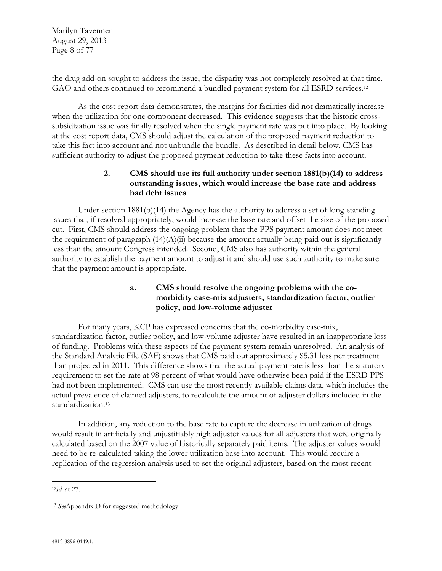Marilyn Tavenner August 29, 2013 Page 8 of 77

the drug add-on sought to address the issue, the disparity was not completely resolved at that time. GAO and others continued to recommend a bundled payment system for all ESRD services.<sup>[12](#page-7-0)</sup>

As the cost report data demonstrates, the margins for facilities did not dramatically increase when the utilization for one component decreased. This evidence suggests that the historic crosssubsidization issue was finally resolved when the single payment rate was put into place. By looking at the cost report data, CMS should adjust the calculation of the proposed payment reduction to take this fact into account and not unbundle the bundle. As described in detail below, CMS has sufficient authority to adjust the proposed payment reduction to take these facts into account.

## **2. CMS should use its full authority under section 1881(b)(14) to address outstanding issues, which would increase the base rate and address bad debt issues**

Under section 1881(b)(14) the Agency has the authority to address a set of long-standing issues that, if resolved appropriately, would increase the base rate and offset the size of the proposed cut. First, CMS should address the ongoing problem that the PPS payment amount does not meet the requirement of paragraph  $(14)(A)(ii)$  because the amount actually being paid out is significantly less than the amount Congress intended. Second, CMS also has authority within the general authority to establish the payment amount to adjust it and should use such authority to make sure that the payment amount is appropriate.

# **a. CMS should resolve the ongoing problems with the comorbidity case-mix adjusters, standardization factor, outlier policy, and low-volume adjuster**

For many years, KCP has expressed concerns that the co-morbidity case-mix, standardization factor, outlier policy, and low-volume adjuster have resulted in an inappropriate loss of funding. Problems with these aspects of the payment system remain unresolved. An analysis of the Standard Analytic File (SAF) shows that CMS paid out approximately \$5.31 less per treatment than projected in 2011. This difference shows that the actual payment rate is less than the statutory requirement to set the rate at 98 percent of what would have otherwise been paid if the ESRD PPS had not been implemented. CMS can use the most recently available claims data, which includes the actual prevalence of claimed adjusters, to recalculate the amount of adjuster dollars included in the standardization.<sup>[13](#page-7-1)</sup>

In addition, any reduction to the base rate to capture the decrease in utilization of drugs would result in artificially and unjustifiably high adjuster values for all adjusters that were originally calculated based on the 2007 value of historically separately paid items. The adjuster values would need to be re-calculated taking the lower utilization base into account. This would require a replication of the regression analysis used to set the original adjusters, based on the most recent

<span id="page-7-0"></span> $\overline{a}$ <sup>12</sup>*Id.* at 27.

<span id="page-7-1"></span><sup>13</sup> *See*Appendix D for suggested methodology.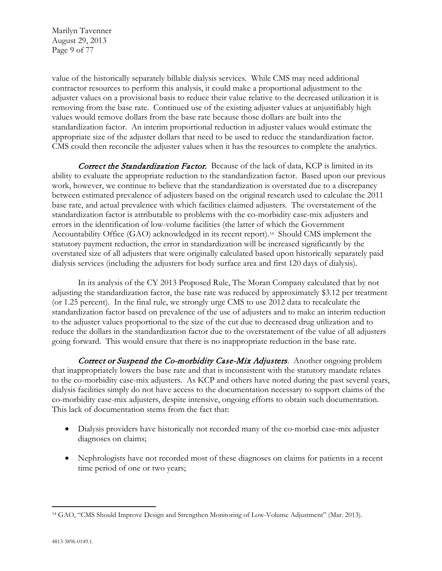Marilyn Tavenner August 29, 2013 Page 9 of 77

value of the historically separately billable dialysis services. While CMS may need additional contractor resources to perform this analysis, it could make a proportional adjustment to the adjuster values on a provisional basis to reduce their value relative to the decreased utilization it is removing from the base rate. Continued use of the existing adjuster values at unjustifiably high values would remove dollars from the base rate because those dollars are built into the standardization factor. An interim proportional reduction in adjuster values would estimate the appropriate size of the adjuster dollars that need to be used to reduce the standardization factor. CMS could then reconcile the adjuster values when it has the resources to complete the analytics.

Correct the Standardization Factor. Because of the lack of data, KCP is limited in its ability to evaluate the appropriate reduction to the standardization factor. Based upon our previous work, however, we continue to believe that the standardization is overstated due to a discrepancy between estimated prevalence of adjusters based on the original research used to calculate the 2011 base rate, and actual prevalence with which facilities claimed adjusters. The overstatement of the standardization factor is attributable to problems with the co-morbidity case-mix adjusters and errors in the identification of low-volume facilities (the latter of which the Government Accountability Office (GAO) acknowledged in its recent report).[14](#page-8-0) Should CMS implement the statutory payment reduction, the error in standardization will be increased significantly by the overstated size of all adjusters that were originally calculated based upon historically separately paid dialysis services (including the adjusters for body surface area and first 120 days of dialysis).

In its analysis of the CY 2013 Proposed Rule, The Moran Company calculated that by not adjusting the standardization factor, the base rate was reduced by approximately \$3.12 per treatment (or 1.25 percent). In the final rule, we strongly urge CMS to use 2012 data to recalculate the standardization factor based on prevalence of the use of adjusters and to make an interim reduction to the adjuster values proportional to the size of the cut due to decreased drug utilization and to reduce the dollars in the standardization factor due to the overstatement of the value of all adjusters going forward. This would ensure that there is no inappropriate reduction in the base rate.

Correct or Suspend the Co-morbidity Case-Mix Adjusters. Another ongoing problem that inappropriately lowers the base rate and that is inconsistent with the statutory mandate relates to the co-morbidity case-mix adjusters. As KCP and others have noted during the past several years, dialysis facilities simply do not have access to the documentation necessary to support claims of the co-morbidity case-mix adjusters, despite intensive, ongoing efforts to obtain such documentation. This lack of documentation stems from the fact that:

- Dialysis providers have historically not recorded many of the co-morbid case-mix adjuster diagnoses on claims;
- Nephrologists have not recorded most of these diagnoses on claims for patients in a recent time period of one or two years;

<span id="page-8-0"></span> $\overline{a}$ <sup>14</sup> GAO, "CMS Should Improve Design and Strengthen Monitoring of Low-Volume Adjustment" (Mar. 2013).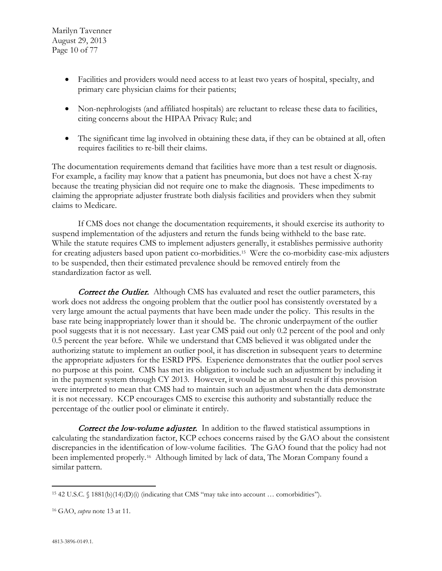Marilyn Tavenner August 29, 2013 Page 10 of 77

- Facilities and providers would need access to at least two years of hospital, specialty, and primary care physician claims for their patients;
- Non-nephrologists (and affiliated hospitals) are reluctant to release these data to facilities, citing concerns about the HIPAA Privacy Rule; and
- The significant time lag involved in obtaining these data, if they can be obtained at all, often requires facilities to re-bill their claims.

The documentation requirements demand that facilities have more than a test result or diagnosis. For example, a facility may know that a patient has pneumonia, but does not have a chest X-ray because the treating physician did not require one to make the diagnosis. These impediments to claiming the appropriate adjuster frustrate both dialysis facilities and providers when they submit claims to Medicare.

If CMS does not change the documentation requirements, it should exercise its authority to suspend implementation of the adjusters and return the funds being withheld to the base rate. While the statute requires CMS to implement adjusters generally, it establishes permissive authority for creating adjusters based upon patient co-morbidities.[15](#page-9-0) Were the co-morbidity case-mix adjusters to be suspended, then their estimated prevalence should be removed entirely from the standardization factor as well.

**Correct the Outlier.** Although CMS has evaluated and reset the outlier parameters, this work does not address the ongoing problem that the outlier pool has consistently overstated by a very large amount the actual payments that have been made under the policy. This results in the base rate being inappropriately lower than it should be. The chronic underpayment of the outlier pool suggests that it is not necessary. Last year CMS paid out only 0.2 percent of the pool and only 0.5 percent the year before. While we understand that CMS believed it was obligated under the authorizing statute to implement an outlier pool, it has discretion in subsequent years to determine the appropriate adjusters for the ESRD PPS. Experience demonstrates that the outlier pool serves no purpose at this point. CMS has met its obligation to include such an adjustment by including it in the payment system through CY 2013. However, it would be an absurd result if this provision were interpreted to mean that CMS had to maintain such an adjustment when the data demonstrate it is not necessary. KCP encourages CMS to exercise this authority and substantially reduce the percentage of the outlier pool or eliminate it entirely.

**Correct the low-volume adjuster.** In addition to the flawed statistical assumptions in calculating the standardization factor, KCP echoes concerns raised by the GAO about the consistent discrepancies in the identification of low-volume facilities. The GAO found that the policy had not been implemented properly.[16](#page-9-1) Although limited by lack of data, The Moran Company found a similar pattern.

<span id="page-9-0"></span> $\overline{a}$ <sup>15</sup> 42 U.S.C. § 1881(b)(14)(D)(i) (indicating that CMS "may take into account … comorbidities").

<span id="page-9-1"></span><sup>16</sup> GAO, *supra* note 13 at 11.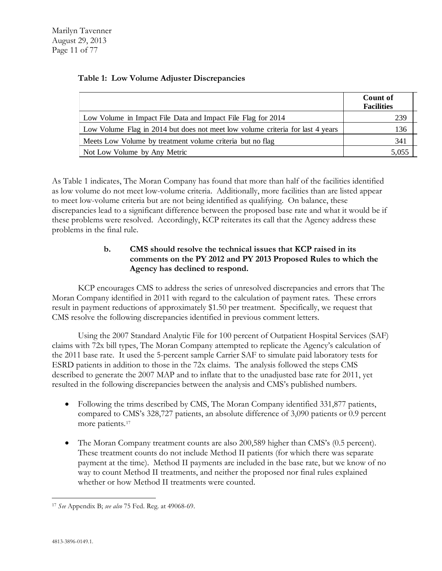|                                                                                | Count of<br><b>Facilities</b> |
|--------------------------------------------------------------------------------|-------------------------------|
| Low Volume in Impact File Data and Impact File Flag for 2014                   | 239                           |
| Low Volume Flag in 2014 but does not meet low volume criteria for last 4 years | 136                           |
| Meets Low Volume by treatment volume criteria but no flag                      | 341                           |
| Not Low Volume by Any Metric                                                   | 5,055                         |

#### **Table 1: Low Volume Adjuster Discrepancies**

As Table 1 indicates, The Moran Company has found that more than half of the facilities identified as low volume do not meet low-volume criteria. Additionally, more facilities than are listed appear to meet low-volume criteria but are not being identified as qualifying. On balance, these discrepancies lead to a significant difference between the proposed base rate and what it would be if these problems were resolved. Accordingly, KCP reiterates its call that the Agency address these problems in the final rule.

## **b. CMS should resolve the technical issues that KCP raised in its comments on the PY 2012 and PY 2013 Proposed Rules to which the Agency has declined to respond.**

KCP encourages CMS to address the series of unresolved discrepancies and errors that The Moran Company identified in 2011 with regard to the calculation of payment rates. These errors result in payment reductions of approximately \$1.50 per treatment. Specifically, we request that CMS resolve the following discrepancies identified in previous comment letters.

Using the 2007 Standard Analytic File for 100 percent of Outpatient Hospital Services (SAF) claims with 72x bill types, The Moran Company attempted to replicate the Agency's calculation of the 2011 base rate. It used the 5-percent sample Carrier SAF to simulate paid laboratory tests for ESRD patients in addition to those in the 72x claims. The analysis followed the steps CMS described to generate the 2007 MAP and to inflate that to the unadjusted base rate for 2011, yet resulted in the following discrepancies between the analysis and CMS's published numbers.

- Following the trims described by CMS, The Moran Company identified 331,877 patients, compared to CMS's 328,727 patients, an absolute difference of 3,090 patients or 0.9 percent more patients.<sup>[17](#page-10-0)</sup>
- The Moran Company treatment counts are also 200,589 higher than CMS's (0.5 percent). These treatment counts do not include Method II patients (for which there was separate payment at the time). Method II payments are included in the base rate, but we know of no way to count Method II treatments, and neither the proposed nor final rules explained whether or how Method II treatments were counted.

<span id="page-10-0"></span> $\overline{a}$ <sup>17</sup> *See* Appendix B; *see also* 75 Fed. Reg. at 49068-69.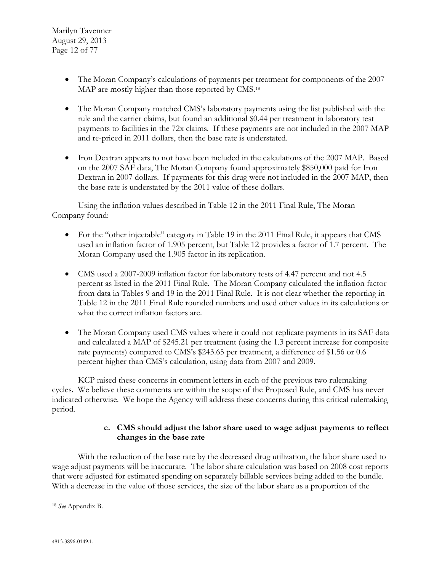- The Moran Company's calculations of payments per treatment for components of the 2007 MAP are mostly higher than those reported by CMS.<sup>[18](#page-11-0)</sup>
- The Moran Company matched CMS's laboratory payments using the list published with the rule and the carrier claims, but found an additional \$0.44 per treatment in laboratory test payments to facilities in the 72x claims. If these payments are not included in the 2007 MAP and re-priced in 2011 dollars, then the base rate is understated.
- Iron Dextran appears to not have been included in the calculations of the 2007 MAP. Based on the 2007 SAF data, The Moran Company found approximately \$850,000 paid for Iron Dextran in 2007 dollars. If payments for this drug were not included in the 2007 MAP, then the base rate is understated by the 2011 value of these dollars.

Using the inflation values described in Table 12 in the 2011 Final Rule, The Moran Company found:

- For the "other injectable" category in Table 19 in the 2011 Final Rule, it appears that CMS used an inflation factor of 1.905 percent, but Table 12 provides a factor of 1.7 percent. The Moran Company used the 1.905 factor in its replication.
- CMS used a 2007-2009 inflation factor for laboratory tests of 4.47 percent and not 4.5 percent as listed in the 2011 Final Rule. The Moran Company calculated the inflation factor from data in Tables 9 and 19 in the 2011 Final Rule. It is not clear whether the reporting in Table 12 in the 2011 Final Rule rounded numbers and used other values in its calculations or what the correct inflation factors are.
- The Moran Company used CMS values where it could not replicate payments in its SAF data and calculated a MAP of \$245.21 per treatment (using the 1.3 percent increase for composite rate payments) compared to CMS's \$243.65 per treatment, a difference of \$1.56 or 0.6 percent higher than CMS's calculation, using data from 2007 and 2009.

KCP raised these concerns in comment letters in each of the previous two rulemaking cycles. We believe these comments are within the scope of the Proposed Rule, and CMS has never indicated otherwise. We hope the Agency will address these concerns during this critical rulemaking period.

# **c. CMS should adjust the labor share used to wage adjust payments to reflect changes in the base rate**

With the reduction of the base rate by the decreased drug utilization, the labor share used to wage adjust payments will be inaccurate. The labor share calculation was based on 2008 cost reports that were adjusted for estimated spending on separately billable services being added to the bundle. With a decrease in the value of those services, the size of the labor share as a proportion of the

<span id="page-11-0"></span> $\overline{a}$ <sup>18</sup> *See* Appendix B.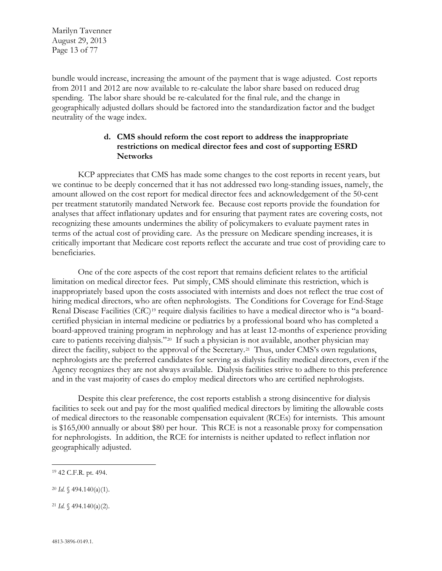Marilyn Tavenner August 29, 2013 Page 13 of 77

bundle would increase, increasing the amount of the payment that is wage adjusted. Cost reports from 2011 and 2012 are now available to re-calculate the labor share based on reduced drug spending. The labor share should be re-calculated for the final rule, and the change in geographically adjusted dollars should be factored into the standardization factor and the budget neutrality of the wage index.

## **d. CMS should reform the cost report to address the inappropriate restrictions on medical director fees and cost of supporting ESRD Networks**

KCP appreciates that CMS has made some changes to the cost reports in recent years, but we continue to be deeply concerned that it has not addressed two long-standing issues, namely, the amount allowed on the cost report for medical director fees and acknowledgement of the 50-cent per treatment statutorily mandated Network fee. Because cost reports provide the foundation for analyses that affect inflationary updates and for ensuring that payment rates are covering costs, not recognizing these amounts undermines the ability of policymakers to evaluate payment rates in terms of the actual cost of providing care. As the pressure on Medicare spending increases, it is critically important that Medicare cost reports reflect the accurate and true cost of providing care to beneficiaries.

One of the core aspects of the cost report that remains deficient relates to the artificial limitation on medical director fees. Put simply, CMS should eliminate this restriction, which is inappropriately based upon the costs associated with internists and does not reflect the true cost of hiring medical directors, who are often nephrologists. The Conditions for Coverage for End-Stage Renal Disease Facilities (CfC)<sup>[19](#page-12-0)</sup> require dialysis facilities to have a medical director who is "a boardcertified physician in internal medicine or pediatrics by a professional board who has completed a board-approved training program in nephrology and has at least 12-months of experience providing care to patients receiving dialysis."[20](#page-12-1) If such a physician is not available, another physician may direct the facility, subject to the approval of the Secretary.<sup>[21](#page-12-2)</sup> Thus, under CMS's own regulations, nephrologists are the preferred candidates for serving as dialysis facility medical directors, even if the Agency recognizes they are not always available. Dialysis facilities strive to adhere to this preference and in the vast majority of cases do employ medical directors who are certified nephrologists.

Despite this clear preference, the cost reports establish a strong disincentive for dialysis facilities to seek out and pay for the most qualified medical directors by limiting the allowable costs of medical directors to the reasonable compensation equivalent (RCEs) for internists. This amount is \$165,000 annually or about \$80 per hour. This RCE is not a reasonable proxy for compensation for nephrologists. In addition, the RCE for internists is neither updated to reflect inflation nor geographically adjusted.

 $\overline{a}$ 

<span id="page-12-1"></span><sup>20</sup> *Id.* § 494.140(a)(1).

<span id="page-12-2"></span><sup>21</sup> *Id.* § 494.140(a)(2).

<span id="page-12-0"></span><sup>19</sup> 42 C.F.R. pt. 494.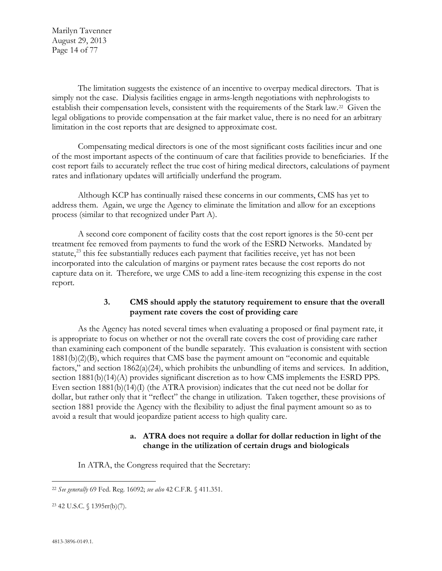Marilyn Tavenner August 29, 2013 Page 14 of 77

The limitation suggests the existence of an incentive to overpay medical directors. That is simply not the case. Dialysis facilities engage in arms-length negotiations with nephrologists to establish their compensation levels, consistent with the requirements of the Stark law.<sup>22</sup> Given the legal obligations to provide compensation at the fair market value, there is no need for an arbitrary limitation in the cost reports that are designed to approximate cost.

Compensating medical directors is one of the most significant costs facilities incur and one of the most important aspects of the continuum of care that facilities provide to beneficiaries. If the cost report fails to accurately reflect the true cost of hiring medical directors, calculations of payment rates and inflationary updates will artificially underfund the program.

Although KCP has continually raised these concerns in our comments, CMS has yet to address them. Again, we urge the Agency to eliminate the limitation and allow for an exceptions process (similar to that recognized under Part A).

A second core component of facility costs that the cost report ignores is the 50-cent per treatment fee removed from payments to fund the work of the ESRD Networks. Mandated by statute, $^{23}$  $^{23}$  $^{23}$  this fee substantially reduces each payment that facilities receive, yet has not been incorporated into the calculation of margins or payment rates because the cost reports do not capture data on it. Therefore, we urge CMS to add a line-item recognizing this expense in the cost report.

## **3. CMS should apply the statutory requirement to ensure that the overall payment rate covers the cost of providing care**

As the Agency has noted several times when evaluating a proposed or final payment rate, it is appropriate to focus on whether or not the overall rate covers the cost of providing care rather than examining each component of the bundle separately. This evaluation is consistent with section 1881(b)(2)(B), which requires that CMS base the payment amount on "economic and equitable factors," and section 1862(a)(24), which prohibits the unbundling of items and services. In addition, section 1881(b)(14)(A) provides significant discretion as to how CMS implements the ESRD PPS. Even section 1881(b)(14)(I) (the ATRA provision) indicates that the cut need not be dollar for dollar, but rather only that it "reflect" the change in utilization. Taken together, these provisions of section 1881 provide the Agency with the flexibility to adjust the final payment amount so as to avoid a result that would jeopardize patient access to high quality care.

#### **a. ATRA does not require a dollar for dollar reduction in light of the change in the utilization of certain drugs and biologicals**

In ATRA, the Congress required that the Secretary:

<span id="page-13-0"></span> $\overline{a}$ <sup>22</sup> *See generally* 69 Fed. Reg. 16092; *see also* 42 C.F.R. § 411.351.

<span id="page-13-1"></span><sup>23</sup> 42 U.S.C. § 1395rr(b)(7).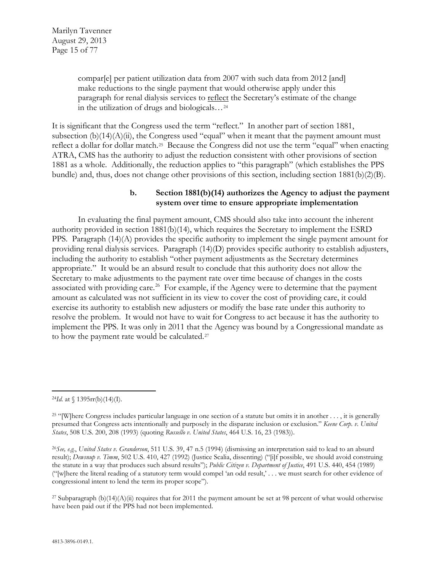compar[e] per patient utilization data from 2007 with such data from 2012 [and] make reductions to the single payment that would otherwise apply under this paragraph for renal dialysis services to reflect the Secretary's estimate of the change in the utilization of drugs and biologicals…[24](#page-14-0)

It is significant that the Congress used the term "reflect." In another part of section 1881, subsection  $(b)(14)(A)(ii)$ , the Congress used "equal" when it meant that the payment amount must reflect a dollar for dollar match.[25](#page-14-1) Because the Congress did not use the term "equal" when enacting ATRA, CMS has the authority to adjust the reduction consistent with other provisions of section 1881 as a whole. Additionally, the reduction applies to "this paragraph" (which establishes the PPS bundle) and, thus, does not change other provisions of this section, including section 1881(b)(2)(B).

#### **b. Section 1881(b)(14) authorizes the Agency to adjust the payment system over time to ensure appropriate implementation**

In evaluating the final payment amount, CMS should also take into account the inherent authority provided in section  $1881(b)(14)$ , which requires the Secretary to implement the ESRD PPS. Paragraph (14)(A) provides the specific authority to implement the single payment amount for providing renal dialysis services. Paragraph (14)(D) provides specific authority to establish adjusters, including the authority to establish "other payment adjustments as the Secretary determines appropriate." It would be an absurd result to conclude that this authority does not allow the Secretary to make adjustments to the payment rate over time because of changes in the costs associated with providing care.<sup>[26](#page-14-2)</sup> For example, if the Agency were to determine that the payment amount as calculated was not sufficient in its view to cover the cost of providing care, it could exercise its authority to establish new adjusters or modify the base rate under this authority to resolve the problem. It would not have to wait for Congress to act because it has the authority to implement the PPS. It was only in 2011 that the Agency was bound by a Congressional mandate as to how the payment rate would be calculated.<sup>[27](#page-14-3)</sup>

<span id="page-14-0"></span> $\overline{a}$ <sup>24</sup>*Id.* at  $\{1395rr(b)(14)(I)$ .

<span id="page-14-1"></span><sup>&</sup>lt;sup>25</sup> "[W]here Congress includes particular language in one section of a statute but omits it in another  $\dots$ , it is generally presumed that Congress acts intentionally and purposely in the disparate inclusion or exclusion." *Keene Corp. v. United States*, 508 U.S. 200, 208 (1993) (quoting *Russello v. United States*, 464 U.S. 16, 23 (1983)).

<span id="page-14-2"></span><sup>26</sup>*See, e.g.*, *United States v. Granderson*, 511 U.S. 39, 47 n.5 (1994) (dismissing an interpretation said to lead to an absurd result); *Dewsnup v. Timm*, 502 U.S. 410, 427 (1992) (Justice Scalia, dissenting) ("[i]f possible, we should avoid construing the statute in a way that produces such absurd results"); *Public Citizen v. Department of Justice*, 491 U.S. 440, 454 (1989) ("[w]here the literal reading of a statutory term would compel 'an odd result,' . . . we must search for other evidence of congressional intent to lend the term its proper scope").

<span id="page-14-3"></span><sup>&</sup>lt;sup>27</sup> Subparagraph (b)(14)(A)(ii) requires that for 2011 the payment amount be set at 98 percent of what would otherwise have been paid out if the PPS had not been implemented.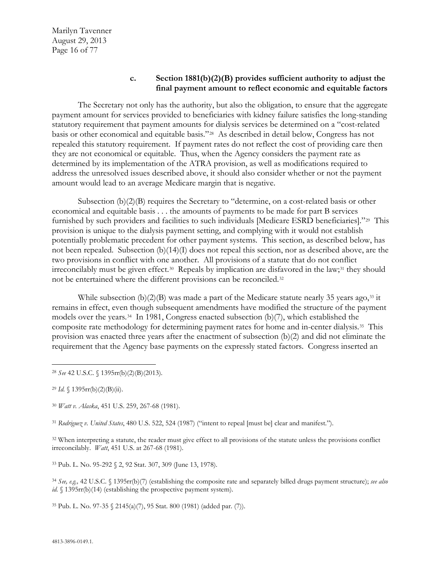#### **c. Section 1881(b)(2)(B) provides sufficient authority to adjust the final payment amount to reflect economic and equitable factors**

The Secretary not only has the authority, but also the obligation, to ensure that the aggregate payment amount for services provided to beneficiaries with kidney failure satisfies the long-standing statutory requirement that payment amounts for dialysis services be determined on a "cost-related basis or other economical and equitable basis."[28](#page-15-0) As described in detail below, Congress has not repealed this statutory requirement. If payment rates do not reflect the cost of providing care then they are not economical or equitable. Thus, when the Agency considers the payment rate as determined by its implementation of the ATRA provision, as well as modifications required to address the unresolved issues described above, it should also consider whether or not the payment amount would lead to an average Medicare margin that is negative.

Subsection (b)(2)(B) requires the Secretary to "determine, on a cost-related basis or other economical and equitable basis . . . the amounts of payments to be made for part B services furnished by such providers and facilities to such individuals [Medicare ESRD beneficiaries]."[29](#page-15-1) This provision is unique to the dialysis payment setting, and complying with it would not establish potentially problematic precedent for other payment systems. This section, as described below, has not been repealed. Subsection (b)(14)(I) does not repeal this section, nor as described above, are the two provisions in conflict with one another. All provisions of a statute that do not conflict irreconcilably must be given effect.<sup>[30](#page-15-2)</sup> Repeals by implication are disfavored in the law;<sup>[31](#page-15-3)</sup> they should not be entertained where the different provisions can be reconciled.[32](#page-15-4)

While subsection  $(b)(2)(B)$  was made a part of the Medicare statute nearly 35 years ago,<sup>[33](#page-15-5)</sup> it remains in effect, even though subsequent amendments have modified the structure of the payment models over the years.<sup>[34](#page-15-6)</sup> In 1981, Congress enacted subsection (b)(7), which established the composite rate methodology for determining payment rates for home and in-center dialysis.[35](#page-15-7) This provision was enacted three years after the enactment of subsection (b)(2) and did not eliminate the requirement that the Agency base payments on the expressly stated factors. Congress inserted an

<span id="page-15-1"></span><sup>29</sup> *Id.*  $\{1395rr(b)(2)(B)(ii)$ .

<span id="page-15-2"></span><sup>30</sup> *Watt v. Alaska*, 451 U.S. 259, 267-68 (1981).

<span id="page-15-3"></span><sup>31</sup> *Rodriguez v. United States*, 480 U.S. 522, 524 (1987) ("intent to repeal [must be] clear and manifest.").

<span id="page-15-4"></span><sup>32</sup> When interpreting a statute, the reader must give effect to all provisions of the statute unless the provisions conflict irreconcilably. *Watt*, 451 U.S. at 267-68 (1981).

<span id="page-15-5"></span><sup>33</sup> Pub. L. No. 95-292 § 2, 92 Stat. 307, 309 (June 13, 1978).

<span id="page-15-6"></span><sup>34</sup> *See, e.g.,* 42 U.S.C. § 1395rr(b)(7) (establishing the composite rate and separately billed drugs payment structure); *see also id.* § 1395rr(b)(14) (establishing the prospective payment system).

<span id="page-15-7"></span><sup>35</sup> Pub. L. No. 97-35 § 2145(a)(7), 95 Stat. 800 (1981) (added par. (7)).

<span id="page-15-0"></span> $\overline{a}$ <sup>28</sup> *See* 42 U.S.C. § 1395rr(b)(2)(B)(2013).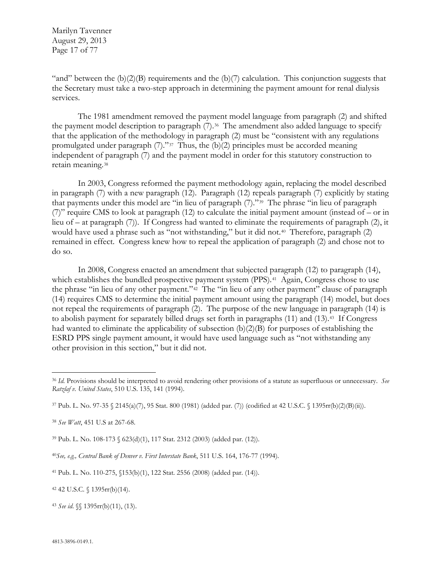Marilyn Tavenner August 29, 2013 Page 17 of 77

"and" between the  $(b)(2)(B)$  requirements and the  $(b)(7)$  calculation. This conjunction suggests that the Secretary must take a two-step approach in determining the payment amount for renal dialysis services.

The 1981 amendment removed the payment model language from paragraph (2) and shifted the payment model description to paragraph (7).<sup>[36](#page-16-0)</sup> The amendment also added language to specify that the application of the methodology in paragraph (2) must be "consistent with any regulations promulgated under paragraph  $(7)$ ."<sup>[37](#page-16-1)</sup> Thus, the  $(b)(2)$  principles must be accorded meaning independent of paragraph (7) and the payment model in order for this statutory construction to retain meaning.[38](#page-16-2)

In 2003, Congress reformed the payment methodology again, replacing the model described in paragraph (7) with a new paragraph (12). Paragraph (12) repeals paragraph (7) explicitly by stating that payments under this model are "in lieu of paragraph (7)."[39](#page-16-3) The phrase "in lieu of paragraph (7)" require CMS to look at paragraph (12) to calculate the initial payment amount (instead of – or in lieu of – at paragraph (7)). If Congress had wanted to eliminate the requirements of paragraph (2), it would have used a phrase such as "not withstanding," but it did not.<sup>[40](#page-16-4)</sup> Therefore, paragraph (2) remained in effect. Congress knew how to repeal the application of paragraph (2) and chose not to do so.

In 2008, Congress enacted an amendment that subjected paragraph (12) to paragraph (14), which establishes the bundled prospective payment system (PPS).<sup>[41](#page-16-5)</sup> Again, Congress chose to use the phrase "in lieu of any other payment."[42](#page-16-6) The "in lieu of any other payment" clause of paragraph (14) requires CMS to determine the initial payment amount using the paragraph (14) model, but does not repeal the requirements of paragraph (2). The purpose of the new language in paragraph (14) is to abolish payment for separately billed drugs set forth in paragraphs (11) and (13).[43](#page-16-7) If Congress had wanted to eliminate the applicability of subsection (b)(2)(B) for purposes of establishing the ESRD PPS single payment amount, it would have used language such as "not withstanding any other provision in this section," but it did not.

<span id="page-16-6"></span><sup>42</sup> 42 U.S.C. § 1395rr(b)(14).

<span id="page-16-7"></span><sup>43</sup> *See id*. §§ 1395rr(b)(11), (13).

<span id="page-16-0"></span> $\overline{a}$ <sup>36</sup> *Id.* Provisions should be interpreted to avoid rendering other provisions of a statute as superfluous or unnecessary. *See Ratzlaf v. United States*, 510 U.S. 135, 141 (1994).

<span id="page-16-1"></span><sup>37</sup> Pub. L. No. 97-35 § 2145(a)(7), 95 Stat. 800 (1981) (added par. (7)) (codified at 42 U.S.C. § 1395rr(b)(2)(B)(ii)).

<span id="page-16-2"></span><sup>38</sup> *See Watt*, 451 U.S at 267-68.

<span id="page-16-3"></span><sup>39</sup> Pub. L. No. 108-173 § 623(d)(1), 117 Stat. 2312 (2003) (added par. (12)).

<span id="page-16-4"></span><sup>40</sup>*See, e.g., Central Bank of Denver v. First Interstate Bank*, 511 U.S. 164, 176-77 (1994).

<span id="page-16-5"></span><sup>41</sup> Pub. L. No. 110-275, §153(b)(1), 122 Stat. 2556 (2008) (added par. (14)).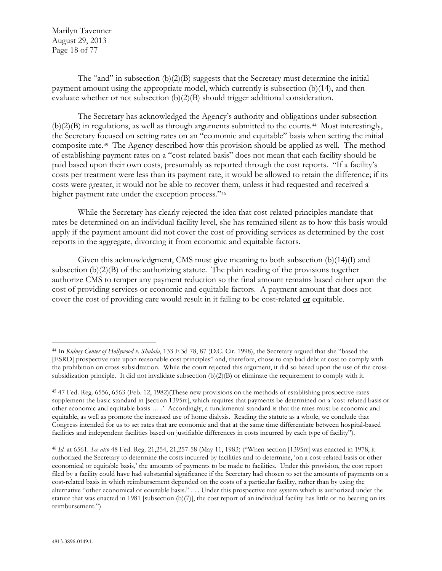Marilyn Tavenner August 29, 2013 Page 18 of 77

The "and" in subsection  $(b)(2)(B)$  suggests that the Secretary must determine the initial payment amount using the appropriate model, which currently is subsection (b)(14), and then evaluate whether or not subsection (b)(2)(B) should trigger additional consideration.

The Secretary has acknowledged the Agency's authority and obligations under subsection (b)(2)(B) in regulations, as well as through arguments submitted to the courts.[44](#page-17-0) Most interestingly, the Secretary focused on setting rates on an "economic and equitable" basis when setting the initial composite rate.[45](#page-17-1) The Agency described how this provision should be applied as well. The method of establishing payment rates on a "cost-related basis" does not mean that each facility should be paid based upon their own costs, presumably as reported through the cost reports. "If a facility's costs per treatment were less than its payment rate, it would be allowed to retain the difference; if its costs were greater, it would not be able to recover them, unless it had requested and received a higher payment rate under the exception process."<sup>[46](#page-17-2)</sup>

While the Secretary has clearly rejected the idea that cost-related principles mandate that rates be determined on an individual facility level, she has remained silent as to how this basis would apply if the payment amount did not cover the cost of providing services as determined by the cost reports in the aggregate, divorcing it from economic and equitable factors.

Given this acknowledgment, CMS must give meaning to both subsection  $(b)(14)(I)$  and subsection (b)(2)(B) of the authorizing statute. The plain reading of the provisions together authorize CMS to temper any payment reduction so the final amount remains based either upon the cost of providing services or economic and equitable factors. A payment amount that does not cover the cost of providing care would result in it failing to be cost-related or equitable.

 $\overline{a}$ 

<span id="page-17-0"></span><sup>44</sup> In *Kidney Center of Hollywood v. Shalala*, 133 F.3d 78, 87 (D.C. Cir. 1998), the Secretary argued that she "based the [ESRD] prospective rate upon reasonable cost principles" and, therefore, chose to cap bad debt at cost to comply with the prohibition on cross-subsidization. While the court rejected this argument, it did so based upon the use of the crosssubsidization principle. It did not invalidate subsection (b)(2)(B) or eliminate the requirement to comply with it.

<span id="page-17-1"></span><sup>45</sup> 47 Fed. Reg. 6556, 6563 (Feb. 12, 1982)(These new provisions on the methods of establishing prospective rates supplement the basic standard in [section 1395rr], which requires that payments be determined on a 'cost-related basis or other economic and equitable basis … .' Accordingly, a fundamental standard is that the rates must be economic and equitable, as well as promote the increased use of home dialysis. Reading the statute as a whole, we conclude that Congress intended for us to set rates that are economic and that at the same time differentiate between hospital-based facilities and independent facilities based on justifiable differences in costs incurred by each type of facility").

<span id="page-17-2"></span><sup>46</sup> *Id.* at 6561. *See also* 48 Fed. Reg. 21,254, 21,257-58 (May 11, 1983) ("When section [1395rr] was enacted in 1978, it authorized the Secretary to determine the costs incurred by facilities and to determine, 'on a cost-related basis or other economical or equitable basis,' the amounts of payments to be made to facilities. Under this provision, the cost report filed by a facility could have had substantial significance if the Secretary had chosen to set the amounts of payments on a cost-related basis in which reimbursement depended on the costs of a particular facility, rather than by using the alternative "other economical or equitable basis." . . . Under this prospective rate system which is authorized under the statute that was enacted in 1981 [subsection (b)(7)], the cost report of an individual facility has little or no bearing on its reimbursement.")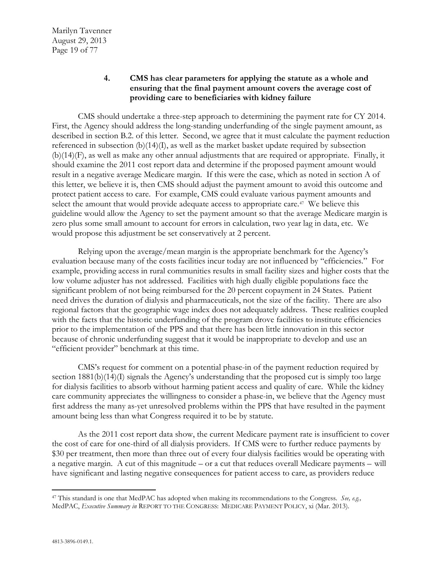# **4. CMS has clear parameters for applying the statute as a whole and ensuring that the final payment amount covers the average cost of providing care to beneficiaries with kidney failure**

CMS should undertake a three-step approach to determining the payment rate for CY 2014. First, the Agency should address the long-standing underfunding of the single payment amount, as described in section B.2. of this letter. Second, we agree that it must calculate the payment reduction referenced in subsection  $(b)(14)(I)$ , as well as the market basket update required by subsection (b)(14)(F), as well as make any other annual adjustments that are required or appropriate. Finally, it should examine the 2011 cost report data and determine if the proposed payment amount would result in a negative average Medicare margin. If this were the case, which as noted in section A of this letter, we believe it is, then CMS should adjust the payment amount to avoid this outcome and protect patient access to care. For example, CMS could evaluate various payment amounts and select the amount that would provide adequate access to appropriate care.<sup>[47](#page-18-0)</sup> We believe this guideline would allow the Agency to set the payment amount so that the average Medicare margin is zero plus some small amount to account for errors in calculation, two year lag in data, etc. We would propose this adjustment be set conservatively at 2 percent.

Relying upon the average/mean margin is the appropriate benchmark for the Agency's evaluation because many of the costs facilities incur today are not influenced by "efficiencies." For example, providing access in rural communities results in small facility sizes and higher costs that the low volume adjuster has not addressed. Facilities with high dually eligible populations face the significant problem of not being reimbursed for the 20 percent copayment in 24 States. Patient need drives the duration of dialysis and pharmaceuticals, not the size of the facility. There are also regional factors that the geographic wage index does not adequately address. These realities coupled with the facts that the historic underfunding of the program drove facilities to institute efficiencies prior to the implementation of the PPS and that there has been little innovation in this sector because of chronic underfunding suggest that it would be inappropriate to develop and use an "efficient provider" benchmark at this time.

CMS's request for comment on a potential phase-in of the payment reduction required by section 1881(b)(14)(I) signals the Agency's understanding that the proposed cut is simply too large for dialysis facilities to absorb without harming patient access and quality of care. While the kidney care community appreciates the willingness to consider a phase-in, we believe that the Agency must first address the many as-yet unresolved problems within the PPS that have resulted in the payment amount being less than what Congress required it to be by statute.

As the 2011 cost report data show, the current Medicare payment rate is insufficient to cover the cost of care for one-third of all dialysis providers. If CMS were to further reduce payments by \$30 per treatment, then more than three out of every four dialysis facilities would be operating with a negative margin. A cut of this magnitude – or a cut that reduces overall Medicare payments – will have significant and lasting negative consequences for patient access to care, as providers reduce

<span id="page-18-0"></span> $\overline{a}$ <sup>47</sup> This standard is one that MedPAC has adopted when making its recommendations to the Congress. *See, e.g.,* MedPAC, *Executive Summary in* REPORT TO THE CONGRESS: MEDICARE PAYMENT POLICY, xi (Mar. 2013).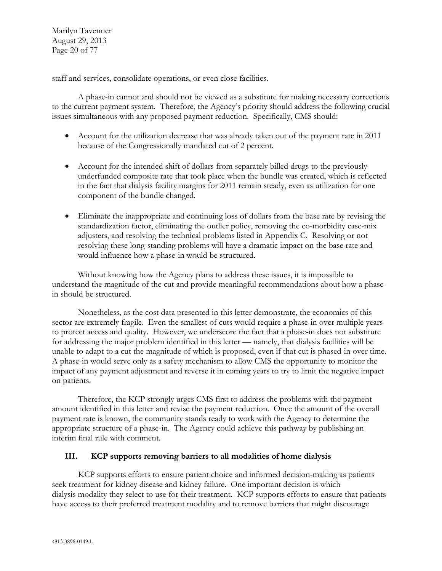Marilyn Tavenner August 29, 2013 Page 20 of 77

staff and services, consolidate operations, or even close facilities.

A phase-in cannot and should not be viewed as a substitute for making necessary corrections to the current payment system. Therefore, the Agency's priority should address the following crucial issues simultaneous with any proposed payment reduction. Specifically, CMS should:

- Account for the utilization decrease that was already taken out of the payment rate in 2011 because of the Congressionally mandated cut of 2 percent.
- Account for the intended shift of dollars from separately billed drugs to the previously underfunded composite rate that took place when the bundle was created, which is reflected in the fact that dialysis facility margins for 2011 remain steady, even as utilization for one component of the bundle changed.
- Eliminate the inappropriate and continuing loss of dollars from the base rate by revising the standardization factor, eliminating the outlier policy, removing the co-morbidity case-mix adjusters, and resolving the technical problems listed in Appendix C. Resolving or not resolving these long-standing problems will have a dramatic impact on the base rate and would influence how a phase-in would be structured.

Without knowing how the Agency plans to address these issues, it is impossible to understand the magnitude of the cut and provide meaningful recommendations about how a phasein should be structured.

Nonetheless, as the cost data presented in this letter demonstrate, the economics of this sector are extremely fragile. Even the smallest of cuts would require a phase-in over multiple years to protect access and quality. However, we underscore the fact that a phase-in does not substitute for addressing the major problem identified in this letter — namely, that dialysis facilities will be unable to adapt to a cut the magnitude of which is proposed, even if that cut is phased-in over time. A phase-in would serve only as a safety mechanism to allow CMS the opportunity to monitor the impact of any payment adjustment and reverse it in coming years to try to limit the negative impact on patients.

Therefore, the KCP strongly urges CMS first to address the problems with the payment amount identified in this letter and revise the payment reduction. Once the amount of the overall payment rate is known, the community stands ready to work with the Agency to determine the appropriate structure of a phase-in. The Agency could achieve this pathway by publishing an interim final rule with comment.

#### **III. KCP supports removing barriers to all modalities of home dialysis**

KCP supports efforts to ensure patient choice and informed decision-making as patients seek treatment for kidney disease and kidney failure. One important decision is which dialysis modality they select to use for their treatment. KCP supports efforts to ensure that patients have access to their preferred treatment modality and to remove barriers that might discourage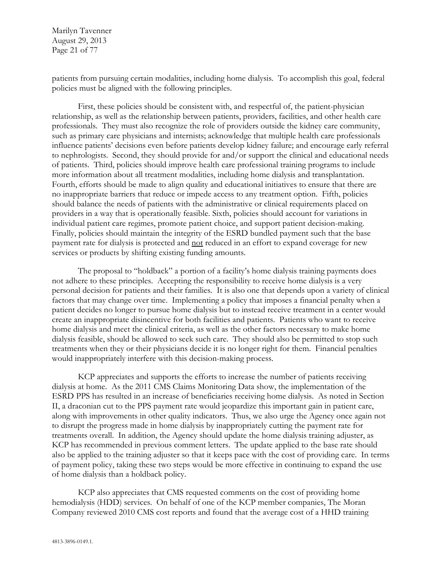Marilyn Tavenner August 29, 2013 Page 21 of 77

patients from pursuing certain modalities, including home dialysis. To accomplish this goal, federal policies must be aligned with the following principles.

First, these policies should be consistent with, and respectful of, the patient-physician relationship, as well as the relationship between patients, providers, facilities, and other health care professionals. They must also recognize the role of providers outside the kidney care community, such as primary care physicians and internists; acknowledge that multiple health care professionals influence patients' decisions even before patients develop kidney failure; and encourage early referral to nephrologists. Second, they should provide for and/or support the clinical and educational needs of patients. Third, policies should improve health care professional training programs to include more information about all treatment modalities, including home dialysis and transplantation. Fourth, efforts should be made to align quality and educational initiatives to ensure that there are no inappropriate barriers that reduce or impede access to any treatment option. Fifth, policies should balance the needs of patients with the administrative or clinical requirements placed on providers in a way that is operationally feasible. Sixth, policies should account for variations in individual patient care regimes, promote patient choice, and support patient decision-making. Finally, policies should maintain the integrity of the ESRD bundled payment such that the base payment rate for dialysis is protected and not reduced in an effort to expand coverage for new services or products by shifting existing funding amounts.

The proposal to "holdback" a portion of a facility's home dialysis training payments does not adhere to these principles. Accepting the responsibility to receive home dialysis is a very personal decision for patients and their families. It is also one that depends upon a variety of clinical factors that may change over time. Implementing a policy that imposes a financial penalty when a patient decides no longer to pursue home dialysis but to instead receive treatment in a center would create an inappropriate disincentive for both facilities and patients. Patients who want to receive home dialysis and meet the clinical criteria, as well as the other factors necessary to make home dialysis feasible, should be allowed to seek such care. They should also be permitted to stop such treatments when they or their physicians decide it is no longer right for them. Financial penalties would inappropriately interfere with this decision-making process.

KCP appreciates and supports the efforts to increase the number of patients receiving dialysis at home. As the 2011 CMS Claims Monitoring Data show, the implementation of the ESRD PPS has resulted in an increase of beneficiaries receiving home dialysis. As noted in Section II, a draconian cut to the PPS payment rate would jeopardize this important gain in patient care, along with improvements in other quality indicators. Thus, we also urge the Agency once again not to disrupt the progress made in home dialysis by inappropriately cutting the payment rate for treatments overall. In addition, the Agency should update the home dialysis training adjuster, as KCP has recommended in previous comment letters. The update applied to the base rate should also be applied to the training adjuster so that it keeps pace with the cost of providing care. In terms of payment policy, taking these two steps would be more effective in continuing to expand the use of home dialysis than a holdback policy.

KCP also appreciates that CMS requested comments on the cost of providing home hemodialysis (HDD) services. On behalf of one of the KCP member companies, The Moran Company reviewed 2010 CMS cost reports and found that the average cost of a HHD training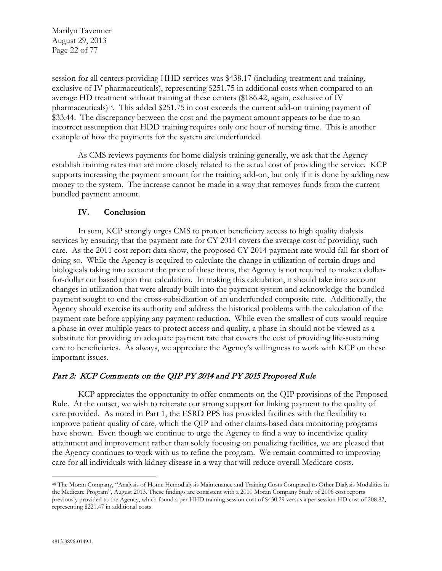Marilyn Tavenner August 29, 2013 Page 22 of 77

session for all centers providing HHD services was \$438.17 (including treatment and training, exclusive of IV pharmaceuticals), representing \$251.75 in additional costs when compared to an average HD treatment without training at these centers (\$186.42, again, exclusive of IV pharmaceuticals)[48](#page-21-0). This added \$251.75 in cost exceeds the current add-on training payment of \$33.44. The discrepancy between the cost and the payment amount appears to be due to an incorrect assumption that HDD training requires only one hour of nursing time. This is another example of how the payments for the system are underfunded.

As CMS reviews payments for home dialysis training generally, we ask that the Agency establish training rates that are more closely related to the actual cost of providing the service. KCP supports increasing the payment amount for the training add-on, but only if it is done by adding new money to the system. The increase cannot be made in a way that removes funds from the current bundled payment amount.

#### **IV. Conclusion**

In sum, KCP strongly urges CMS to protect beneficiary access to high quality dialysis services by ensuring that the payment rate for CY 2014 covers the average cost of providing such care. As the 2011 cost report data show, the proposed CY 2014 payment rate would fall far short of doing so. While the Agency is required to calculate the change in utilization of certain drugs and biologicals taking into account the price of these items, the Agency is not required to make a dollarfor-dollar cut based upon that calculation. In making this calculation, it should take into account changes in utilization that were already built into the payment system and acknowledge the bundled payment sought to end the cross-subsidization of an underfunded composite rate. Additionally, the Agency should exercise its authority and address the historical problems with the calculation of the payment rate before applying any payment reduction. While even the smallest of cuts would require a phase-in over multiple years to protect access and quality, a phase-in should not be viewed as a substitute for providing an adequate payment rate that covers the cost of providing life-sustaining care to beneficiaries. As always, we appreciate the Agency's willingness to work with KCP on these important issues.

## Part 2: KCP Comments on the QIP PY 2014 and PY 2015 Proposed Rule

KCP appreciates the opportunity to offer comments on the QIP provisions of the Proposed Rule. At the outset, we wish to reiterate our strong support for linking payment to the quality of care provided. As noted in Part 1, the ESRD PPS has provided facilities with the flexibility to improve patient quality of care, which the QIP and other claims-based data monitoring programs have shown. Even though we continue to urge the Agency to find a way to incentivize quality attainment and improvement rather than solely focusing on penalizing facilities, we are pleased that the Agency continues to work with us to refine the program. We remain committed to improving care for all individuals with kidney disease in a way that will reduce overall Medicare costs.

 $\overline{a}$ 

<span id="page-21-0"></span><sup>48</sup> The Moran Company, "Analysis of Home Hemodialysis Maintenance and Training Costs Compared to Other Dialysis Modalities in the Medicare Program", August 2013. These findings are consistent with a 2010 Moran Company Study of 2006 cost reports previously provided to the Agency, which found a per HHD training session cost of \$430.29 versus a per session HD cost of 208.82, representing \$221.47 in additional costs.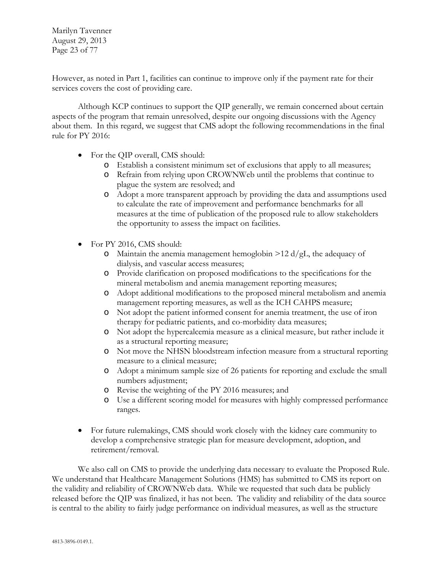Marilyn Tavenner August 29, 2013 Page 23 of 77

However, as noted in Part 1, facilities can continue to improve only if the payment rate for their services covers the cost of providing care.

Although KCP continues to support the QIP generally, we remain concerned about certain aspects of the program that remain unresolved, despite our ongoing discussions with the Agency about them. In this regard, we suggest that CMS adopt the following recommendations in the final rule for PY 2016:

- For the QIP overall, CMS should:
	- o Establish a consistent minimum set of exclusions that apply to all measures;
	- o Refrain from relying upon CROWNWeb until the problems that continue to plague the system are resolved; and
	- o Adopt a more transparent approach by providing the data and assumptions used to calculate the rate of improvement and performance benchmarks for all measures at the time of publication of the proposed rule to allow stakeholders the opportunity to assess the impact on facilities.
- For PY 2016, CMS should:
	- o Maintain the anemia management hemoglobin  $>12 d/gL$ , the adequacy of dialysis, and vascular access measures;
	- o Provide clarification on proposed modifications to the specifications for the mineral metabolism and anemia management reporting measures;
	- o Adopt additional modifications to the proposed mineral metabolism and anemia management reporting measures, as well as the ICH CAHPS measure;
	- o Not adopt the patient informed consent for anemia treatment, the use of iron therapy for pediatric patients, and co-morbidity data measures;
	- o Not adopt the hypercalcemia measure as a clinical measure, but rather include it as a structural reporting measure;
	- o Not move the NHSN bloodstream infection measure from a structural reporting measure to a clinical measure;
	- o Adopt a minimum sample size of 26 patients for reporting and exclude the small numbers adjustment;
	- o Revise the weighting of the PY 2016 measures; and
	- o Use a different scoring model for measures with highly compressed performance ranges.
- For future rulemakings, CMS should work closely with the kidney care community to develop a comprehensive strategic plan for measure development, adoption, and retirement/removal.

We also call on CMS to provide the underlying data necessary to evaluate the Proposed Rule. We understand that Healthcare Management Solutions (HMS) has submitted to CMS its report on the validity and reliability of CROWNWeb data. While we requested that such data be publicly released before the QIP was finalized, it has not been. The validity and reliability of the data source is central to the ability to fairly judge performance on individual measures, as well as the structure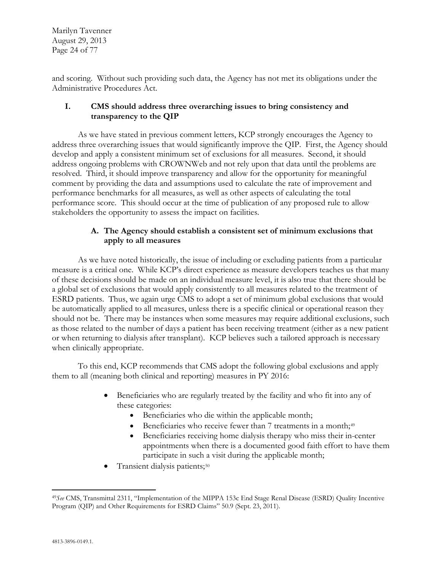Marilyn Tavenner August 29, 2013 Page 24 of 77

and scoring. Without such providing such data, the Agency has not met its obligations under the Administrative Procedures Act.

# **I. CMS should address three overarching issues to bring consistency and transparency to the QIP**

As we have stated in previous comment letters, KCP strongly encourages the Agency to address three overarching issues that would significantly improve the QIP. First, the Agency should develop and apply a consistent minimum set of exclusions for all measures. Second, it should address ongoing problems with CROWNWeb and not rely upon that data until the problems are resolved. Third, it should improve transparency and allow for the opportunity for meaningful comment by providing the data and assumptions used to calculate the rate of improvement and performance benchmarks for all measures, as well as other aspects of calculating the total performance score. This should occur at the time of publication of any proposed rule to allow stakeholders the opportunity to assess the impact on facilities.

# **A. The Agency should establish a consistent set of minimum exclusions that apply to all measures**

As we have noted historically, the issue of including or excluding patients from a particular measure is a critical one. While KCP's direct experience as measure developers teaches us that many of these decisions should be made on an individual measure level, it is also true that there should be a global set of exclusions that would apply consistently to all measures related to the treatment of ESRD patients. Thus, we again urge CMS to adopt a set of minimum global exclusions that would be automatically applied to all measures, unless there is a specific clinical or operational reason they should not be. There may be instances when some measures may require additional exclusions, such as those related to the number of days a patient has been receiving treatment (either as a new patient or when returning to dialysis after transplant). KCP believes such a tailored approach is necessary when clinically appropriate.

To this end, KCP recommends that CMS adopt the following global exclusions and apply them to all (meaning both clinical and reporting) measures in PY 2016:

- Beneficiaries who are regularly treated by the facility and who fit into any of these categories:
	- Beneficiaries who die within the applicable month;
	- Beneficiaries who receive fewer than 7 treatments in a month;<sup>[49](#page-23-0)</sup>
	- Beneficiaries receiving home dialysis therapy who miss their in-center appointments when there is a documented good faith effort to have them participate in such a visit during the applicable month;
- Transient dialysis patients;<sup>[50](#page-23-1)</sup>

<span id="page-23-1"></span><span id="page-23-0"></span> $\overline{a}$ <sup>49</sup>*See* CMS, Transmittal 2311, "Implementation of the MIPPA 153c End Stage Renal Disease (ESRD) Quality Incentive Program (QIP) and Other Requirements for ESRD Claims" 50.9 (Sept. 23, 2011).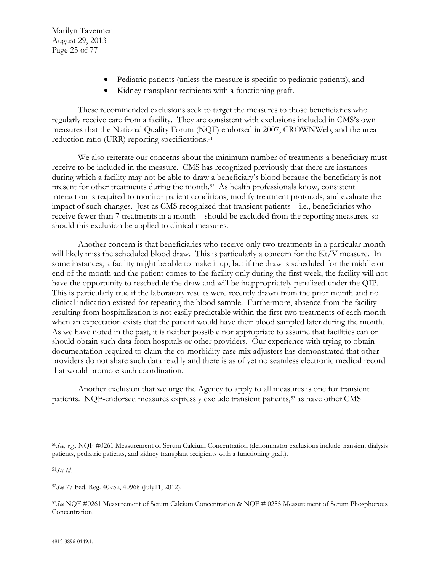Marilyn Tavenner August 29, 2013 Page 25 of 77

- Pediatric patients (unless the measure is specific to pediatric patients); and
- Kidney transplant recipients with a functioning graft.

These recommended exclusions seek to target the measures to those beneficiaries who regularly receive care from a facility. They are consistent with exclusions included in CMS's own measures that the National Quality Forum (NQF) endorsed in 2007, CROWNWeb, and the urea reduction ratio (URR) reporting specifications.<sup>[51](#page-24-0)</sup>

We also reiterate our concerns about the minimum number of treatments a beneficiary must receive to be included in the measure. CMS has recognized previously that there are instances during which a facility may not be able to draw a beneficiary's blood because the beneficiary is not present for other treatments during the month.[52](#page-24-1) As health professionals know, consistent interaction is required to monitor patient conditions, modify treatment protocols, and evaluate the impact of such changes. Just as CMS recognized that transient patients—i.e., beneficiaries who receive fewer than 7 treatments in a month—should be excluded from the reporting measures, so should this exclusion be applied to clinical measures.

Another concern is that beneficiaries who receive only two treatments in a particular month will likely miss the scheduled blood draw. This is particularly a concern for the Kt/V measure. In some instances, a facility might be able to make it up, but if the draw is scheduled for the middle or end of the month and the patient comes to the facility only during the first week, the facility will not have the opportunity to reschedule the draw and will be inappropriately penalized under the QIP. This is particularly true if the laboratory results were recently drawn from the prior month and no clinical indication existed for repeating the blood sample. Furthermore, absence from the facility resulting from hospitalization is not easily predictable within the first two treatments of each month when an expectation exists that the patient would have their blood sampled later during the month. As we have noted in the past, it is neither possible nor appropriate to assume that facilities can or should obtain such data from hospitals or other providers. Our experience with trying to obtain documentation required to claim the co-morbidity case mix adjusters has demonstrated that other providers do not share such data readily and there is as of yet no seamless electronic medical record that would promote such coordination.

Another exclusion that we urge the Agency to apply to all measures is one for transient patients. NQF-endorsed measures expressly exclude transient patients,[53](#page-24-2) as have other CMS

<span id="page-24-0"></span><sup>51</sup>*See id.*

 $\overline{a}$ 

<span id="page-24-1"></span><sup>52</sup>*See* 77 Fed. Reg. 40952, 40968 (July11, 2012).

<sup>50</sup>*See, e.g.,* NQF #0261 Measurement of Serum Calcium Concentration (denominator exclusions include transient dialysis patients, pediatric patients, and kidney transplant recipients with a functioning graft).

<span id="page-24-2"></span><sup>53</sup>*See* NQF #0261 Measurement of Serum Calcium Concentration & NQF # 0255 Measurement of Serum Phosphorous Concentration.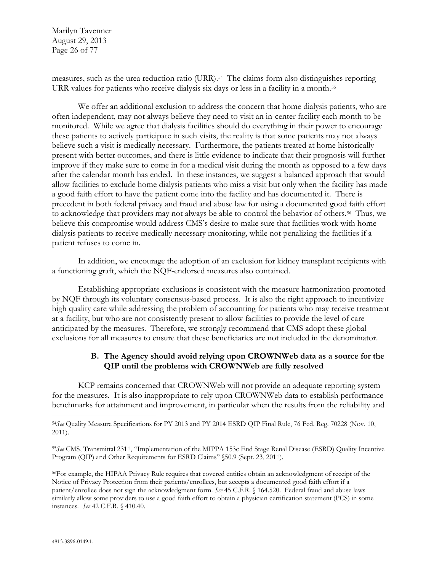Marilyn Tavenner August 29, 2013 Page 26 of 77

measures, such as the urea reduction ratio (URR).[54](#page-25-0) The claims form also distinguishes reporting URR values for patients who receive dialysis six days or less in a facility in a month.<sup>[55](#page-25-1)</sup>

We offer an additional exclusion to address the concern that home dialysis patients, who are often independent, may not always believe they need to visit an in-center facility each month to be monitored. While we agree that dialysis facilities should do everything in their power to encourage these patients to actively participate in such visits, the reality is that some patients may not always believe such a visit is medically necessary. Furthermore, the patients treated at home historically present with better outcomes, and there is little evidence to indicate that their prognosis will further improve if they make sure to come in for a medical visit during the month as opposed to a few days after the calendar month has ended. In these instances, we suggest a balanced approach that would allow facilities to exclude home dialysis patients who miss a visit but only when the facility has made a good faith effort to have the patient come into the facility and has documented it. There is precedent in both federal privacy and fraud and abuse law for using a documented good faith effort to acknowledge that providers may not always be able to control the behavior of others.[56](#page-25-2) Thus, we believe this compromise would address CMS's desire to make sure that facilities work with home dialysis patients to receive medically necessary monitoring, while not penalizing the facilities if a patient refuses to come in.

In addition, we encourage the adoption of an exclusion for kidney transplant recipients with a functioning graft, which the NQF-endorsed measures also contained.

Establishing appropriate exclusions is consistent with the measure harmonization promoted by NQF through its voluntary consensus-based process. It is also the right approach to incentivize high quality care while addressing the problem of accounting for patients who may receive treatment at a facility, but who are not consistently present to allow facilities to provide the level of care anticipated by the measures. Therefore, we strongly recommend that CMS adopt these global exclusions for all measures to ensure that these beneficiaries are not included in the denominator.

## **B. The Agency should avoid relying upon CROWNWeb data as a source for the QIP until the problems with CROWNWeb are fully resolved**

KCP remains concerned that CROWNWeb will not provide an adequate reporting system for the measures. It is also inappropriate to rely upon CROWNWeb data to establish performance benchmarks for attainment and improvement, in particular when the results from the reliability and

 $\overline{a}$ 

<span id="page-25-0"></span><sup>54</sup>*See* Quality Measure Specifications for PY 2013 and PY 2014 ESRD QIP Final Rule, 76 Fed. Reg. 70228 (Nov. 10, 2011).

<span id="page-25-1"></span><sup>55</sup>*See* CMS, Transmittal 2311, "Implementation of the MIPPA 153c End Stage Renal Disease (ESRD) Quality Incentive Program (QIP) and Other Requirements for ESRD Claims" (50.9 (Sept. 23, 2011).

<span id="page-25-2"></span><sup>56</sup>For example, the HIPAA Privacy Rule requires that covered entities obtain an acknowledgment of receipt of the Notice of Privacy Protection from their patients/enrollees, but accepts a documented good faith effort if a patient/enrollee does not sign the acknowledgment form. *See* 45 C.F.R. § 164.520. Federal fraud and abuse laws similarly allow some providers to use a good faith effort to obtain a physician certification statement (PCS) in some instances. *See* 42 C.F.R. § 410.40.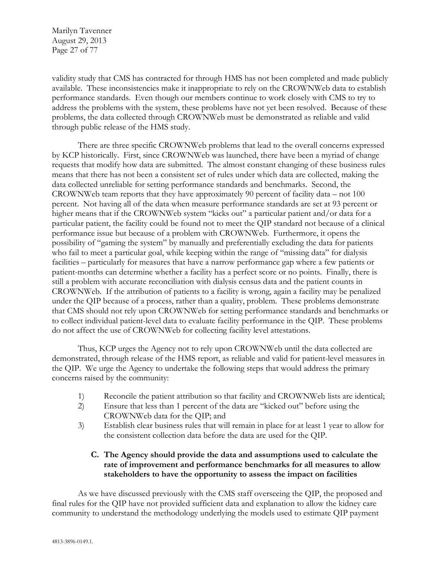Marilyn Tavenner August 29, 2013 Page 27 of 77

validity study that CMS has contracted for through HMS has not been completed and made publicly available. These inconsistencies make it inappropriate to rely on the CROWNWeb data to establish performance standards. Even though our members continue to work closely with CMS to try to address the problems with the system, these problems have not yet been resolved. Because of these problems, the data collected through CROWNWeb must be demonstrated as reliable and valid through public release of the HMS study.

There are three specific CROWNWeb problems that lead to the overall concerns expressed by KCP historically. First, since CROWNWeb was launched, there have been a myriad of change requests that modify how data are submitted. The almost constant changing of these business rules means that there has not been a consistent set of rules under which data are collected, making the data collected unreliable for setting performance standards and benchmarks. Second, the CROWNWeb team reports that they have approximately 90 percent of facility data – not 100 percent. Not having all of the data when measure performance standards are set at 93 percent or higher means that if the CROWNWeb system "kicks out" a particular patient and/or data for a particular patient, the facility could be found not to meet the QIP standard not because of a clinical performance issue but because of a problem with CROWNWeb. Furthermore, it opens the possibility of "gaming the system" by manually and preferentially excluding the data for patients who fail to meet a particular goal, while keeping within the range of "missing data" for dialysis facilities – particularly for measures that have a narrow performance gap where a few patients or patient-months can determine whether a facility has a perfect score or no points. Finally, there is still a problem with accurate reconciliation with dialysis census data and the patient counts in CROWNWeb. If the attribution of patients to a facility is wrong, again a facility may be penalized under the QIP because of a process, rather than a quality, problem. These problems demonstrate that CMS should not rely upon CROWNWeb for setting performance standards and benchmarks or to collect individual patient-level data to evaluate facility performance in the QIP. These problems do not affect the use of CROWNWeb for collecting facility level attestations.

Thus, KCP urges the Agency not to rely upon CROWNWeb until the data collected are demonstrated, through release of the HMS report, as reliable and valid for patient-level measures in the QIP. We urge the Agency to undertake the following steps that would address the primary concerns raised by the community:

- 1) Reconcile the patient attribution so that facility and CROWNWeb lists are identical;
- 2) Ensure that less than 1 percent of the data are "kicked out" before using the CROWNWeb data for the QIP; and
- 3) Establish clear business rules that will remain in place for at least 1 year to allow for the consistent collection data before the data are used for the QIP.

# **C. The Agency should provide the data and assumptions used to calculate the rate of improvement and performance benchmarks for all measures to allow stakeholders to have the opportunity to assess the impact on facilities**

As we have discussed previously with the CMS staff overseeing the QIP, the proposed and final rules for the QIP have not provided sufficient data and explanation to allow the kidney care community to understand the methodology underlying the models used to estimate QIP payment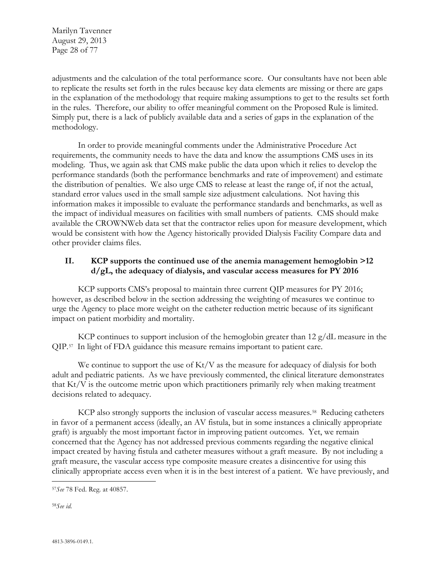Marilyn Tavenner August 29, 2013 Page 28 of 77

adjustments and the calculation of the total performance score. Our consultants have not been able to replicate the results set forth in the rules because key data elements are missing or there are gaps in the explanation of the methodology that require making assumptions to get to the results set forth in the rules. Therefore, our ability to offer meaningful comment on the Proposed Rule is limited. Simply put, there is a lack of publicly available data and a series of gaps in the explanation of the methodology.

In order to provide meaningful comments under the Administrative Procedure Act requirements, the community needs to have the data and know the assumptions CMS uses in its modeling. Thus, we again ask that CMS make public the data upon which it relies to develop the performance standards (both the performance benchmarks and rate of improvement) and estimate the distribution of penalties. We also urge CMS to release at least the range of, if not the actual, standard error values used in the small sample size adjustment calculations. Not having this information makes it impossible to evaluate the performance standards and benchmarks, as well as the impact of individual measures on facilities with small numbers of patients. CMS should make available the CROWNWeb data set that the contractor relies upon for measure development, which would be consistent with how the Agency historically provided Dialysis Facility Compare data and other provider claims files.

#### **II. KCP supports the continued use of the anemia management hemoglobin >12 d/gL, the adequacy of dialysis, and vascular access measures for PY 2016**

KCP supports CMS's proposal to maintain three current QIP measures for PY 2016; however, as described below in the section addressing the weighting of measures we continue to urge the Agency to place more weight on the catheter reduction metric because of its significant impact on patient morbidity and mortality.

KCP continues to support inclusion of the hemoglobin greater than 12 g/dL measure in the QIP.[57](#page-27-0) In light of FDA guidance this measure remains important to patient care.

We continue to support the use of Kt/V as the measure for adequacy of dialysis for both adult and pediatric patients. As we have previously commented, the clinical literature demonstrates that Kt/V is the outcome metric upon which practitioners primarily rely when making treatment decisions related to adequacy.

KCP also strongly supports the inclusion of vascular access measures.<sup>[58](#page-27-1)</sup> Reducing catheters in favor of a permanent access (ideally, an AV fistula, but in some instances a clinically appropriate graft) is arguably the most important factor in improving patient outcomes. Yet, we remain concerned that the Agency has not addressed previous comments regarding the negative clinical impact created by having fistula and catheter measures without a graft measure. By not including a graft measure, the vascular access type composite measure creates a disincentive for using this clinically appropriate access even when it is in the best interest of a patient. We have previously, and

<span id="page-27-1"></span>58*See id.*

 $\overline{a}$ 

<span id="page-27-0"></span><sup>57</sup>*See* 78 Fed. Reg. at 40857.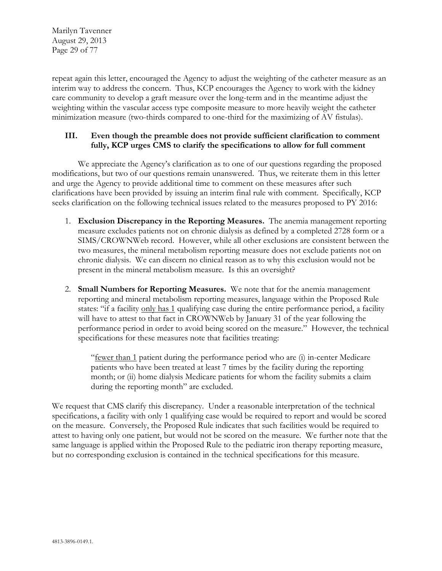Marilyn Tavenner August 29, 2013 Page 29 of 77

repeat again this letter, encouraged the Agency to adjust the weighting of the catheter measure as an interim way to address the concern. Thus, KCP encourages the Agency to work with the kidney care community to develop a graft measure over the long-term and in the meantime adjust the weighting within the vascular access type composite measure to more heavily weight the catheter minimization measure (two-thirds compared to one-third for the maximizing of AV fistulas).

### **III. Even though the preamble does not provide sufficient clarification to comment fully, KCP urges CMS to clarify the specifications to allow for full comment**

We appreciate the Agency's clarification as to one of our questions regarding the proposed modifications, but two of our questions remain unanswered. Thus, we reiterate them in this letter and urge the Agency to provide additional time to comment on these measures after such clarifications have been provided by issuing an interim final rule with comment. Specifically, KCP seeks clarification on the following technical issues related to the measures proposed to PY 2016:

- 1. **Exclusion Discrepancy in the Reporting Measures.** The anemia management reporting measure excludes patients not on chronic dialysis as defined by a completed 2728 form or a SIMS/CROWNWeb record. However, while all other exclusions are consistent between the two measures, the mineral metabolism reporting measure does not exclude patients not on chronic dialysis. We can discern no clinical reason as to why this exclusion would not be present in the mineral metabolism measure. Is this an oversight?
- 2. **Small Numbers for Reporting Measures.** We note that for the anemia management reporting and mineral metabolism reporting measures, language within the Proposed Rule states: "if a facility only has 1 qualifying case during the entire performance period, a facility will have to attest to that fact in CROWNWeb by January 31 of the year following the performance period in order to avoid being scored on the measure." However, the technical specifications for these measures note that facilities treating:

"fewer than 1 patient during the performance period who are (i) in-center Medicare patients who have been treated at least 7 times by the facility during the reporting month; or (ii) home dialysis Medicare patients for whom the facility submits a claim during the reporting month" are excluded.

We request that CMS clarify this discrepancy. Under a reasonable interpretation of the technical specifications, a facility with only 1 qualifying case would be required to report and would be scored on the measure. Conversely, the Proposed Rule indicates that such facilities would be required to attest to having only one patient, but would not be scored on the measure. We further note that the same language is applied within the Proposed Rule to the pediatric iron therapy reporting measure, but no corresponding exclusion is contained in the technical specifications for this measure.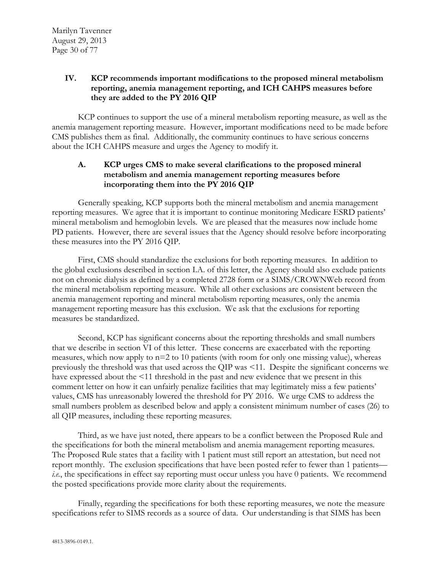## **IV. KCP recommends important modifications to the proposed mineral metabolism reporting, anemia management reporting, and ICH CAHPS measures before they are added to the PY 2016 QIP**

KCP continues to support the use of a mineral metabolism reporting measure, as well as the anemia management reporting measure. However, important modifications need to be made before CMS publishes them as final. Additionally, the community continues to have serious concerns about the ICH CAHPS measure and urges the Agency to modify it.

## **A. KCP urges CMS to make several clarifications to the proposed mineral metabolism and anemia management reporting measures before incorporating them into the PY 2016 QIP**

Generally speaking, KCP supports both the mineral metabolism and anemia management reporting measures. We agree that it is important to continue monitoring Medicare ESRD patients' mineral metabolism and hemoglobin levels. We are pleased that the measures now include home PD patients. However, there are several issues that the Agency should resolve before incorporating these measures into the PY 2016 QIP.

First, CMS should standardize the exclusions for both reporting measures. In addition to the global exclusions described in section I.A. of this letter, the Agency should also exclude patients not on chronic dialysis as defined by a completed 2728 form or a SIMS/CROWNWeb record from the mineral metabolism reporting measure. While all other exclusions are consistent between the anemia management reporting and mineral metabolism reporting measures, only the anemia management reporting measure has this exclusion. We ask that the exclusions for reporting measures be standardized.

Second, KCP has significant concerns about the reporting thresholds and small numbers that we describe in section VI of this letter. These concerns are exacerbated with the reporting measures, which now apply to n=2 to 10 patients (with room for only one missing value), whereas previously the threshold was that used across the QIP was <11. Despite the significant concerns we have expressed about the <11 threshold in the past and new evidence that we present in this comment letter on how it can unfairly penalize facilities that may legitimately miss a few patients' values, CMS has unreasonably lowered the threshold for PY 2016. We urge CMS to address the small numbers problem as described below and apply a consistent minimum number of cases (26) to all QIP measures, including these reporting measures.

Third, as we have just noted, there appears to be a conflict between the Proposed Rule and the specifications for both the mineral metabolism and anemia management reporting measures. The Proposed Rule states that a facility with 1 patient must still report an attestation, but need not report monthly. The exclusion specifications that have been posted refer to fewer than 1 patients *i.e.*, the specifications in effect say reporting must occur unless you have 0 patients. We recommend the posted specifications provide more clarity about the requirements.

Finally, regarding the specifications for both these reporting measures, we note the measure specifications refer to SIMS records as a source of data. Our understanding is that SIMS has been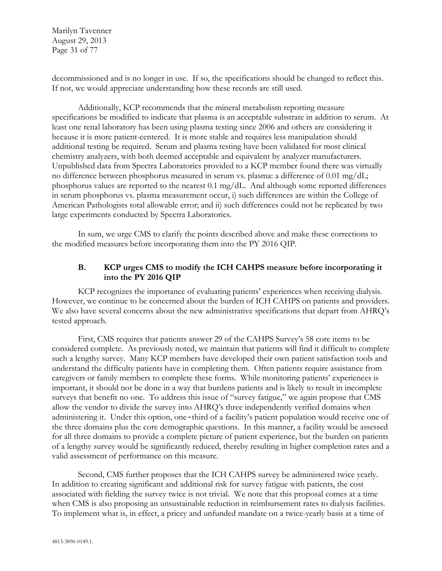Marilyn Tavenner August 29, 2013 Page 31 of 77

decommissioned and is no longer in use. If so, the specifications should be changed to reflect this. If not, we would appreciate understanding how these records are still used.

Additionally, KCP recommends that the mineral metabolism reporting measure specifications be modified to indicate that plasma is an acceptable substrate in addition to serum. At least one renal laboratory has been using plasma testing since 2006 and others are considering it because it is more patient-centered. It is more stable and requires less manipulation should additional testing be required. Serum and plasma testing have been validated for most clinical chemistry analyzers, with both deemed acceptable and equivalent by analyzer manufacturers. Unpublished data from Spectra Laboratories provided to a KCP member found there was virtually no difference between phosphorus measured in serum vs. plasma: a difference of 0.01 mg/dL; phosphorus values are reported to the nearest 0.1 mg/dL. And although some reported differences in serum phosphorus vs. plasma measurement occur, i) such differences are within the College of American Pathologists total allowable error; and ii) such differences could not be replicated by two large experiments conducted by Spectra Laboratories.

In sum, we urge CMS to clarify the points described above and make these corrections to the modified measures before incorporating them into the PY 2016 QIP.

# **B. KCP urges CMS to modify the ICH CAHPS measure before incorporating it into the PY 2016 QIP**

KCP recognizes the importance of evaluating patients' experiences when receiving dialysis. However, we continue to be concerned about the burden of ICH CAHPS on patients and providers. We also have several concerns about the new administrative specifications that depart from AHRQ's tested approach.

First, CMS requires that patients answer 29 of the CAHPS Survey's 58 core items to be considered complete. As previously noted, we maintain that patients will find it difficult to complete such a lengthy survey. Many KCP members have developed their own patient satisfaction tools and understand the difficulty patients have in completing them. Often patients require assistance from caregivers or family members to complete these forms. While monitoring patients' experiences is important, it should not be done in a way that burdens patients and is likely to result in incomplete surveys that benefit no one. To address this issue of "survey fatigue," we again propose that CMS allow the vendor to divide the survey into AHRQ's three independently verified domains when administering it. Under this option, one-third of a facility's patient population would receive one of the three domains plus the core demographic questions. In this manner, a facility would be assessed for all three domains to provide a complete picture of patient experience, but the burden on patients of a lengthy survey would be significantly reduced, thereby resulting in higher completion rates and a valid assessment of performance on this measure.

Second, CMS further proposes that the ICH CAHPS survey be administered twice yearly. In addition to creating significant and additional risk for survey fatigue with patients, the cost associated with fielding the survey twice is not trivial. We note that this proposal comes at a time when CMS is also proposing an unsustainable reduction in reimbursement rates to dialysis facilities. To implement what is, in effect, a pricey and unfunded mandate on a twice-yearly basis at a time of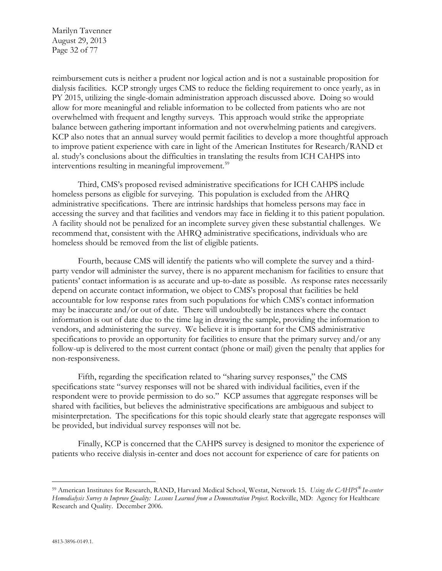Marilyn Tavenner August 29, 2013 Page 32 of 77

reimbursement cuts is neither a prudent nor logical action and is not a sustainable proposition for dialysis facilities. KCP strongly urges CMS to reduce the fielding requirement to once yearly, as in PY 2015, utilizing the single-domain administration approach discussed above. Doing so would allow for more meaningful and reliable information to be collected from patients who are not overwhelmed with frequent and lengthy surveys. This approach would strike the appropriate balance between gathering important information and not overwhelming patients and caregivers. KCP also notes that an annual survey would permit facilities to develop a more thoughtful approach to improve patient experience with care in light of the American Institutes for Research/RAND et al. study's conclusions about the difficulties in translating the results from ICH CAHPS into interventions resulting in meaningful improvement.<sup>59</sup>

Third, CMS's proposed revised administrative specifications for ICH CAHPS include homeless persons as eligible for surveying. This population is excluded from the AHRQ administrative specifications. There are intrinsic hardships that homeless persons may face in accessing the survey and that facilities and vendors may face in fielding it to this patient population. A facility should not be penalized for an incomplete survey given these substantial challenges. We recommend that, consistent with the AHRQ administrative specifications, individuals who are homeless should be removed from the list of eligible patients.

Fourth, because CMS will identify the patients who will complete the survey and a thirdparty vendor will administer the survey, there is no apparent mechanism for facilities to ensure that patients' contact information is as accurate and up-to-date as possible. As response rates necessarily depend on accurate contact information, we object to CMS's proposal that facilities be held accountable for low response rates from such populations for which CMS's contact information may be inaccurate and/or out of date. There will undoubtedly be instances where the contact information is out of date due to the time lag in drawing the sample, providing the information to vendors, and administering the survey. We believe it is important for the CMS administrative specifications to provide an opportunity for facilities to ensure that the primary survey and/or any follow-up is delivered to the most current contact (phone or mail) given the penalty that applies for non-responsiveness.

Fifth, regarding the specification related to "sharing survey responses," the CMS specifications state "survey responses will not be shared with individual facilities, even if the respondent were to provide permission to do so." KCP assumes that aggregate responses will be shared with facilities, but believes the administrative specifications are ambiguous and subject to misinterpretation. The specifications for this topic should clearly state that aggregate responses will be provided, but individual survey responses will not be.

Finally, KCP is concerned that the CAHPS survey is designed to monitor the experience of patients who receive dialysis in-center and does not account for experience of care for patients on

 $\overline{a}$ 

<span id="page-31-0"></span><sup>59</sup> American Institutes for Research, RAND, Harvard Medical School, Westat, Network 15. *Using the CAHPS® In-center Hemodialysis Survey to Improve Quality: Lessons Learned from a Demonstration Project*. Rockville, MD: Agency for Healthcare Research and Quality. December 2006.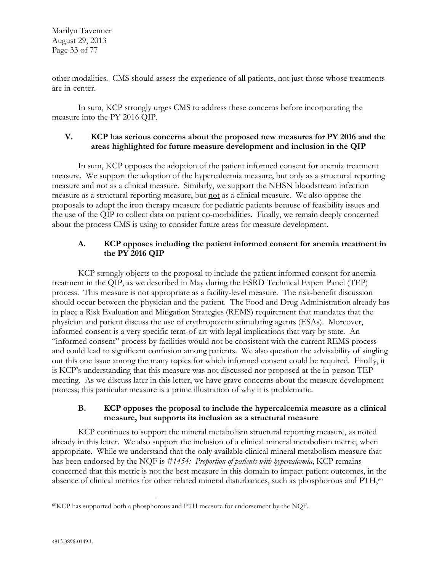Marilyn Tavenner August 29, 2013 Page 33 of 77

other modalities. CMS should assess the experience of all patients, not just those whose treatments are in-center.

In sum, KCP strongly urges CMS to address these concerns before incorporating the measure into the PY 2016 QIP.

## **V. KCP has serious concerns about the proposed new measures for PY 2016 and the areas highlighted for future measure development and inclusion in the QIP**

In sum, KCP opposes the adoption of the patient informed consent for anemia treatment measure. We support the adoption of the hypercalcemia measure, but only as a structural reporting measure and not as a clinical measure. Similarly, we support the NHSN bloodstream infection measure as a structural reporting measure, but not as a clinical measure. We also oppose the proposals to adopt the iron therapy measure for pediatric patients because of feasibility issues and the use of the QIP to collect data on patient co-morbidities. Finally, we remain deeply concerned about the process CMS is using to consider future areas for measure development.

# **A. KCP opposes including the patient informed consent for anemia treatment in the PY 2016 QIP**

KCP strongly objects to the proposal to include the patient informed consent for anemia treatment in the QIP, as we described in May during the ESRD Technical Expert Panel (TEP) process. This measure is not appropriate as a facility-level measure. The risk-benefit discussion should occur between the physician and the patient. The Food and Drug Administration already has in place a Risk Evaluation and Mitigation Strategies (REMS) requirement that mandates that the physician and patient discuss the use of erythropoietin stimulating agents (ESAs). Moreover, informed consent is a very specific term-of-art with legal implications that vary by state. An "informed consent" process by facilities would not be consistent with the current REMS process and could lead to significant confusion among patients. We also question the advisability of singling out this one issue among the many topics for which informed consent could be required. Finally, it is KCP's understanding that this measure was not discussed nor proposed at the in-person TEP meeting. As we discuss later in this letter, we have grave concerns about the measure development process; this particular measure is a prime illustration of why it is problematic.

## **B. KCP opposes the proposal to include the hypercalcemia measure as a clinical measure, but supports its inclusion as a structural measure**

KCP continues to support the mineral metabolism structural reporting measure, as noted already in this letter. We also support the inclusion of a clinical mineral metabolism metric, when appropriate. While we understand that the only available clinical mineral metabolism measure that has been endorsed by the NQF is *#1454: Proportion of patients with hypercalcemia*, KCP remains concerned that this metric is not the best measure in this domain to impact patient outcomes, in the absence of clinical metrics for other related mineral disturbances, such as phosphorous and PTH,<sup>[60](#page-32-0)</sup>

<span id="page-32-0"></span> $\overline{a}$ 60KCP has supported both a phosphorous and PTH measure for endorsement by the NQF.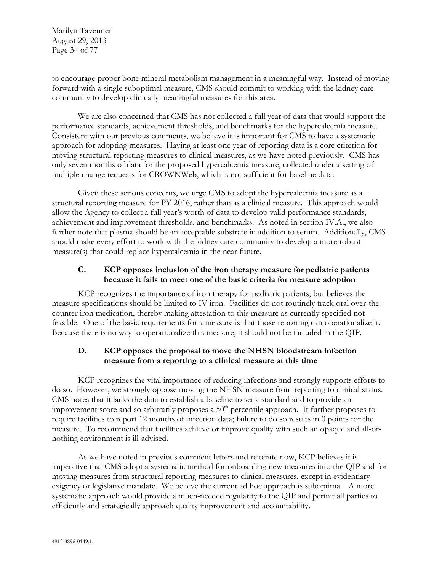Marilyn Tavenner August 29, 2013 Page 34 of 77

to encourage proper bone mineral metabolism management in a meaningful way. Instead of moving forward with a single suboptimal measure, CMS should commit to working with the kidney care community to develop clinically meaningful measures for this area.

We are also concerned that CMS has not collected a full year of data that would support the performance standards, achievement thresholds, and benchmarks for the hypercalcemia measure. Consistent with our previous comments, we believe it is important for CMS to have a systematic approach for adopting measures. Having at least one year of reporting data is a core criterion for moving structural reporting measures to clinical measures, as we have noted previously. CMS has only seven months of data for the proposed hypercalcemia measure, collected under a setting of multiple change requests for CROWNWeb, which is not sufficient for baseline data.

Given these serious concerns, we urge CMS to adopt the hypercalcemia measure as a structural reporting measure for PY 2016, rather than as a clinical measure. This approach would allow the Agency to collect a full year's worth of data to develop valid performance standards, achievement and improvement thresholds, and benchmarks. As noted in section IV.A., we also further note that plasma should be an acceptable substrate in addition to serum. Additionally, CMS should make every effort to work with the kidney care community to develop a more robust measure(s) that could replace hypercalcemia in the near future.

# **C. KCP opposes inclusion of the iron therapy measure for pediatric patients because it fails to meet one of the basic criteria for measure adoption**

KCP recognizes the importance of iron therapy for pediatric patients, but believes the measure specifications should be limited to IV iron. Facilities do not routinely track oral over-thecounter iron medication, thereby making attestation to this measure as currently specified not feasible. One of the basic requirements for a measure is that those reporting can operationalize it. Because there is no way to operationalize this measure, it should not be included in the QIP.

# **D. KCP opposes the proposal to move the NHSN bloodstream infection measure from a reporting to a clinical measure at this time**

KCP recognizes the vital importance of reducing infections and strongly supports efforts to do so. However, we strongly oppose moving the NHSN measure from reporting to clinical status. CMS notes that it lacks the data to establish a baseline to set a standard and to provide an improvement score and so arbitrarily proposes a  $50<sup>th</sup>$  percentile approach. It further proposes to require facilities to report 12 months of infection data; failure to do so results in 0 points for the measure. To recommend that facilities achieve or improve quality with such an opaque and all-ornothing environment is ill-advised.

As we have noted in previous comment letters and reiterate now, KCP believes it is imperative that CMS adopt a systematic method for onboarding new measures into the QIP and for moving measures from structural reporting measures to clinical measures, except in evidentiary exigency or legislative mandate. We believe the current ad hoc approach is suboptimal. A more systematic approach would provide a much-needed regularity to the QIP and permit all parties to efficiently and strategically approach quality improvement and accountability.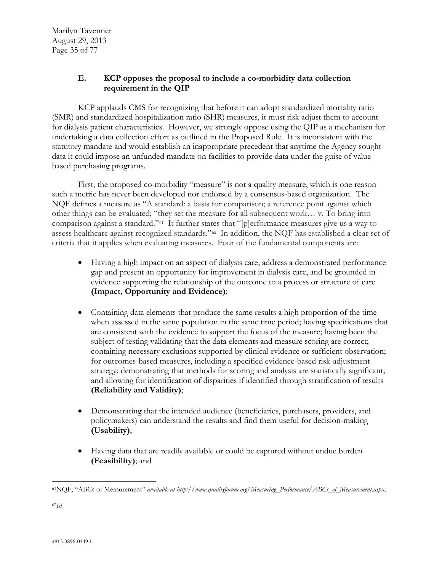# **E. KCP opposes the proposal to include a co-morbidity data collection requirement in the QIP**

KCP applauds CMS for recognizing that before it can adopt standardized mortality ratio (SMR) and standardized hospitalization ratio (SHR) measures, it must risk adjust them to account for dialysis patient characteristics. However, we strongly oppose using the QIP as a mechanism for undertaking a data collection effort as outlined in the Proposed Rule. It is inconsistent with the statutory mandate and would establish an inappropriate precedent that anytime the Agency sought data it could impose an unfunded mandate on facilities to provide data under the guise of valuebased purchasing programs.

First, the proposed co-morbidity "measure" is not a quality measure, which is one reason such a metric has never been developed nor endorsed by a consensus-based organization. The NQF defines a measure as "A standard: a basis for comparison; a reference point against which other things can be evaluated; "they set the measure for all subsequent work… v. To bring into comparison against a standard."[61](#page-34-0) It further states that "[p]erformance measures give us a way to assess healthcare against recognized standards."[62](#page-34-1) In addition, the NQF has established a clear set of criteria that it applies when evaluating measures. Four of the fundamental components are:

- Having a high impact on an aspect of dialysis care, address a demonstrated performance gap and present an opportunity for improvement in dialysis care, and be grounded in evidence supporting the relationship of the outcome to a process or structure of care **(Impact, Opportunity and Evidence)**;
- Containing data elements that produce the same results a high proportion of the time when assessed in the same population in the same time period; having specifications that are consistent with the evidence to support the focus of the measure; having been the subject of testing validating that the data elements and measure scoring are correct; containing necessary exclusions supported by clinical evidence or sufficient observation; for outcomes-based measures, including a specified evidence-based risk-adjustment strategy; demonstrating that methods for scoring and analysis are statistically significant; and allowing for identification of disparities if identified through stratification of results **(Reliability and Validity)**;
- Demonstrating that the intended audience (beneficiaries, purchasers, providers, and policymakers) can understand the results and find them useful for decision-making **(Usability)**;
- Having data that are readily available or could be captured without undue burden **(Feasibility)**; and

<span id="page-34-1"></span><span id="page-34-0"></span> $\overline{a}$ 61NQF, "ABCs of Measurement" *available at http://www.qualityforum.org/Measuring\_Performance/ABCs\_of\_Measurement.aspx.*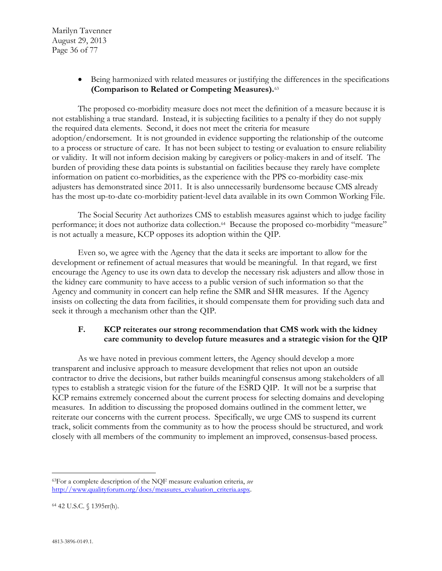• Being harmonized with related measures or justifying the differences in the specifications **(Comparison to Related or Competing Measures).**[63](#page-35-0)

The proposed co-morbidity measure does not meet the definition of a measure because it is not establishing a true standard. Instead, it is subjecting facilities to a penalty if they do not supply the required data elements. Second, it does not meet the criteria for measure adoption/endorsement. It is not grounded in evidence supporting the relationship of the outcome to a process or structure of care. It has not been subject to testing or evaluation to ensure reliability or validity. It will not inform decision making by caregivers or policy-makers in and of itself. The burden of providing these data points is substantial on facilities because they rarely have complete information on patient co-morbidities, as the experience with the PPS co-morbidity case-mix adjusters has demonstrated since 2011. It is also unnecessarily burdensome because CMS already has the most up-to-date co-morbidity patient-level data available in its own Common Working File.

The Social Security Act authorizes CMS to establish measures against which to judge facility performance; it does not authorize data collection.[64](#page-35-1) Because the proposed co-morbidity "measure" is not actually a measure, KCP opposes its adoption within the QIP.

Even so, we agree with the Agency that the data it seeks are important to allow for the development or refinement of actual measures that would be meaningful. In that regard, we first encourage the Agency to use its own data to develop the necessary risk adjusters and allow those in the kidney care community to have access to a public version of such information so that the Agency and community in concert can help refine the SMR and SHR measures. If the Agency insists on collecting the data from facilities, it should compensate them for providing such data and seek it through a mechanism other than the QIP.

# **F. KCP reiterates our strong recommendation that CMS work with the kidney care community to develop future measures and a strategic vision for the QIP**

As we have noted in previous comment letters, the Agency should develop a more transparent and inclusive approach to measure development that relies not upon an outside contractor to drive the decisions, but rather builds meaningful consensus among stakeholders of all types to establish a strategic vision for the future of the ESRD QIP. It will not be a surprise that KCP remains extremely concerned about the current process for selecting domains and developing measures. In addition to discussing the proposed domains outlined in the comment letter, we reiterate our concerns with the current process. Specifically, we urge CMS to suspend its current track, solicit comments from the community as to how the process should be structured, and work closely with all members of the community to implement an improved, consensus-based process.

<span id="page-35-0"></span> $\overline{a}$ 63For a complete description of the NQF measure evaluation criteria, *see* [http://www.qualityforum.org/docs/measures\\_evaluation\\_criteria.aspx.](http://www.qualityforum.org/docs/measures_evaluation_criteria.aspx)

<span id="page-35-1"></span><sup>64</sup> 42 U.S.C. § 1395rr(h).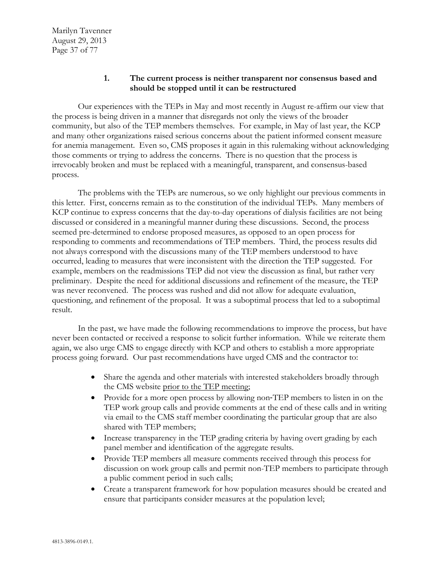#### **1. The current process is neither transparent nor consensus based and should be stopped until it can be restructured**

Our experiences with the TEPs in May and most recently in August re-affirm our view that the process is being driven in a manner that disregards not only the views of the broader community, but also of the TEP members themselves. For example, in May of last year, the KCP and many other organizations raised serious concerns about the patient informed consent measure for anemia management. Even so, CMS proposes it again in this rulemaking without acknowledging those comments or trying to address the concerns. There is no question that the process is irrevocably broken and must be replaced with a meaningful, transparent, and consensus-based process.

The problems with the TEPs are numerous, so we only highlight our previous comments in this letter. First, concerns remain as to the constitution of the individual TEPs. Many members of KCP continue to express concerns that the day-to-day operations of dialysis facilities are not being discussed or considered in a meaningful manner during these discussions. Second, the process seemed pre-determined to endorse proposed measures, as opposed to an open process for responding to comments and recommendations of TEP members. Third, the process results did not always correspond with the discussions many of the TEP members understood to have occurred, leading to measures that were inconsistent with the direction the TEP suggested. For example, members on the readmissions TEP did not view the discussion as final, but rather very preliminary. Despite the need for additional discussions and refinement of the measure, the TEP was never reconvened. The process was rushed and did not allow for adequate evaluation, questioning, and refinement of the proposal. It was a suboptimal process that led to a suboptimal result.

In the past, we have made the following recommendations to improve the process, but have never been contacted or received a response to solicit further information. While we reiterate them again, we also urge CMS to engage directly with KCP and others to establish a more appropriate process going forward. Our past recommendations have urged CMS and the contractor to:

- Share the agenda and other materials with interested stakeholders broadly through the CMS website prior to the TEP meeting;
- Provide for a more open process by allowing non-TEP members to listen in on the TEP work group calls and provide comments at the end of these calls and in writing via email to the CMS staff member coordinating the particular group that are also shared with TEP members;
- Increase transparency in the TEP grading criteria by having overt grading by each panel member and identification of the aggregate results.
- Provide TEP members all measure comments received through this process for discussion on work group calls and permit non-TEP members to participate through a public comment period in such calls;
- Create a transparent framework for how population measures should be created and ensure that participants consider measures at the population level;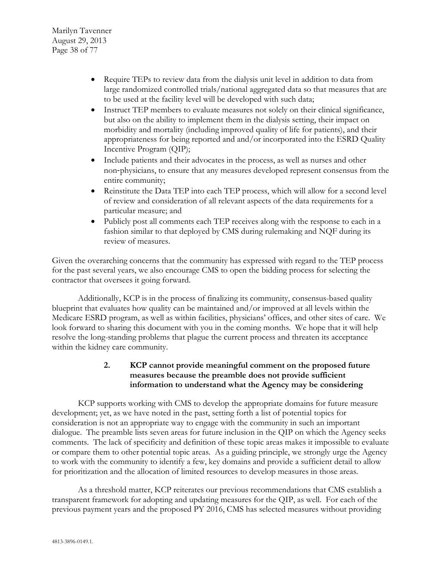Marilyn Tavenner August 29, 2013 Page 38 of 77

- Require TEPs to review data from the dialysis unit level in addition to data from large randomized controlled trials/national aggregated data so that measures that are to be used at the facility level will be developed with such data;
- Instruct TEP members to evaluate measures not solely on their clinical significance, but also on the ability to implement them in the dialysis setting, their impact on morbidity and mortality (including improved quality of life for patients), and their appropriateness for being reported and and/or incorporated into the ESRD Quality Incentive Program (QIP);
- Include patients and their advocates in the process, as well as nurses and other non‐physicians, to ensure that any measures developed represent consensus from the entire community;
- Reinstitute the Data TEP into each TEP process, which will allow for a second level of review and consideration of all relevant aspects of the data requirements for a particular measure; and
- Publicly post all comments each TEP receives along with the response to each in a fashion similar to that deployed by CMS during rulemaking and NQF during its review of measures.

Given the overarching concerns that the community has expressed with regard to the TEP process for the past several years, we also encourage CMS to open the bidding process for selecting the contractor that oversees it going forward.

Additionally, KCP is in the process of finalizing its community, consensus-based quality blueprint that evaluates how quality can be maintained and/or improved at all levels within the Medicare ESRD program, as well as within facilities, physicians' offices, and other sites of care. We look forward to sharing this document with you in the coming months. We hope that it will help resolve the long-standing problems that plague the current process and threaten its acceptance within the kidney care community.

## **2. KCP cannot provide meaningful comment on the proposed future measures because the preamble does not provide sufficient information to understand what the Agency may be considering**

KCP supports working with CMS to develop the appropriate domains for future measure development; yet, as we have noted in the past, setting forth a list of potential topics for consideration is not an appropriate way to engage with the community in such an important dialogue. The preamble lists seven areas for future inclusion in the QIP on which the Agency seeks comments. The lack of specificity and definition of these topic areas makes it impossible to evaluate or compare them to other potential topic areas. As a guiding principle, we strongly urge the Agency to work with the community to identify a few, key domains and provide a sufficient detail to allow for prioritization and the allocation of limited resources to develop measures in those areas.

As a threshold matter, KCP reiterates our previous recommendations that CMS establish a transparent framework for adopting and updating measures for the QIP, as well. For each of the previous payment years and the proposed PY 2016, CMS has selected measures without providing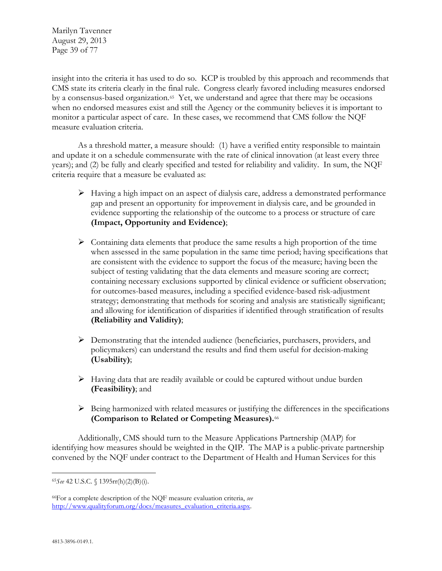Marilyn Tavenner August 29, 2013 Page 39 of 77

insight into the criteria it has used to do so. KCP is troubled by this approach and recommends that CMS state its criteria clearly in the final rule. Congress clearly favored including measures endorsed by a consensus-based organization.<sup>[65](#page-38-0)</sup> Yet, we understand and agree that there may be occasions when no endorsed measures exist and still the Agency or the community believes it is important to monitor a particular aspect of care. In these cases, we recommend that CMS follow the NQF measure evaluation criteria.

As a threshold matter, a measure should: (1) have a verified entity responsible to maintain and update it on a schedule commensurate with the rate of clinical innovation (at least every three years); and (2) be fully and clearly specified and tested for reliability and validity. In sum, the NQF criteria require that a measure be evaluated as:

- $\triangleright$  Having a high impact on an aspect of dialysis care, address a demonstrated performance gap and present an opportunity for improvement in dialysis care, and be grounded in evidence supporting the relationship of the outcome to a process or structure of care **(Impact, Opportunity and Evidence)**;
- $\triangleright$  Containing data elements that produce the same results a high proportion of the time when assessed in the same population in the same time period; having specifications that are consistent with the evidence to support the focus of the measure; having been the subject of testing validating that the data elements and measure scoring are correct; containing necessary exclusions supported by clinical evidence or sufficient observation; for outcomes-based measures, including a specified evidence-based risk-adjustment strategy; demonstrating that methods for scoring and analysis are statistically significant; and allowing for identification of disparities if identified through stratification of results **(Reliability and Validity)**;
- $\triangleright$  Demonstrating that the intended audience (beneficiaries, purchasers, providers, and policymakers) can understand the results and find them useful for decision-making **(Usability)**;
- $\triangleright$  Having data that are readily available or could be captured without undue burden **(Feasibility)**; and
- $\triangleright$  Being harmonized with related measures or justifying the differences in the specifications **(Comparison to Related or Competing Measures).**[66](#page-38-1)

Additionally, CMS should turn to the Measure Applications Partnership (MAP) for identifying how measures should be weighted in the QIP. The MAP is a public-private partnership convened by the NQF under contract to the Department of Health and Human Services for this

<span id="page-38-0"></span> $\overline{a}$ <sup>65</sup>*See* 42 U.S.C. § 1395rr(h)(2)(B)(i).

<span id="page-38-1"></span><sup>66</sup>For a complete description of the NQF measure evaluation criteria, *see* [http://www.qualityforum.org/docs/measures\\_evaluation\\_criteria.aspx.](http://www.qualityforum.org/docs/measures_evaluation_criteria.aspx)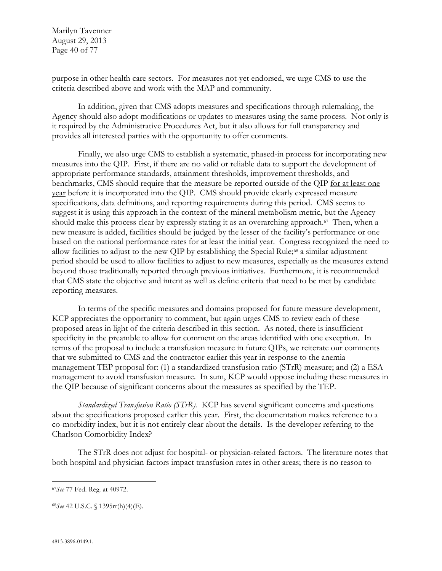Marilyn Tavenner August 29, 2013 Page 40 of 77

purpose in other health care sectors. For measures not-yet endorsed, we urge CMS to use the criteria described above and work with the MAP and community.

In addition, given that CMS adopts measures and specifications through rulemaking, the Agency should also adopt modifications or updates to measures using the same process. Not only is it required by the Administrative Procedures Act, but it also allows for full transparency and provides all interested parties with the opportunity to offer comments.

Finally, we also urge CMS to establish a systematic, phased-in process for incorporating new measures into the QIP. First, if there are no valid or reliable data to support the development of appropriate performance standards, attainment thresholds, improvement thresholds, and benchmarks, CMS should require that the measure be reported outside of the QIP for at least one year before it is incorporated into the QIP. CMS should provide clearly expressed measure specifications, data definitions, and reporting requirements during this period. CMS seems to suggest it is using this approach in the context of the mineral metabolism metric, but the Agency should make this process clear by expressly stating it as an overarching approach.<sup>[67](#page-39-0)</sup> Then, when a new measure is added, facilities should be judged by the lesser of the facility's performance or one based on the national performance rates for at least the initial year. Congress recognized the need to allow facilities to adjust to the new QIP by establishing the Special Rule;<sup>[68](#page-39-1)</sup> a similar adjustment period should be used to allow facilities to adjust to new measures, especially as the measures extend beyond those traditionally reported through previous initiatives. Furthermore, it is recommended that CMS state the objective and intent as well as define criteria that need to be met by candidate reporting measures.

In terms of the specific measures and domains proposed for future measure development, KCP appreciates the opportunity to comment, but again urges CMS to review each of these proposed areas in light of the criteria described in this section. As noted, there is insufficient specificity in the preamble to allow for comment on the areas identified with one exception. In terms of the proposal to include a transfusion measure in future QIPs, we reiterate our comments that we submitted to CMS and the contractor earlier this year in response to the anemia management TEP proposal for: (1) a standardized transfusion ratio (STrR) measure; and (2) a ESA management to avoid transfusion measure. In sum, KCP would oppose including these measures in the QIP because of significant concerns about the measures as specified by the TEP.

*Standardized Transfusion Ratio (STrR).* KCP has several significant concerns and questions about the specifications proposed earlier this year. First, the documentation makes reference to a co-morbidity index, but it is not entirely clear about the details. Is the developer referring to the Charlson Comorbidity Index?

The STrR does not adjust for hospital- or physician-related factors. The literature notes that both hospital and physician factors impact transfusion rates in other areas; there is no reason to

 $\overline{a}$ 

<span id="page-39-0"></span><sup>67</sup>*See* 77 Fed. Reg. at 40972.

<span id="page-39-1"></span><sup>68</sup>*See* 42 U.S.C. § 1395rr(h)(4)(E).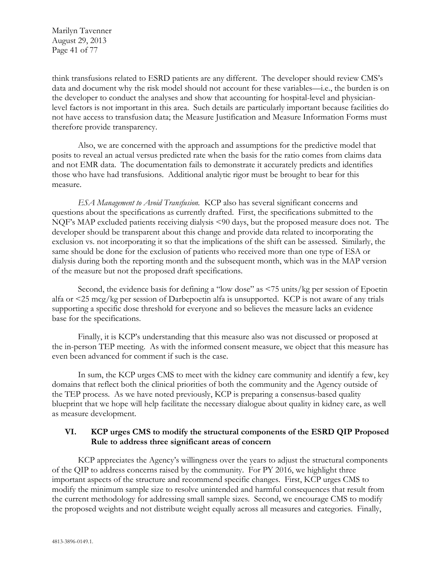Marilyn Tavenner August 29, 2013 Page 41 of 77

think transfusions related to ESRD patients are any different. The developer should review CMS's data and document why the risk model should not account for these variables—i.e., the burden is on the developer to conduct the analyses and show that accounting for hospital-level and physicianlevel factors is not important in this area. Such details are particularly important because facilities do not have access to transfusion data; the Measure Justification and Measure Information Forms must therefore provide transparency.

Also, we are concerned with the approach and assumptions for the predictive model that posits to reveal an actual versus predicted rate when the basis for the ratio comes from claims data and not EMR data. The documentation fails to demonstrate it accurately predicts and identifies those who have had transfusions. Additional analytic rigor must be brought to bear for this measure.

*ESA Management to Avoid Transfusion.* KCP also has several significant concerns and questions about the specifications as currently drafted. First, the specifications submitted to the NQF's MAP excluded patients receiving dialysis <90 days, but the proposed measure does not. The developer should be transparent about this change and provide data related to incorporating the exclusion vs. not incorporating it so that the implications of the shift can be assessed. Similarly, the same should be done for the exclusion of patients who received more than one type of ESA or dialysis during both the reporting month and the subsequent month, which was in the MAP version of the measure but not the proposed draft specifications.

Second, the evidence basis for defining a "low dose" as <75 units/kg per session of Epoetin alfa or <25 mcg/kg per session of Darbepoetin alfa is unsupported. KCP is not aware of any trials supporting a specific dose threshold for everyone and so believes the measure lacks an evidence base for the specifications.

Finally, it is KCP's understanding that this measure also was not discussed or proposed at the in-person TEP meeting. As with the informed consent measure, we object that this measure has even been advanced for comment if such is the case.

In sum, the KCP urges CMS to meet with the kidney care community and identify a few, key domains that reflect both the clinical priorities of both the community and the Agency outside of the TEP process. As we have noted previously, KCP is preparing a consensus-based quality blueprint that we hope will help facilitate the necessary dialogue about quality in kidney care, as well as measure development.

## **VI. KCP urges CMS to modify the structural components of the ESRD QIP Proposed Rule to address three significant areas of concern**

KCP appreciates the Agency's willingness over the years to adjust the structural components of the QIP to address concerns raised by the community. For PY 2016, we highlight three important aspects of the structure and recommend specific changes. First, KCP urges CMS to modify the minimum sample size to resolve unintended and harmful consequences that result from the current methodology for addressing small sample sizes. Second, we encourage CMS to modify the proposed weights and not distribute weight equally across all measures and categories. Finally,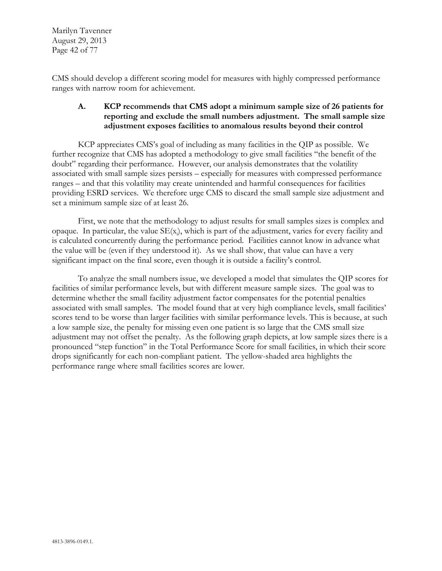Marilyn Tavenner August 29, 2013 Page 42 of 77

CMS should develop a different scoring model for measures with highly compressed performance ranges with narrow room for achievement.

## **A. KCP recommends that CMS adopt a minimum sample size of 26 patients for reporting and exclude the small numbers adjustment. The small sample size adjustment exposes facilities to anomalous results beyond their control**

KCP appreciates CMS's goal of including as many facilities in the QIP as possible. We further recognize that CMS has adopted a methodology to give small facilities "the benefit of the doubt" regarding their performance. However, our analysis demonstrates that the volatility associated with small sample sizes persists – especially for measures with compressed performance ranges – and that this volatility may create unintended and harmful consequences for facilities providing ESRD services. We therefore urge CMS to discard the small sample size adjustment and set a minimum sample size of at least 26.

First, we note that the methodology to adjust results for small samples sizes is complex and opaque. In particular, the value SE(x<sub>i</sub>), which is part of the adjustment, varies for every facility and is calculated concurrently during the performance period. Facilities cannot know in advance what the value will be (even if they understood it). As we shall show, that value can have a very significant impact on the final score, even though it is outside a facility's control.

To analyze the small numbers issue, we developed a model that simulates the QIP scores for facilities of similar performance levels, but with different measure sample sizes. The goal was to determine whether the small facility adjustment factor compensates for the potential penalties associated with small samples. The model found that at very high compliance levels, small facilities' scores tend to be worse than larger facilities with similar performance levels. This is because, at such a low sample size, the penalty for missing even one patient is so large that the CMS small size adjustment may not offset the penalty. As the following graph depicts, at low sample sizes there is a pronounced "step function" in the Total Performance Score for small facilities, in which their score drops significantly for each non-compliant patient. The yellow-shaded area highlights the performance range where small facilities scores are lower.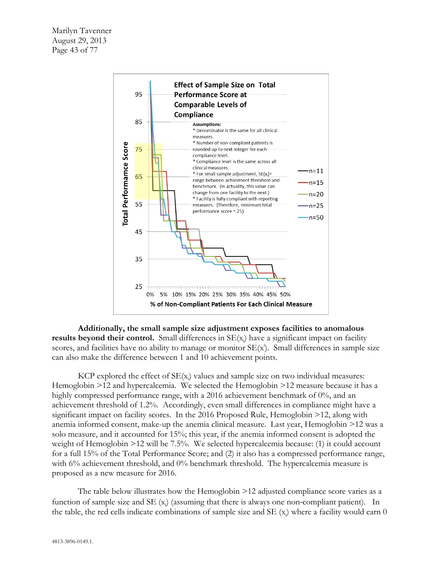

**Additionally, the small sample size adjustment exposes facilities to anomalous**  results beyond their control. Small differences in SE(x<sub>i</sub>) have a significant impact on facility scores, and facilities have no ability to manage or monitor  $SE(x)$ . Small differences in sample size can also make the difference between 1 and 10 achievement points.

 $KCP$  explored the effect of  $SE(x<sub>i</sub>)$  values and sample size on two individual measures: Hemoglobin >12 and hypercalcemia. We selected the Hemoglobin >12 measure because it has a highly compressed performance range, with a 2016 achievement benchmark of 0%, and an achievement threshold of 1.2%. Accordingly, even small differences in compliance might have a significant impact on facility scores. In the 2016 Proposed Rule, Hemoglobin >12, along with anemia informed consent, make-up the anemia clinical measure. Last year, Hemoglobin >12 was a solo measure, and it accounted for 15%; this year, if the anemia informed consent is adopted the weight of Hemoglobin >12 will be 7.5%. We selected hypercalcemia because: (1) it could account for a full 15% of the Total Performance Score; and (2) it also has a compressed performance range, with 6% achievement threshold, and 0% benchmark threshold. The hypercalcemia measure is proposed as a new measure for 2016.

The table below illustrates how the Hemoglobin >12 adjusted compliance score varies as a function of sample size and SE (x<sub>i</sub>) (assuming that there is always one non-compliant patient). In the table, the red cells indicate combinations of sample size and SE  $(x<sub>i</sub>)$  where a facility would earn 0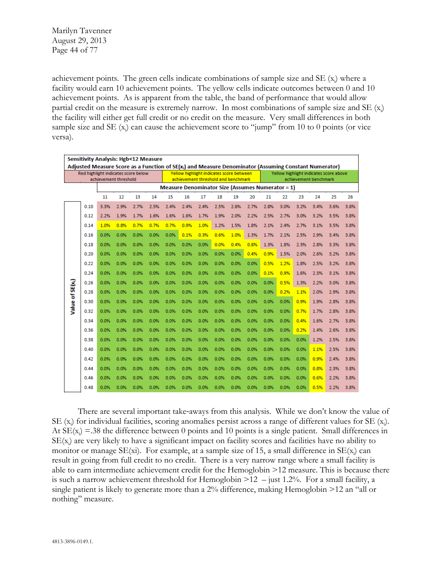Marilyn Tavenner August 29, 2013 Page 44 of 77

achievement points. The green cells indicate combinations of sample size and SE (x<sub>i</sub>) where a facility would earn 10 achievement points. The yellow cells indicate outcomes between 0 and 10 achievement points. As is apparent from the table, the band of performance that would allow partial credit on the measure is extremely narrow. In most combinations of sample size and SE (x<sub>i</sub>) the facility will either get full credit or no credit on the measure. Very small differences in both sample size and SE  $(x_i)$  can cause the achievement score to "jump" from 10 to 0 points (or vice versa).

|                              | Sensitivity Analysis: Hgb<12 Measure<br>Adjusted Measure Score as a Function of $SE(x_i)$ and Measure Denominator (Assuming Constant Numerator) |                       |                                                    |                                     |      |                                                         |                                                                                 |      |      |      |      |                                                                 |      |      |      |      |      |
|------------------------------|-------------------------------------------------------------------------------------------------------------------------------------------------|-----------------------|----------------------------------------------------|-------------------------------------|------|---------------------------------------------------------|---------------------------------------------------------------------------------|------|------|------|------|-----------------------------------------------------------------|------|------|------|------|------|
|                              |                                                                                                                                                 | achievement threshold |                                                    | Red highlight indicates score below |      |                                                         | Yellow highlight indicates score between<br>achievement threshold and benchmark |      |      |      |      | Yellow highlight indicates score above<br>achievement benchmark |      |      |      |      |      |
|                              |                                                                                                                                                 |                       |                                                    |                                     |      | <b>Measure Denominator Size (Assumes Numerator = 1)</b> |                                                                                 |      |      |      |      |                                                                 |      |      |      |      |      |
|                              |                                                                                                                                                 | 11                    | 12<br>15<br>16<br>17<br>18<br>19<br>20<br>13<br>14 |                                     |      |                                                         |                                                                                 |      |      |      |      | 21                                                              | 22   | 23   | 24   | 25   | 26   |
|                              | 0.10                                                                                                                                            | 3.3%                  | 2.9%                                               | 2.7%                                | 2.5% | 2.4%                                                    | 2.4%                                                                            | 2.4% | 2.5% | 2.6% | 2.7% | 2.8%                                                            | 3.0% | 3.2% | 3.4% | 3.6% | 3.8% |
|                              | 0.12                                                                                                                                            | 2.2%                  | 1.9%                                               | 1.7%                                | 1.6% | 1.6%                                                    | 1.6%                                                                            | 1.7% | 1.9% | 2.0% | 2.2% | 2.5%                                                            | 2.7% | 3.0% | 3.2% | 3.5% | 3.8% |
|                              | 0.14                                                                                                                                            | 1.0%                  | 0.8%                                               | 0.7%                                | 0.7% | 0.7%                                                    | 0.9%                                                                            | 1.0% | 1.2% | 1.5% | 1.8% | 2.1%                                                            | 2.4% | 2.7% | 3.1% | 3.5% | 3.8% |
|                              | 0.16                                                                                                                                            | 0.0%                  | 0.0%                                               | 0.0%                                | 0.0% | 0.0%                                                    | 0.1%                                                                            | 0.3% | 0.6% | 1.0% | 1.3% | 1.7%                                                            | 2.1% | 2.5% | 2.9% | 3.4% | 3.8% |
|                              | 0.18                                                                                                                                            | 0.0%                  | 0.0%                                               | 0.0%                                | 0.0% | 0.0%                                                    | 0.0%                                                                            | 0.0% | 0.0% | 0.4% | 0.8% | 1.3%                                                            | 1.8% | 2.3% | 2.8% | 3.3% | 3.8% |
|                              | 0.20                                                                                                                                            | 0.0%                  | 0.0%                                               | 0.0%                                | 0.0% | 0.0%                                                    | 0.0%                                                                            | 0.0% | 0.0% | 0.0% | 0.4% | 0.9%                                                            | 1.5% | 2.0% | 2.6% | 3.2% | 3.8% |
|                              | 0.22                                                                                                                                            | 0.0%                  | 0.0%                                               | 0.0%                                | 0.0% | 0.0%                                                    | 0.0%                                                                            | 0.0% | 0.0% | 0.0% | 0.0% | 0.5%                                                            | 1.2% | 1.8% | 2.5% | 3.2% | 3.8% |
|                              | 0.24                                                                                                                                            | 0.0%                  | 0.0%                                               | 0.0%                                | 0.0% | 0.0%                                                    | 0.0%                                                                            | 0.0% | 0.0% | 0.0% | 0.0% | 0.1%                                                            | 0.9% | 1.6% | 2.3% | 3.1% | 3.8% |
|                              | 0.26                                                                                                                                            | 0.0%                  | 0.0%                                               | 0.0%                                | 0.0% | 0.0%                                                    | 0.0%                                                                            | 0.0% | 0.0% | 0.0% | 0.0% | 0.0%                                                            | 0.5% | 1.3% | 2.2% | 3.0% | 3.8% |
| Value of SE(x <sub>i</sub> ) | 0.28                                                                                                                                            | 0.0%                  | 0.0%                                               | 0.0%                                | 0.0% | 0.0%                                                    | 0.0%                                                                            | 0.0% | 0.0% | 0.0% | 0.0% | 0.0%                                                            | 0.2% | 1.1% | 2.0% | 2.9% | 3.8% |
|                              | 0.30                                                                                                                                            | 0.0%                  | 0.0%                                               | 0.0%                                | 0.0% | 0.0%                                                    | 0.0%                                                                            | 0.0% | 0.0% | 0.0% | 0.0% | 0.0%                                                            | 0.0% | 0.9% | 1.9% | 2.8% | 3.8% |
|                              | 0.32                                                                                                                                            | 0.0%                  | 0.0%                                               | 0.0%                                | 0.0% | 0.0%                                                    | 0.0%                                                                            | 0.0% | 0.0% | 0.0% | 0.0% | 0.0%                                                            | 0.0% | 0.7% | 1.7% | 2.8% | 3.8% |
|                              | 0.34                                                                                                                                            | 0.0%                  | 0.0%                                               | 0.0%                                | 0.0% | 0.0%                                                    | 0.0%                                                                            | 0.0% | 0.0% | 0.0% | 0.0% | 0.0%                                                            | 0.0% | 0.4% | 1.6% | 2.7% | 3.8% |
|                              | 0.36                                                                                                                                            | 0.0%                  | 0.0%                                               | 0.0%                                | 0.0% | 0.0%                                                    | 0.0%                                                                            | 0.0% | 0.0% | 0.0% | 0.0% | 0.0%                                                            | 0.0% | 0.2% | 1.4% | 2.6% | 3.8% |
|                              | 0.38                                                                                                                                            | 0.0%                  | 0.0%                                               | 0.0%                                | 0.0% | 0.0%                                                    | 0.0%                                                                            | 0.0% | 0.0% | 0.0% | 0.0% | 0.0%                                                            | 0.0% | 0.0% | 1.2% | 2.5% | 3.8% |
|                              | 0.40                                                                                                                                            | 0.0%                  | 0.0%                                               | 0.0%                                | 0.0% | 0.0%                                                    | 0.0%                                                                            | 0.0% | 0.0% | 0.0% | 0.0% | 0.0%                                                            | 0.0% | 0.0% | 1.1% | 2.5% | 3.8% |
|                              | 0.42                                                                                                                                            | 0.0%                  | 0.0%                                               | 0.0%                                | 0.0% | 0.0%                                                    | 0.0%                                                                            | 0.0% | 0.0% | 0.0% | 0.0% | 0.0%                                                            | 0.0% | 0.0% | 0.9% | 2.4% | 3.8% |
|                              | 0.44                                                                                                                                            | 0.0%                  | 0.0%                                               | 0.0%                                | 0.0% | 0.0%                                                    | 0.0%                                                                            | 0.0% | 0.0% | 0.0% | 0.0% | 0.0%                                                            | 0.0% | 0.0% | 0.8% | 2.3% | 3.8% |
|                              | 0.46                                                                                                                                            | 0.0%                  | 0.0%                                               | 0.0%                                | 0.0% | 0.0%                                                    | 0.0%                                                                            | 0.0% | 0.0% | 0.0% | 0.0% | 0.0%                                                            | 0.0% | 0.0% | 0.6% | 2.2% | 3.8% |
|                              | 0.48                                                                                                                                            | 0.0%                  | 0.0%                                               | 0.0%                                | 0.0% | 0.0%                                                    | 0.0%                                                                            | 0.0% | 0.0% | 0.0% | 0.0% | 0.0%                                                            | 0.0% | 0.0% | 0.5% | 2.2% | 3.8% |

There are several important take‐aways from this analysis. While we don't know the value of SE (x<sub>i</sub>) for individual facilities, scoring anomalies persist across a range of different values for SE (x<sub>i</sub>). At  $SE(x_i) = .38$  the difference between 0 points and 10 points is a single patient. Small differences in SE(x<sup>i</sup> ) are very likely to have a significant impact on facility scores and facilities have no ability to monitor or manage  $SE(xi)$ . For example, at a sample size of 15, a small difference in  $SE(x_i)$  can result in going from full credit to no credit. There is a very narrow range where a small facility is able to earn intermediate achievement credit for the Hemoglobin >12 measure. This is because there is such a narrow achievement threshold for Hemoglobin  $>12$  – just 1.2%. For a small facility, a single patient is likely to generate more than a 2% difference, making Hemoglobin >12 an "all or nothing" measure.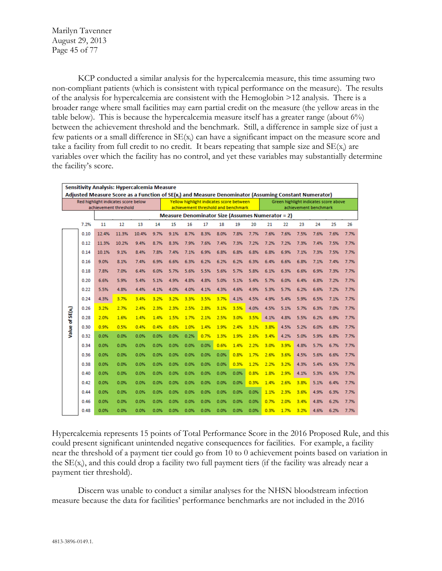Marilyn Tavenner August 29, 2013 Page 45 of 77

KCP conducted a similar analysis for the hypercalcemia measure, this time assuming two non-compliant patients (which is consistent with typical performance on the measure). The results of the analysis for hypercalcemia are consistent with the Hemoglobin >12 analysis. There is a broader range where small facilities may earn partial credit on the measure (the yellow areas in the table below). This is because the hypercalcemia measure itself has a greater range (about  $6\%$ ) between the achievement threshold and the benchmark. Still, a difference in sample size of just a few patients or a small difference in  $SE(x_i)$  can have a significant impact on the measure score and take a facility from full credit to no credit. It bears repeating that sample size and  $SE(x_i)$  are variables over which the facility has no control, and yet these variables may substantially determine the facility's score.

|                              | Sensitivity Analysis: Hypercalcemia Measure<br>Adjusted Measure Score as a Function of SE(x <sub>i</sub> ) and Measure Denominator (Assuming Constant Numerator) |       |                                                              |       |      |      |                                                                                 |      |      |      |      |                                                                |      |      |      |      |      |
|------------------------------|------------------------------------------------------------------------------------------------------------------------------------------------------------------|-------|--------------------------------------------------------------|-------|------|------|---------------------------------------------------------------------------------|------|------|------|------|----------------------------------------------------------------|------|------|------|------|------|
|                              |                                                                                                                                                                  |       |                                                              |       |      |      |                                                                                 |      |      |      |      |                                                                |      |      |      |      |      |
|                              |                                                                                                                                                                  |       | Red highlight indicates score below<br>achievement threshold |       |      |      | Yellow highlight indicates score between<br>achievement threshold and benchmark |      |      |      |      | Green highlight indicates score above<br>achievement benchmark |      |      |      |      |      |
|                              |                                                                                                                                                                  |       |                                                              |       |      |      | <b>Measure Denominator Size (Assumes Numerator = 2)</b>                         |      |      |      |      |                                                                |      |      |      |      |      |
|                              | 7.2%                                                                                                                                                             | 11    | 12                                                           | 13    | 14   | 15   | 16                                                                              | 17   | 18   | 19   | 20   | 21                                                             | 22   | 23   | 24   | 25   | 26   |
|                              | 0.10                                                                                                                                                             | 12.4% | 11.3%                                                        | 10.4% | 9.7% | 9.1% | 8.7%                                                                            | 8.3% | 8.0% | 7.8% | 7.7% | 7.6%                                                           | 7.6% | 7.5% | 7.6% | 7.6% | 7.7% |
|                              | 0.12                                                                                                                                                             | 11.3% | 10.2%                                                        | 9.4%  | 8.7% | 8.3% | 7.9%                                                                            | 7.6% | 7.4% | 7.3% | 7.2% | 7.2%                                                           | 7.2% | 7.3% | 7.4% | 7.5% | 7.7% |
|                              | 0.14                                                                                                                                                             | 10.1% | 9.1%                                                         | 8.4%  | 7.8% | 7.4% | 7.1%                                                                            | 6.9% | 6.8% | 6.8% | 6.8% | 6.8%                                                           | 6.9% | 7.1% | 7.3% | 7.5% | 7.7% |
|                              | 0.16                                                                                                                                                             | 9.0%  | 8.1%                                                         | 7.4%  | 6.9% | 6.6% | 6.3%                                                                            | 6.2% | 6.2% | 6.2% | 6.3% | 6.4%                                                           | 6.6% | 6.8% | 7.1% | 7.4% | 7.7% |
|                              | 0.18                                                                                                                                                             | 7.8%  | 7.0%                                                         | 6.4%  | 6.0% | 5.7% | 5.6%                                                                            | 5.5% | 5.6% | 5.7% | 5.8% | 6.1%                                                           | 6.3% | 6.6% | 6.9% | 7.3% | 7.7% |
|                              | 0.20                                                                                                                                                             | 6.6%  | 5.9%                                                         | 5.4%  | 5.1% | 4.9% | 4.8%                                                                            | 4.8% | 5.0% | 5.1% | 5.4% | 5.7%                                                           | 6.0% | 6.4% | 6.8% | 7.2% | 7.7% |
|                              | 0.22                                                                                                                                                             | 5.5%  | 4.8%                                                         | 4.4%  | 4.1% | 4.0% | 4.0%                                                                            | 4.1% | 4.3% | 4.6% | 4.9% | 5.3%                                                           | 5.7% | 6.2% | 6.6% | 7.2% | 7.7% |
|                              | 0.24                                                                                                                                                             | 4.3%  | 3.7%                                                         | 3.4%  | 3.2% | 3.2% | 3.3%                                                                            | 3.5% | 3.7% | 4.1% | 4.5% | 4.9%                                                           | 5.4% | 5.9% | 6.5% | 7.1% | 7.7% |
|                              | 0.26                                                                                                                                                             | 3.2%  | 2.7%                                                         | 2.4%  | 2.3% | 2.3% | 2.5%                                                                            | 2.8% | 3.1% | 3.5% | 4.0% | 4.5%                                                           | 5.1% | 5.7% | 6.3% | 7.0% | 7.7% |
| Value of SE(x <sub>1</sub> ) | 0.28                                                                                                                                                             | 2.0%  | 1.6%                                                         | 1.4%  | 1.4% | 1.5% | 1.7%                                                                            | 2.1% | 2.5% | 3.0% | 3.5% | 4.1%                                                           | 4.8% | 5.5% | 6.2% | 6.9% | 7.7% |
|                              | 0.30                                                                                                                                                             | 0.9%  | 0.5%                                                         | 0.4%  | 0.4% | 0.6% | 1.0%                                                                            | 1.4% | 1.9% | 2.4% | 3.1% | 3.8%                                                           | 4.5% | 5.2% | 6.0% | 6.8% | 7.7% |
|                              | 0.32                                                                                                                                                             | 0.0%  | 0.0%                                                         | 0.0%  | 0.0% | 0.0% | 0.2%                                                                            | 0.7% | 1.3% | 1.9% | 2.6% | 3.4%                                                           | 4.2% | 5.0% | 5.9% | 6.8% | 7.7% |
|                              | 0.34                                                                                                                                                             | 0.0%  | 0.0%                                                         | 0.0%  | 0.0% | 0.0% | 0.0%                                                                            | 0.0% | 0.6% | 1.4% | 2.2% | 3.0%                                                           | 3.9% | 4.8% | 5.7% | 6.7% | 7.7% |
|                              | 0.36                                                                                                                                                             | 0.0%  | 0.0%                                                         | 0.0%  | 0.0% | 0.0% | 0.0%                                                                            | 0.0% | 0.0% | 0.8% | 1.7% | 2.6%                                                           | 3.6% | 4.5% | 5.6% | 6.6% | 7.7% |
|                              | 0.38                                                                                                                                                             | 0.0%  | 0.0%                                                         | 0.0%  | 0.0% | 0.0% | 0.0%                                                                            | 0.0% | 0.0% | 0.3% | 1.2% | 2.2%                                                           | 3.2% | 4.3% | 5.4% | 6.5% | 7.7% |
|                              | 0.40                                                                                                                                                             | 0.0%  | 0.0%                                                         | 0.0%  | 0.0% | 0.0% | 0.0%                                                                            | 0.0% | 0.0% | 0.0% | 0.8% | 1.8%                                                           | 2.9% | 4.1% | 5.3% | 6.5% | 7.7% |
|                              | 0.42                                                                                                                                                             | 0.0%  | 0.0%                                                         | 0.0%  | 0.0% | 0.0% | 0.0%                                                                            | 0.0% | 0.0% | 0.0% | 0.3% | 1.4%                                                           | 2.6% | 3.8% | 5.1% | 6.4% | 7.7% |
|                              | 0.44                                                                                                                                                             | 0.0%  | 0.0%                                                         | 0.0%  | 0.0% | 0.0% | 0.0%                                                                            | 0.0% | 0.0% | 0.0% | 0.0% | 1.1%                                                           | 2.3% | 3.6% | 4.9% | 6.3% | 7.7% |
|                              | 0.46                                                                                                                                                             | 0.0%  | 0.0%                                                         | 0.0%  | 0.0% | 0.0% | 0.0%                                                                            | 0.0% | 0.0% | 0.0% | 0.0% | 0.7%                                                           | 2.0% | 3.4% | 4.8% | 6.2% | 7.7% |
|                              | 0.48                                                                                                                                                             | 0.0%  | 0.0%                                                         | 0.0%  | 0.0% | 0.0% | 0.0%                                                                            | 0.0% | 0.0% | 0.0% | 0.0% | 0.3%                                                           | 1.7% | 3.2% | 4.6% | 6.2% | 7.7% |

Hypercalcemia represents 15 points of Total Performance Score in the 2016 Proposed Rule, and this could present significant unintended negative consequences for facilities. For example, a facility near the threshold of a payment tier could go from 10 to 0 achievement points based on variation in the  $SE(x_i)$ , and this could drop a facility two full payment tiers (if the facility was already near a payment tier threshold).

Discern was unable to conduct a similar analyses for the NHSN bloodstream infection measure because the data for facilities' performance benchmarks are not included in the 2016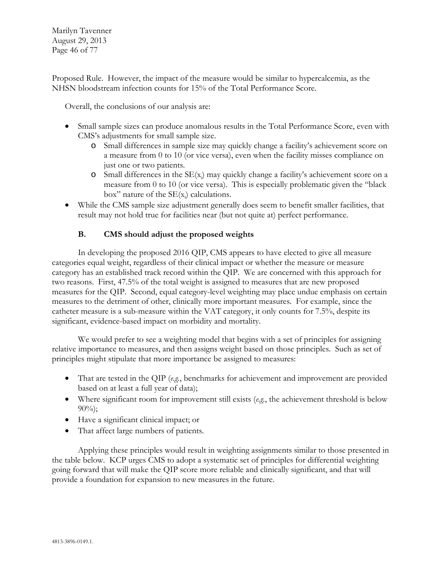Marilyn Tavenner August 29, 2013 Page 46 of 77

Proposed Rule. However, the impact of the measure would be similar to hypercalcemia, as the NHSN bloodstream infection counts for 15% of the Total Performance Score.

Overall, the conclusions of our analysis are:

- Small sample sizes can produce anomalous results in the Total Performance Score, even with CMS's adjustments for small sample size.
	- o Small differences in sample size may quickly change a facility's achievement score on a measure from 0 to 10 (or vice versa), even when the facility misses compliance on just one or two patients.
	- $\circ$  Small differences in the SE(x<sub>i</sub>) may quickly change a facility's achievement score on a measure from 0 to 10 (or vice versa). This is especially problematic given the "black box" nature of the  $SE(x_i)$  calculations.
- While the CMS sample size adjustment generally does seem to benefit smaller facilities, that result may not hold true for facilities near (but not quite at) perfect performance.

## **B. CMS should adjust the proposed weights**

In developing the proposed 2016 QIP, CMS appears to have elected to give all measure categories equal weight, regardless of their clinical impact or whether the measure or measure category has an established track record within the QIP. We are concerned with this approach for two reasons. First, 47.5% of the total weight is assigned to measures that are new proposed measures for the QIP. Second, equal category-level weighting may place undue emphasis on certain measures to the detriment of other, clinically more important measures. For example, since the catheter measure is a sub-measure within the VAT category, it only counts for 7.5%, despite its significant, evidence-based impact on morbidity and mortality.

We would prefer to see a weighting model that begins with a set of principles for assigning relative importance to measures, and then assigns weight based on those principles. Such as set of principles might stipulate that more importance be assigned to measures:

- That are tested in the QIP (*e.g.*, benchmarks for achievement and improvement are provided based on at least a full year of data);
- Where significant room for improvement still exists (*e.g.*, the achievement threshold is below  $90\%$ ;
- Have a significant clinical impact; or
- That affect large numbers of patients.

Applying these principles would result in weighting assignments similar to those presented in the table below. KCP urges CMS to adopt a systematic set of principles for differential weighting going forward that will make the QIP score more reliable and clinically significant, and that will provide a foundation for expansion to new measures in the future.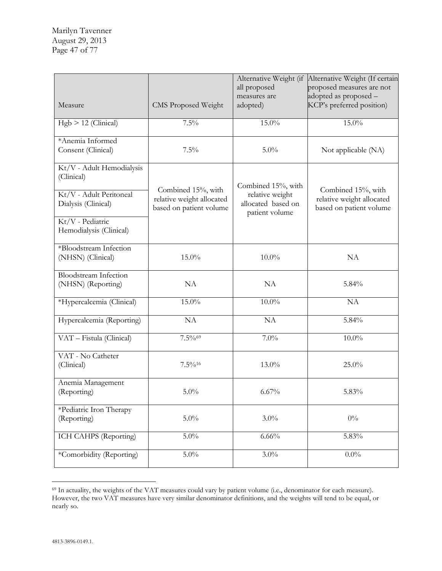Marilyn Tavenner August 29, 2013 Page 47 of 77

| Measure                                                                                                                                  | <b>CMS Proposed Weight</b>                                                 |                                                                               | Alternative Weight (If certain<br>proposed measures are not<br>adopted as proposed -<br>KCP's preferred position) |  |
|------------------------------------------------------------------------------------------------------------------------------------------|----------------------------------------------------------------------------|-------------------------------------------------------------------------------|-------------------------------------------------------------------------------------------------------------------|--|
| $Hgb > 12$ (Clinical)                                                                                                                    | 7.5%                                                                       | 15.0%                                                                         | 15.0%                                                                                                             |  |
| *Anemia Informed<br>Consent (Clinical)                                                                                                   | $7.5\%$                                                                    | $5.0\%$                                                                       | Not applicable (NA)                                                                                               |  |
| Kt/V - Adult Hemodialysis<br>(Clinical)<br>Kt/V - Adult Peritoneal<br>Dialysis (Clinical)<br>Kt/V - Pediatric<br>Hemodialysis (Clinical) | Combined 15%, with<br>relative weight allocated<br>based on patient volume | Combined 15%, with<br>relative weight<br>allocated based on<br>patient volume | Combined 15%, with<br>relative weight allocated<br>based on patient volume                                        |  |
| *Bloodstream Infection<br>(NHSN) (Clinical)                                                                                              | 15.0%                                                                      | $10.0\%$                                                                      | NA                                                                                                                |  |
| <b>Bloodstream Infection</b><br>(NHSN) (Reporting)                                                                                       | NA                                                                         | NA                                                                            | 5.84%                                                                                                             |  |
| *Hypercalcemia (Clinical)                                                                                                                | 15.0%                                                                      | $10.0\%$                                                                      | NA                                                                                                                |  |
| Hypercalcemia (Reporting)                                                                                                                | NA                                                                         | NA                                                                            | 5.84%                                                                                                             |  |
| VAT - Fistula (Clinical)                                                                                                                 | 7.5%%                                                                      | $7.0\%$                                                                       | $10.0\%$                                                                                                          |  |
| VAT - No Catheter<br>(Clinical)                                                                                                          | $7.5\%$ <sup>16</sup>                                                      | 13.0%                                                                         | 25.0%                                                                                                             |  |
| Anemia Management<br>(Reporting)                                                                                                         | $5.0\%$                                                                    | $6.67\%$                                                                      | 5.83%                                                                                                             |  |
| *Pediatric Iron Therapy<br>(Reporting)                                                                                                   | $5.0\%$                                                                    | $3.0\%$                                                                       | $0\%$                                                                                                             |  |
| ICH CAHPS (Reporting)                                                                                                                    | 5.0%                                                                       | 6.66%                                                                         | 5.83%                                                                                                             |  |
| *Comorbidity (Reporting)                                                                                                                 | $5.0\%$                                                                    | $3.0\%$                                                                       | $0.0\%$                                                                                                           |  |

<span id="page-46-0"></span> $\overline{a}$ <sup>69</sup> In actuality, the weights of the VAT measures could vary by patient volume (i.e., denominator for each measure). However, the two VAT measures have very similar denominator definitions, and the weights will tend to be equal, or nearly so.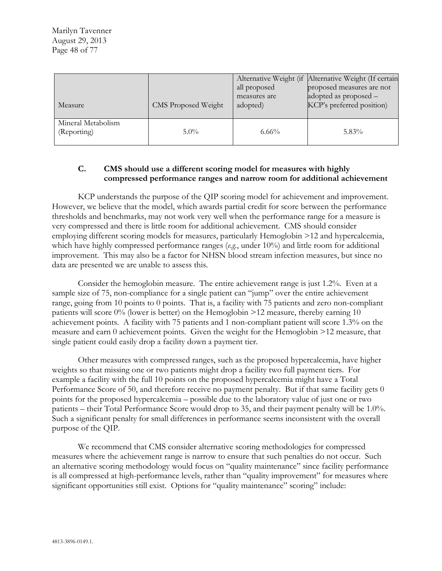| Measure                           | <b>CMS Proposed Weight</b> | all proposed<br>measures are<br>adopted) | Alternative Weight (if Alternative Weight (If certain<br>proposed measures are not<br>adopted as proposed -<br>KCP's preferred position) |
|-----------------------------------|----------------------------|------------------------------------------|------------------------------------------------------------------------------------------------------------------------------------------|
| Mineral Metabolism<br>(Reporting) | $5.0\%$                    | $6.66\%$                                 | $5.83\%$                                                                                                                                 |

# **C. CMS should use a different scoring model for measures with highly compressed performance ranges and narrow room for additional achievement**

KCP understands the purpose of the QIP scoring model for achievement and improvement. However, we believe that the model, which awards partial credit for score between the performance thresholds and benchmarks, may not work very well when the performance range for a measure is very compressed and there is little room for additional achievement. CMS should consider employing different scoring models for measures, particularly Hemoglobin >12 and hypercalcemia, which have highly compressed performance ranges (*e.g.*, under 10%) and little room for additional improvement. This may also be a factor for NHSN blood stream infection measures, but since no data are presented we are unable to assess this.

Consider the hemoglobin measure. The entire achievement range is just 1.2%. Even at a sample size of 75, non-compliance for a single patient can "jump" over the entire achievement range, going from 10 points to 0 points. That is, a facility with 75 patients and zero non-compliant patients will score 0% (lower is better) on the Hemoglobin >12 measure, thereby earning 10 achievement points. A facility with 75 patients and 1 non-compliant patient will score 1.3% on the measure and earn 0 achievement points. Given the weight for the Hemoglobin >12 measure, that single patient could easily drop a facility down a payment tier.

Other measures with compressed ranges, such as the proposed hypercalcemia, have higher weights so that missing one or two patients might drop a facility two full payment tiers. For example a facility with the full 10 points on the proposed hypercalcemia might have a Total Performance Score of 50, and therefore receive no payment penalty. But if that same facility gets 0 points for the proposed hypercalcemia – possible due to the laboratory value of just one or two patients – their Total Performance Score would drop to 35, and their payment penalty will be 1.0%. Such a significant penalty for small differences in performance seems inconsistent with the overall purpose of the QIP.

We recommend that CMS consider alternative scoring methodologies for compressed measures where the achievement range is narrow to ensure that such penalties do not occur. Such an alternative scoring methodology would focus on "quality maintenance" since facility performance is all compressed at high-performance levels, rather than "quality improvement" for measures where significant opportunities still exist. Options for "quality maintenance" scoring" include: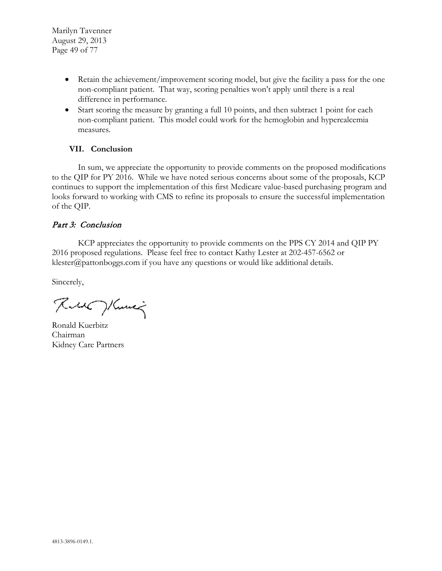- Retain the achievement/improvement scoring model, but give the facility a pass for the one non-compliant patient. That way, scoring penalties won't apply until there is a real difference in performance.
- Start scoring the measure by granting a full 10 points, and then subtract 1 point for each non-compliant patient. This model could work for the hemoglobin and hypercalcemia measures.

## **VII. Conclusion**

In sum, we appreciate the opportunity to provide comments on the proposed modifications to the QIP for PY 2016. While we have noted serious concerns about some of the proposals, KCP continues to support the implementation of this first Medicare value-based purchasing program and looks forward to working with CMS to refine its proposals to ensure the successful implementation of the QIP.

## Part 3: Conclusion

KCP appreciates the opportunity to provide comments on the PPS CY 2014 and QIP PY 2016 proposed regulations. Please feel free to contact Kathy Lester at 202-457-6562 or klester@pattonboggs.com if you have any questions or would like additional details.

Sincerely,

Rue Hume

Ronald Kuerbitz Chairman Kidney Care Partners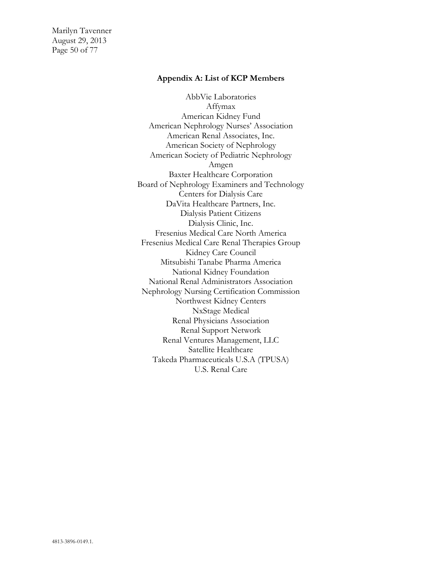Marilyn Tavenner August 29, 2013 Page 50 of 77

#### **Appendix A: List of KCP Members**

AbbVie Laboratories Affymax American Kidney Fund American Nephrology Nurses' Association American Renal Associates, Inc. American Society of Nephrology American Society of Pediatric Nephrology Amgen Baxter Healthcare Corporation Board of Nephrology Examiners and Technology Centers for Dialysis Care DaVita Healthcare Partners, Inc. Dialysis Patient Citizens Dialysis Clinic, Inc. Fresenius Medical Care North America Fresenius Medical Care Renal Therapies Group Kidney Care Council Mitsubishi Tanabe Pharma America National Kidney Foundation National Renal Administrators Association Nephrology Nursing Certification Commission Northwest Kidney Centers NxStage Medical Renal Physicians Association Renal Support Network Renal Ventures Management, LLC Satellite Healthcare Takeda Pharmaceuticals U.S.A (TPUSA) U.S. Renal Care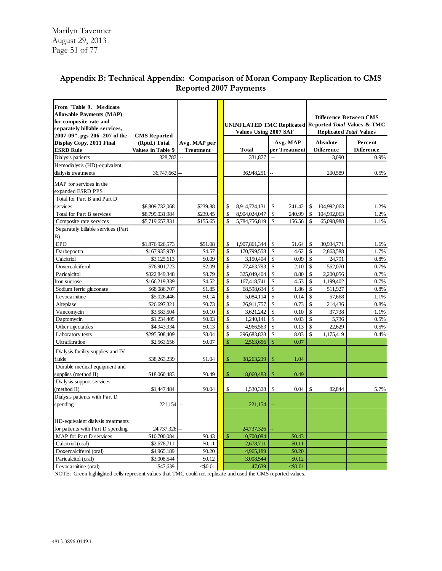| From "Table 9. Medicare<br><b>Allowable Payments (MAP)</b><br>for composite rate and | UNINFLATED TMC Replicated Reported Total Values & TMC |                      |              |                                |                              | <b>Difference Between CMS</b> |                                |                   |
|--------------------------------------------------------------------------------------|-------------------------------------------------------|----------------------|--------------|--------------------------------|------------------------------|-------------------------------|--------------------------------|-------------------|
| separately billable services,<br>2007-09", pgs 206 -207 of the                       |                                                       |                      |              | <b>Values Using 2007 SAF</b>   |                              |                               | <b>Replicated Total Values</b> |                   |
| Display Copy, 2011 Final                                                             | <b>CMS</b> Reported<br>(Rptd.) Total                  | Avg. MAP per         |              |                                | Avg. MAP                     |                               | <b>Absolute</b>                | Percent           |
| <b>ESRD Rule</b>                                                                     | <b>Values in Table 9</b>                              | <b>Treatment</b>     |              | <b>Total</b>                   | per Treatment                |                               | <b>Difference</b>              | <b>Difference</b> |
| Dialysis patients                                                                    | 328,787                                               | $\overline{a}$       |              | 331,877                        | $\overline{a}$               |                               | 3.090                          | 0.9%              |
| Hemodialysis (HD)-equivalent                                                         |                                                       |                      |              |                                |                              |                               |                                |                   |
| dialysis treatments                                                                  | 36,747,662                                            |                      |              | 36,948,251                     |                              |                               | 200,589                        | 0.5%              |
|                                                                                      |                                                       |                      |              |                                |                              |                               |                                |                   |
| MAP for services in the                                                              |                                                       |                      |              |                                |                              |                               |                                |                   |
| expanded ESRD PPS                                                                    |                                                       |                      |              |                                |                              |                               |                                |                   |
| Total for Part B and Part D<br>services                                              |                                                       |                      |              |                                |                              |                               |                                |                   |
|                                                                                      | \$8,809,732,068                                       | \$239.88             | \$<br>\$     | 8,914,724,131<br>8.904.024.047 | \$<br>241.42<br>\$<br>240.99 | $\mathbb{S}$                  | 104,992,063                    | 1.2%              |
| <b>Total for Part B services</b><br>Composite rate services                          | \$8,799,031,984                                       | \$239.45<br>\$155.65 | \$           | 5,784,756,819                  | \$<br>156.56                 | \$<br>\$                      | 104,992,063                    | 1.2%<br>1.1%      |
| Separately billable services (Part                                                   | \$5,719,657,831                                       |                      |              |                                |                              |                               | 65,098,988                     |                   |
| B)                                                                                   |                                                       |                      |              |                                |                              |                               |                                |                   |
| <b>EPO</b>                                                                           | \$1,876,926,573                                       | \$51.08              | \$           | 1,907,861,344                  | \$<br>51.64                  | \$                            | 30,934,771                     | 1.6%              |
| Darbepoetin                                                                          | \$167,935,970                                         | \$4.57               | \$           | 170,799,558                    | \$<br>4.62                   | \$                            | 2,863,588                      | 1.7%              |
| Calcitriol                                                                           | \$3,125,613                                           | \$0.09               | \$           | 3,150,404                      | \$<br>0.09                   | \$                            | 24,791                         | 0.8%              |
| Doxercalciferol                                                                      | \$76,901,723                                          | \$2.09               | \$           | 77,463,793                     | \$<br>2.10                   | \$                            | 562,070                        | 0.7%              |
| Paricalcitol                                                                         | \$322,849,348                                         | \$8.79               | \$           | 325,049,404                    | \$<br>8.80                   | \$                            | 2,200,056                      | 0.7%              |
| Iron sucrose                                                                         | \$166,219,339                                         | \$4.52               | \$           | 167,418,741                    | \$<br>4.53                   | $\mathbb{S}$                  | 1,199,402                      | 0.7%              |
| Sodium ferric gluconate                                                              | \$68,086,707                                          | \$1.85               | \$           | 68,598,634                     | \$<br>1.86                   | \$                            | 511,927                        | 0.8%              |
| Levocarnitine                                                                        | \$5,026,446                                           | \$0.14               | \$           | 5,084,114                      | $\mathbb{S}$<br>0.14         | $\mathbb{S}$                  | 57,668                         | 1.1%              |
| Alteplase                                                                            | \$26,697,321                                          | \$0.73               | \$           | 26,911,757                     | \$<br>0.73                   | \$                            | 214,436                        | 0.8%              |
| Vancomycin                                                                           | \$3,583,504                                           | \$0.10               | \$           | 3,621,242                      | $\mathbb{S}$<br>0.10         | $\mathsf{\$}$                 | 37,738                         | 1.1%              |
| Daptomycin                                                                           | \$1,234,405                                           | \$0.03               | \$           | 1,240,141                      | \$<br>0.03                   | $\mathbb{S}$                  | 5,736                          | 0.5%              |
| Other injectables                                                                    | \$4,943,934                                           | \$0.13               | \$           | 4,966,563                      | $\mathsf{\$}$<br>0.13        | $\mathsf{\$}$                 | 22,629                         | 0.5%              |
| Laboratory tests                                                                     | \$295,508,409                                         | \$8.04               | \$           | 296,683,828                    | \$<br>8.03                   | $\mathbf{\hat{S}}$            | 1,175,419                      | 0.4%              |
| Ultrafiltration                                                                      | \$2,563,656                                           | \$0.07               | $\mathbb{S}$ | 2,563,656                      | 0.07<br>\$                   |                               |                                |                   |
| Dialysis facility supplies and IV                                                    |                                                       |                      |              |                                |                              |                               |                                |                   |
| fluids                                                                               | \$38,263,239                                          | \$1.04               | $\mathbb{S}$ | 38,263,239                     | 1.04<br>\$                   |                               |                                |                   |
| Durable medical equipment and                                                        |                                                       |                      |              |                                |                              |                               |                                |                   |
| supplies (method II)                                                                 | \$18,060,483                                          | \$0.49               | \$           | 18,060,483                     | \$<br>0.49                   |                               |                                |                   |
| Dialysis support services                                                            |                                                       |                      |              |                                |                              |                               |                                |                   |
| (method II)                                                                          | \$1,447,484                                           | \$0.04               | \$           | 1,530,328                      | 0.04<br>\$                   | \$                            | 82,844                         | 5.7%              |
| Dialysis patients with Part D                                                        |                                                       |                      |              |                                |                              |                               |                                |                   |
| spending                                                                             | 221,154                                               | $\overline{a}$       |              | 221,154                        |                              |                               |                                |                   |
|                                                                                      |                                                       |                      |              |                                |                              |                               |                                |                   |
|                                                                                      |                                                       |                      |              |                                |                              |                               |                                |                   |
| HD-equivalent dialysis treatments<br>for patients with Part D spending               |                                                       |                      |              |                                |                              |                               |                                |                   |
| MAP for Part D services                                                              | 24,737,326<br>\$10,700,084                            | \$0.43               | \$           | 24,737,326<br>10,700,084       | \$0.43                       |                               |                                |                   |
| Calcitriol (oral)                                                                    | \$2,678,711                                           | \$0.11               |              | 2,678,711                      | \$0.11                       |                               |                                |                   |
| Doxercalciferol (oral)                                                               | \$4,965,189                                           | \$0.20               |              | 4,965,189                      | \$0.20                       |                               |                                |                   |
| Paricalcitol (oral)                                                                  | \$3,008,544                                           | \$0.12               |              | 3,008,544                      | \$0.12                       |                               |                                |                   |
| Levocarnitine (oral)                                                                 | \$47,639                                              | < 0.01               |              | 47,639                         | $<$ \$0.01                   |                               |                                |                   |
|                                                                                      |                                                       |                      |              |                                |                              |                               |                                |                   |

# **Appendix B: Technical Appendix: Comparison of Moran Company Replication to CMS Reported 2007 Payments**

NOTE: Green highlighted cells represent values that TMC could not replicate and used the CMS reported values.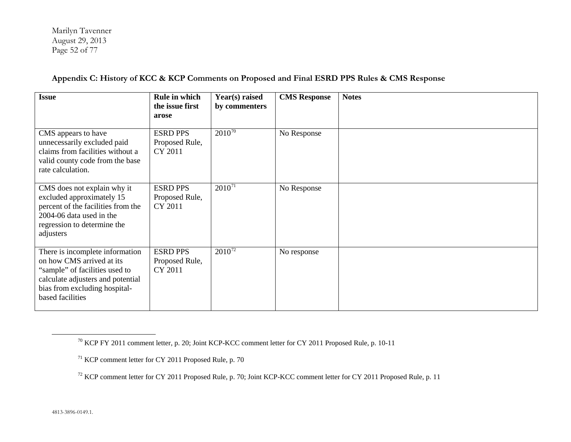<span id="page-51-2"></span><span id="page-51-1"></span><span id="page-51-0"></span>Marilyn Tavenner August 29, 2013 Page 52 of 77

**Appendix C: History of KCC & KCP Comments on Proposed and Final ESRD PPS Rules & CMS Response**

| <b>Issue</b>                                                                                                                                                                             | Rule in which<br>the issue first<br>arose    | Year(s) raised<br>by commenters | <b>CMS</b> Response | <b>Notes</b> |
|------------------------------------------------------------------------------------------------------------------------------------------------------------------------------------------|----------------------------------------------|---------------------------------|---------------------|--------------|
| CMS appears to have<br>unnecessarily excluded paid<br>claims from facilities without a<br>valid county code from the base<br>rate calculation.                                           | <b>ESRD PPS</b><br>Proposed Rule,<br>CY 2011 | $2010^{70}$                     | No Response         |              |
| CMS does not explain why it<br>excluded approximately 15<br>percent of the facilities from the<br>2004-06 data used in the<br>regression to determine the<br>adjusters                   | <b>ESRD PPS</b><br>Proposed Rule,<br>CY 2011 | $2010^{71}$                     | No Response         |              |
| There is incomplete information<br>on how CMS arrived at its<br>"sample" of facilities used to<br>calculate adjusters and potential<br>bias from excluding hospital-<br>based facilities | <b>ESRD PPS</b><br>Proposed Rule,<br>CY 2011 | $2010^{72}$                     | No response         |              |

<sup>70</sup> KCP FY 2011 comment letter, p. 20; Joint KCP-KCC comment letter for CY 2011 Proposed Rule, p. 10-11

<sup>71</sup> KCP comment letter for CY 2011 Proposed Rule, p. 70

<sup>72</sup> KCP comment letter for CY 2011 Proposed Rule, p. 70; Joint KCP-KCC comment letter for CY 2011 Proposed Rule, p. 11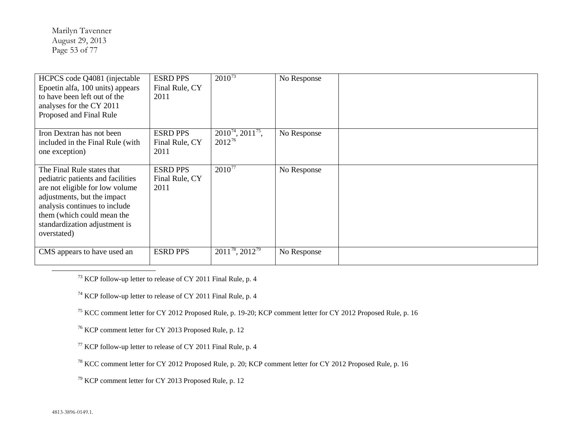<span id="page-52-6"></span><span id="page-52-5"></span><span id="page-52-4"></span><span id="page-52-3"></span><span id="page-52-2"></span><span id="page-52-1"></span><span id="page-52-0"></span>Marilyn Tavenner August 29, 2013 Page 53 of 77

| HCPCS code Q4081 (injectable<br>Epoetin alfa, 100 units) appears<br>to have been left out of the<br>analyses for the CY 2011<br>Proposed and Final Rule                                                                                          | <b>ESRD PPS</b><br>Final Rule, CY<br>2011 | $2010^{73}$                           | No Response |  |
|--------------------------------------------------------------------------------------------------------------------------------------------------------------------------------------------------------------------------------------------------|-------------------------------------------|---------------------------------------|-------------|--|
| Iron Dextran has not been<br>included in the Final Rule (with<br>one exception)                                                                                                                                                                  | <b>ESRD PPS</b><br>Final Rule, CY<br>2011 | $2010^{74}$ , $2011^{75}$ ,<br>201276 | No Response |  |
| The Final Rule states that<br>pediatric patients and facilities<br>are not eligible for low volume<br>adjustments, but the impact<br>analysis continues to include<br>them (which could mean the<br>standardization adjustment is<br>overstated) | <b>ESRD PPS</b><br>Final Rule, CY<br>2011 | $2010^{77}$                           | No Response |  |
| CMS appears to have used an                                                                                                                                                                                                                      | <b>ESRD PPS</b>                           | $2011^{78}$ , $2012^{79}$             | No Response |  |

 $73$  KCP follow-up letter to release of CY 2011 Final Rule, p. 4

<sup>74</sup> KCP follow-up letter to release of CY 2011 Final Rule, p. 4

<sup>75</sup> KCC comment letter for CY 2012 Proposed Rule, p. 19-20; KCP comment letter for CY 2012 Proposed Rule, p. 16

<sup>76</sup> KCP comment letter for CY 2013 Proposed Rule, p. 12

 $77$  KCP follow-up letter to release of CY 2011 Final Rule, p. 4

<sup>78</sup> KCC comment letter for CY 2012 Proposed Rule, p. 20; KCP comment letter for CY 2012 Proposed Rule, p. 16

<sup>79</sup> KCP comment letter for CY 2013 Proposed Rule, p. 12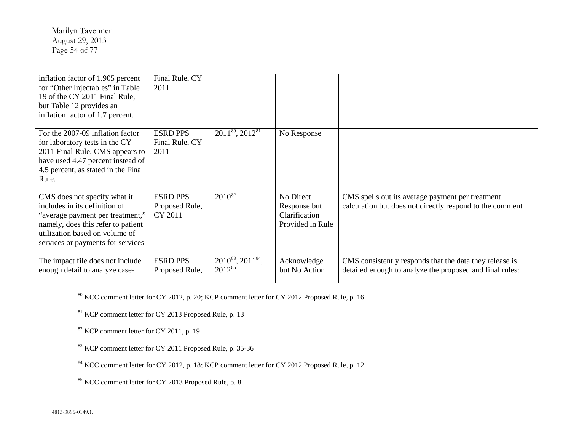<span id="page-53-5"></span><span id="page-53-4"></span><span id="page-53-3"></span><span id="page-53-2"></span><span id="page-53-1"></span><span id="page-53-0"></span>Marilyn Tavenner August 29, 2013 Page 54 of 77

| inflation factor of 1.905 percent<br>for "Other Injectables" in Table<br>19 of the CY 2011 Final Rule,<br>but Table 12 provides an<br>inflation factor of 1.7 percent.                                         | Final Rule, CY<br>2011                       |                                                   |                                                                |                                                                                                                     |
|----------------------------------------------------------------------------------------------------------------------------------------------------------------------------------------------------------------|----------------------------------------------|---------------------------------------------------|----------------------------------------------------------------|---------------------------------------------------------------------------------------------------------------------|
| For the 2007-09 inflation factor<br>for laboratory tests in the CY<br>2011 Final Rule, CMS appears to<br>have used 4.47 percent instead of<br>4.5 percent, as stated in the Final<br>Rule.                     | <b>ESRD PPS</b><br>Final Rule, CY<br>2011    | 2011 <sup>80</sup> , 2012 <sup>81</sup>           | No Response                                                    |                                                                                                                     |
| CMS does not specify what it<br>includes in its definition of<br>"average payment per treatment,"<br>namely, does this refer to patient<br>utilization based on volume of<br>services or payments for services | <b>ESRD PPS</b><br>Proposed Rule,<br>CY 2011 | $2010^{82}$                                       | No Direct<br>Response but<br>Clarification<br>Provided in Rule | CMS spells out its average payment per treatment<br>calculation but does not directly respond to the comment        |
| The impact file does not include<br>enough detail to analyze case-                                                                                                                                             | <b>ESRD PPS</b><br>Proposed Rule,            | $2010^{83}$ , $2011^{84}$ ,<br>2012 <sup>85</sup> | Acknowledge<br>but No Action                                   | CMS consistently responds that the data they release is<br>detailed enough to analyze the proposed and final rules: |

<sup>80</sup> KCC comment letter for CY 2012, p. 20; KCP comment letter for CY 2012 Proposed Rule, p. 16

<sup>81</sup> KCP comment letter for CY 2013 Proposed Rule, p. 13

 $82$  KCP comment letter for CY 2011, p. 19

<sup>83</sup> KCP comment letter for CY 2011 Proposed Rule, p. 35-36

<sup>84</sup> KCC comment letter for CY 2012, p. 18; KCP comment letter for CY 2012 Proposed Rule, p. 12

<sup>85</sup> KCC comment letter for CY 2013 Proposed Rule, p. 8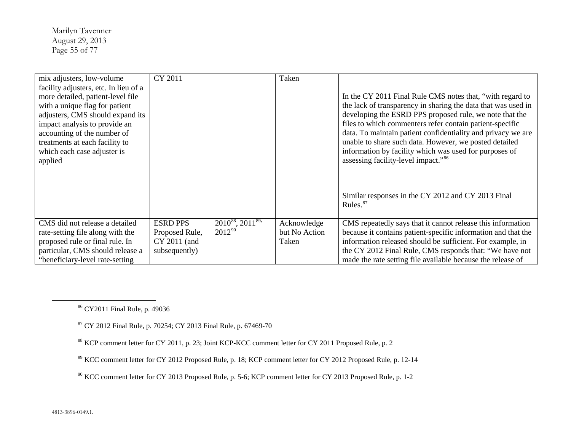<span id="page-54-4"></span><span id="page-54-3"></span><span id="page-54-2"></span><span id="page-54-1"></span><span id="page-54-0"></span>Marilyn Tavenner August 29, 2013 Page 55 of 77

| mix adjusters, low-volume             | CY 2011         |                                          | Taken         |                                                               |
|---------------------------------------|-----------------|------------------------------------------|---------------|---------------------------------------------------------------|
| facility adjusters, etc. In lieu of a |                 |                                          |               |                                                               |
| more detailed, patient-level file     |                 |                                          |               | In the CY 2011 Final Rule CMS notes that, "with regard to     |
| with a unique flag for patient        |                 |                                          |               | the lack of transparency in sharing the data that was used in |
| adjusters, CMS should expand its      |                 |                                          |               | developing the ESRD PPS proposed rule, we note that the       |
| impact analysis to provide an         |                 |                                          |               | files to which commenters refer contain patient-specific      |
| accounting of the number of           |                 |                                          |               | data. To maintain patient confidentiality and privacy we are  |
| treatments at each facility to        |                 |                                          |               | unable to share such data. However, we posted detailed        |
| which each case adjuster is           |                 |                                          |               | information by facility which was used for purposes of        |
| applied                               |                 |                                          |               | assessing facility-level impact." <sup>86</sup>               |
|                                       |                 |                                          |               |                                                               |
|                                       |                 |                                          |               |                                                               |
|                                       |                 |                                          |               |                                                               |
|                                       |                 |                                          |               | Similar responses in the CY 2012 and CY 2013 Final            |
|                                       |                 |                                          |               | Rules. $87$                                                   |
|                                       |                 |                                          |               |                                                               |
| CMS did not release a detailed        | <b>ESRD PPS</b> | 2010 <sup>88</sup> , 2011 <sup>89,</sup> | Acknowledge   | CMS repeatedly says that it cannot release this information   |
| rate-setting file along with the      | Proposed Rule,  | 201290                                   | but No Action | because it contains patient-specific information and that the |
| proposed rule or final rule. In       | CY 2011 (and    |                                          | Taken         | information released should be sufficient. For example, in    |
| particular, CMS should release a      | subsequently)   |                                          |               | the CY 2012 Final Rule, CMS responds that: "We have not       |
| "beneficiary-level rate-setting       |                 |                                          |               | made the rate setting file available because the release of   |

<sup>86</sup> CY2011 Final Rule, p. 49036

<sup>87</sup> CY 2012 Final Rule, p. 70254; CY 2013 Final Rule, p. 67469-70

<sup>88</sup> KCP comment letter for CY 2011, p. 23; Joint KCP-KCC comment letter for CY 2011 Proposed Rule, p. 2

<sup>89</sup> KCC comment letter for CY 2012 Proposed Rule, p. 18; KCP comment letter for CY 2012 Proposed Rule, p. 12-14

<sup>90</sup> KCC comment letter for CY 2013 Proposed Rule, p. 5-6; KCP comment letter for CY 2013 Proposed Rule, p. 1-2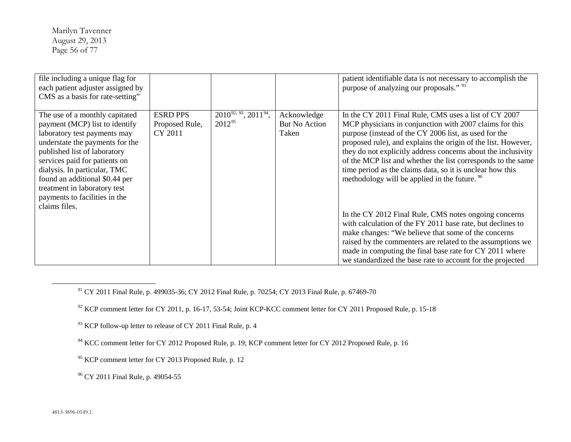<span id="page-55-5"></span><span id="page-55-4"></span><span id="page-55-3"></span><span id="page-55-2"></span><span id="page-55-1"></span><span id="page-55-0"></span>Marilyn Tavenner August 29, 2013 Page 56 of 77

| file including a unique flag for<br>each patient adjuster assigned by<br>CMS as a basis for rate-setting"                                                                                                                                                                                                                                                |                                              |                                      |                                              | patient identifiable data is not necessary to accomplish the<br>purpose of analyzing our proposals." <sup>91</sup>                                                                                                                                                                                                                                                                                                                                                                                   |
|----------------------------------------------------------------------------------------------------------------------------------------------------------------------------------------------------------------------------------------------------------------------------------------------------------------------------------------------------------|----------------------------------------------|--------------------------------------|----------------------------------------------|------------------------------------------------------------------------------------------------------------------------------------------------------------------------------------------------------------------------------------------------------------------------------------------------------------------------------------------------------------------------------------------------------------------------------------------------------------------------------------------------------|
| The use of a monthly capitated<br>payment (MCP) list to identify<br>laboratory test payments may<br>understate the payments for the<br>published list of laboratory<br>services paid for patients on<br>dialysis. In particular, TMC<br>found an additional \$0.44 per<br>treatment in laboratory test<br>payments to facilities in the<br>claims files. | <b>ESRD PPS</b><br>Proposed Rule,<br>CY 2011 | $2010^{92,93}, 2011^{94},$<br>201295 | Acknowledge<br><b>But No Action</b><br>Taken | In the CY 2011 Final Rule, CMS uses a list of CY 2007<br>MCP physicians in conjunction with 2007 claims for this<br>purpose (instead of the CY 2006 list, as used for the<br>proposed rule), and explains the origin of the list. However,<br>they do not explicitly address concerns about the inclusivity<br>of the MCP list and whether the list corresponds to the same<br>time period as the claims data, so it is unclear how this<br>methodology will be applied in the future. <sup>96</sup> |
|                                                                                                                                                                                                                                                                                                                                                          |                                              |                                      |                                              | In the CY 2012 Final Rule, CMS notes ongoing concerns<br>with calculation of the FY 2011 base rate, but declines to<br>make changes: "We believe that some of the concerns<br>raised by the commenters are related to the assumptions we<br>made in computing the final base rate for CY 2011 where<br>we standardized the base rate to account for the projected                                                                                                                                    |

<sup>91</sup> CY 2011 Final Rule, p. 499035-36; CY 2012 Final Rule, p. 70254; CY 2013 Final Rule, p. 67469-70

 $92$  KCP comment letter for CY 2011, p. 16-17, 53-54; Joint KCP-KCC comment letter for CY 2011 Proposed Rule, p. 15-18

<sup>93</sup> KCP follow-up letter to release of CY 2011 Final Rule, p. 4

<sup>94</sup> KCC comment letter for CY 2012 Proposed Rule, p. 19; KCP comment letter for CY 2012 Proposed Rule, p. 16

<sup>95</sup> KCP comment letter for CY 2013 Proposed Rule, p. 12

<sup>96</sup> CY 2011 Final Rule, p. 49054-55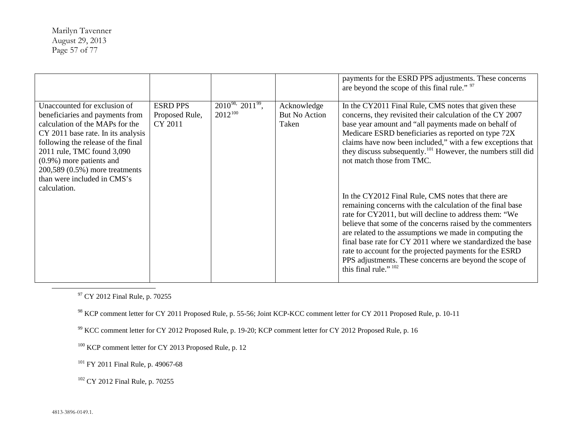<span id="page-56-5"></span><span id="page-56-4"></span><span id="page-56-3"></span><span id="page-56-2"></span><span id="page-56-1"></span><span id="page-56-0"></span>Marilyn Tavenner August 29, 2013 Page 57 of 77

|                                                                                                                                                                                                                                                                                                                              |                                              |                                             |                                              | payments for the ESRD PPS adjustments. These concerns<br>are beyond the scope of this final rule." 97                                                                                                                                                                                                                                                                                                                                                                                                                                                                                                                                                                                                                                                                                                                                                                                                                      |
|------------------------------------------------------------------------------------------------------------------------------------------------------------------------------------------------------------------------------------------------------------------------------------------------------------------------------|----------------------------------------------|---------------------------------------------|----------------------------------------------|----------------------------------------------------------------------------------------------------------------------------------------------------------------------------------------------------------------------------------------------------------------------------------------------------------------------------------------------------------------------------------------------------------------------------------------------------------------------------------------------------------------------------------------------------------------------------------------------------------------------------------------------------------------------------------------------------------------------------------------------------------------------------------------------------------------------------------------------------------------------------------------------------------------------------|
| Unaccounted for exclusion of<br>beneficiaries and payments from<br>calculation of the MAPs for the<br>CY 2011 base rate. In its analysis<br>following the release of the final<br>2011 rule, TMC found 3,090<br>$(0.9\%)$ more patients and<br>200,589 (0.5%) more treatments<br>than were included in CMS's<br>calculation. | <b>ESRD PPS</b><br>Proposed Rule,<br>CY 2011 | $2010^{98}$ , $2011^{99}$ ,<br>$2012^{100}$ | Acknowledge<br><b>But No Action</b><br>Taken | In the CY2011 Final Rule, CMS notes that given these<br>concerns, they revisited their calculation of the CY 2007<br>base year amount and "all payments made on behalf of<br>Medicare ESRD beneficiaries as reported on type 72X<br>claims have now been included," with a few exceptions that<br>they discuss subsequently. <sup>101</sup> However, the numbers still did<br>not match those from TMC.<br>In the CY2012 Final Rule, CMS notes that there are<br>remaining concerns with the calculation of the final base<br>rate for CY2011, but will decline to address them: "We<br>believe that some of the concerns raised by the commenters<br>are related to the assumptions we made in computing the<br>final base rate for CY 2011 where we standardized the base<br>rate to account for the projected payments for the ESRD<br>PPS adjustments. These concerns are beyond the scope of<br>this final rule." 102 |
|                                                                                                                                                                                                                                                                                                                              |                                              |                                             |                                              |                                                                                                                                                                                                                                                                                                                                                                                                                                                                                                                                                                                                                                                                                                                                                                                                                                                                                                                            |

<sup>97</sup> CY 2012 Final Rule, p. 70255

<sup>98</sup> KCP comment letter for CY 2011 Proposed Rule, p. 55-56; Joint KCP-KCC comment letter for CY 2011 Proposed Rule, p. 10-11

<sup>99</sup> KCC comment letter for CY 2012 Proposed Rule, p. 19-20; KCP comment letter for CY 2012 Proposed Rule, p. 16

<sup>100</sup> KCP comment letter for CY 2013 Proposed Rule, p. 12

<sup>101</sup> FY 2011 Final Rule, p. 49067-68

<sup>102</sup> CY 2012 Final Rule, p. 70255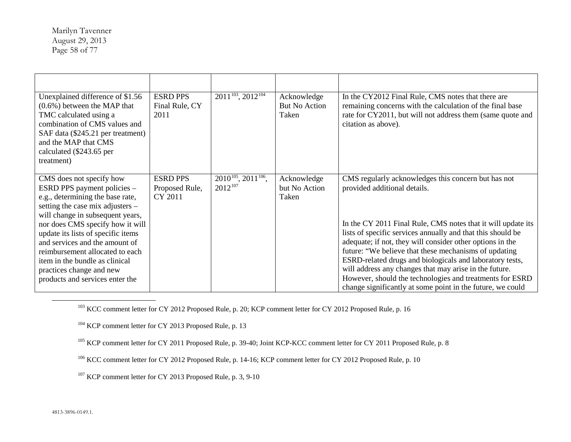<span id="page-57-4"></span><span id="page-57-3"></span><span id="page-57-2"></span><span id="page-57-1"></span><span id="page-57-0"></span>Marilyn Tavenner August 29, 2013 Page 58 of 77

| Unexplained difference of \$1.56<br>$(0.6\%)$ between the MAP that<br>TMC calculated using a<br>combination of CMS values and<br>SAF data (\$245.21 per treatment)<br>and the MAP that CMS<br>calculated (\$243.65 per<br>treatment)                                                                                                                                                                                | <b>ESRD PPS</b><br>Final Rule, CY<br>2011    | $\overline{2011^{103}}$ , 2012 <sup>104</sup> | Acknowledge<br>But No Action<br>Taken | In the CY2012 Final Rule, CMS notes that there are<br>remaining concerns with the calculation of the final base<br>rate for CY2011, but will not address them (same quote and<br>citation as above).                                                                                                                                                                                                                                                                                                                                                                                     |
|---------------------------------------------------------------------------------------------------------------------------------------------------------------------------------------------------------------------------------------------------------------------------------------------------------------------------------------------------------------------------------------------------------------------|----------------------------------------------|-----------------------------------------------|---------------------------------------|------------------------------------------------------------------------------------------------------------------------------------------------------------------------------------------------------------------------------------------------------------------------------------------------------------------------------------------------------------------------------------------------------------------------------------------------------------------------------------------------------------------------------------------------------------------------------------------|
| CMS does not specify how<br>ESRD PPS payment policies -<br>e.g., determining the base rate,<br>setting the case mix adjusters -<br>will change in subsequent years,<br>nor does CMS specify how it will<br>update its lists of specific items<br>and services and the amount of<br>reimbursement allocated to each<br>item in the bundle as clinical<br>practices change and new<br>products and services enter the | <b>ESRD PPS</b><br>Proposed Rule,<br>CY 2011 | $2010^{105}$ , $2011^{106}$ ,<br>$2012^{107}$ | Acknowledge<br>but No Action<br>Taken | CMS regularly acknowledges this concern but has not<br>provided additional details.<br>In the CY 2011 Final Rule, CMS notes that it will update its<br>lists of specific services annually and that this should be<br>adequate; if not, they will consider other options in the<br>future: "We believe that these mechanisms of updating<br>ESRD-related drugs and biologicals and laboratory tests,<br>will address any changes that may arise in the future.<br>However, should the technologies and treatments for ESRD<br>change significantly at some point in the future, we could |

<sup>103</sup> KCC comment letter for CY 2012 Proposed Rule, p. 20; KCP comment letter for CY 2012 Proposed Rule, p. 16

<sup>104</sup> KCP comment letter for CY 2013 Proposed Rule, p. 13

<sup>105</sup> KCP comment letter for CY 2011 Proposed Rule, p. 39-40; Joint KCP-KCC comment letter for CY 2011 Proposed Rule, p. 8

<sup>106</sup> KCC comment letter for CY 2012 Proposed Rule, p. 14-16; KCP comment letter for CY 2012 Proposed Rule, p. 10

<sup>107</sup> KCP comment letter for CY 2013 Proposed Rule, p. 3, 9-10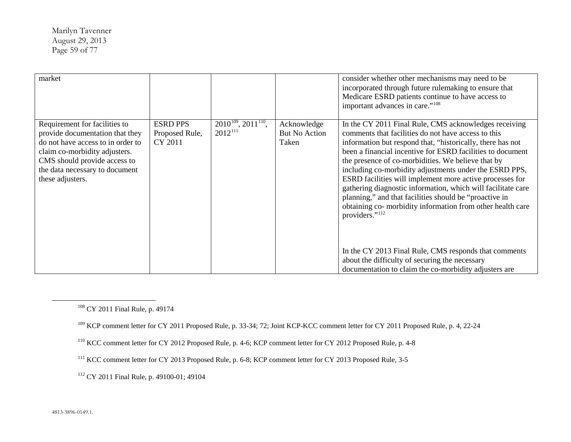<span id="page-58-4"></span><span id="page-58-3"></span><span id="page-58-2"></span><span id="page-58-1"></span><span id="page-58-0"></span>Marilyn Tavenner August 29, 2013 Page 59 of 77

| market                                                                                                                                                                                                                       |                                              |                                               |                                              | consider whether other mechanisms may need to be<br>incorporated through future rulemaking to ensure that<br>Medicare ESRD patients continue to have access to<br>important advances in care." <sup>108</sup>                                                                                                                                                                                                                                                                                                                                                                                                                                                                                                                                                                                                  |
|------------------------------------------------------------------------------------------------------------------------------------------------------------------------------------------------------------------------------|----------------------------------------------|-----------------------------------------------|----------------------------------------------|----------------------------------------------------------------------------------------------------------------------------------------------------------------------------------------------------------------------------------------------------------------------------------------------------------------------------------------------------------------------------------------------------------------------------------------------------------------------------------------------------------------------------------------------------------------------------------------------------------------------------------------------------------------------------------------------------------------------------------------------------------------------------------------------------------------|
| Requirement for facilities to<br>provide documentation that they<br>do not have access to in order to<br>claim co-morbidity adjusters.<br>CMS should provide access to<br>the data necessary to document<br>these adjusters. | <b>ESRD PPS</b><br>Proposed Rule,<br>CY 2011 | $2010^{109}$ , $2011^{110}$ ,<br>$2012^{111}$ | Acknowledge<br><b>But No Action</b><br>Taken | In the CY 2011 Final Rule, CMS acknowledges receiving<br>comments that facilities do not have access to this<br>information but respond that, "historically, there has not<br>been a financial incentive for ESRD facilities to document<br>the presence of co-morbidities. We believe that by<br>including co-morbidity adjustments under the ESRD PPS,<br>ESRD facilities will implement more active processes for<br>gathering diagnostic information, which will facilitate care<br>planning," and that facilities should be "proactive in<br>obtaining co- morbidity information from other health care<br>providers." <sup>112</sup><br>In the CY 2013 Final Rule, CMS responds that comments<br>about the difficulty of securing the necessary<br>documentation to claim the co-morbidity adjusters are |

<sup>108</sup> CY 2011 Final Rule, p. 49174

<sup>109</sup> KCP comment letter for CY 2011 Proposed Rule, p. 33-34; 72; Joint KCP-KCC comment letter for CY 2011 Proposed Rule, p. 4, 22-24

<sup>110</sup> KCC comment letter for CY 2012 Proposed Rule, p. 4-6; KCP comment letter for CY 2012 Proposed Rule, p. 4-8

<sup>111</sup> KCC comment letter for CY 2013 Proposed Rule, p. 6-8; KCP comment letter for CY 2013 Proposed Rule, 3-5

<sup>112</sup> CY 2011 Final Rule, p. 49100-01; 49104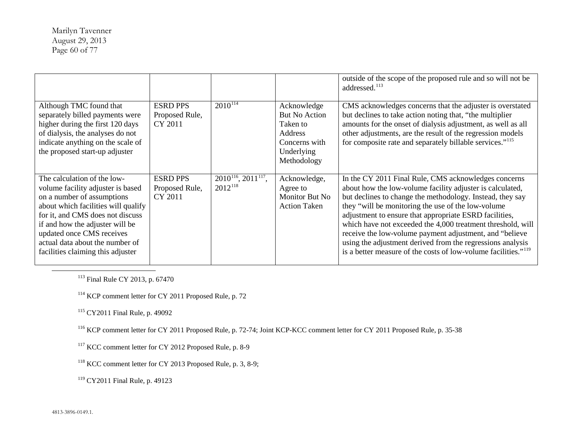<span id="page-59-6"></span><span id="page-59-5"></span><span id="page-59-4"></span><span id="page-59-3"></span><span id="page-59-2"></span><span id="page-59-1"></span><span id="page-59-0"></span>Marilyn Tavenner August 29, 2013 Page 60 of 77

|                                                                                                                                                                                                                                                                                                                   |                                              |                                               |                                                                                                          | outside of the scope of the proposed rule and so will not be<br>addressed. <sup>113</sup>                                                                                                                                                                                                                                                                                                                                                                                                                                                                             |
|-------------------------------------------------------------------------------------------------------------------------------------------------------------------------------------------------------------------------------------------------------------------------------------------------------------------|----------------------------------------------|-----------------------------------------------|----------------------------------------------------------------------------------------------------------|-----------------------------------------------------------------------------------------------------------------------------------------------------------------------------------------------------------------------------------------------------------------------------------------------------------------------------------------------------------------------------------------------------------------------------------------------------------------------------------------------------------------------------------------------------------------------|
| Although TMC found that<br>separately billed payments were<br>higher during the first 120 days<br>of dialysis, the analyses do not<br>indicate anything on the scale of<br>the proposed start-up adjuster                                                                                                         | <b>ESRD PPS</b><br>Proposed Rule,<br>CY 2011 | $2010^{114}$                                  | Acknowledge<br><b>But No Action</b><br>Taken to<br>Address<br>Concerns with<br>Underlying<br>Methodology | CMS acknowledges concerns that the adjuster is overstated<br>but declines to take action noting that, "the multiplier"<br>amounts for the onset of dialysis adjustment, as well as all<br>other adjustments, are the result of the regression models<br>for composite rate and separately billable services." <sup>115</sup>                                                                                                                                                                                                                                          |
| The calculation of the low-<br>volume facility adjuster is based<br>on a number of assumptions<br>about which facilities will qualify<br>for it, and CMS does not discuss<br>if and how the adjuster will be<br>updated once CMS receives<br>actual data about the number of<br>facilities claiming this adjuster | <b>ESRD PPS</b><br>Proposed Rule,<br>CY 2011 | $2010^{116}$ , $2011^{117}$ ,<br>$2012^{118}$ | Acknowledge,<br>Agree to<br>Monitor But No.<br><b>Action Taken</b>                                       | In the CY 2011 Final Rule, CMS acknowledges concerns<br>about how the low-volume facility adjuster is calculated,<br>but declines to change the methodology. Instead, they say<br>they "will be monitoring the use of the low-volume"<br>adjustment to ensure that appropriate ESRD facilities,<br>which have not exceeded the 4,000 treatment threshold, will<br>receive the low-volume payment adjustment, and "believe<br>using the adjustment derived from the regressions analysis<br>is a better measure of the costs of low-volume facilities." <sup>119</sup> |

<sup>113</sup> Final Rule CY 2013, p. 67470

<sup>114</sup> KCP comment letter for CY 2011 Proposed Rule, p. 72

<sup>115</sup> CY2011 Final Rule, p. 49092

<sup>116</sup> KCP comment letter for CY 2011 Proposed Rule, p. 72-74; Joint KCP-KCC comment letter for CY 2011 Proposed Rule, p. 35-38

<sup>117</sup> KCC comment letter for CY 2012 Proposed Rule, p. 8-9

<sup>118</sup> KCC comment letter for CY 2013 Proposed Rule, p. 3, 8-9;

<sup>119</sup> CY2011 Final Rule, p. 49123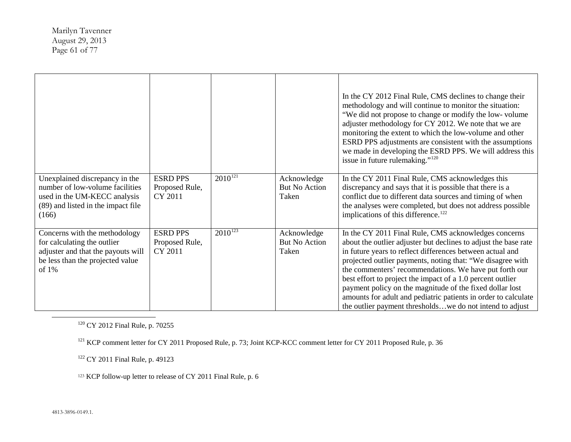<span id="page-60-3"></span><span id="page-60-2"></span><span id="page-60-1"></span><span id="page-60-0"></span>Marilyn Tavenner August 29, 2013 Page 61 of 77

|                                                                                                                                                  |                                              |              |                                              | In the CY 2012 Final Rule, CMS declines to change their<br>methodology and will continue to monitor the situation:<br>"We did not propose to change or modify the low- volume<br>adjuster methodology for CY 2012. We note that we are<br>monitoring the extent to which the low-volume and other<br>ESRD PPS adjustments are consistent with the assumptions<br>we made in developing the ESRD PPS. We will address this<br>issue in future rulemaking." <sup>120</sup>                                                                                             |
|--------------------------------------------------------------------------------------------------------------------------------------------------|----------------------------------------------|--------------|----------------------------------------------|----------------------------------------------------------------------------------------------------------------------------------------------------------------------------------------------------------------------------------------------------------------------------------------------------------------------------------------------------------------------------------------------------------------------------------------------------------------------------------------------------------------------------------------------------------------------|
| Unexplained discrepancy in the<br>number of low-volume facilities<br>used in the UM-KECC analysis<br>(89) and listed in the impact file<br>(166) | <b>ESRD PPS</b><br>Proposed Rule,<br>CY 2011 | $2010^{121}$ | Acknowledge<br>But No Action<br>Taken        | In the CY 2011 Final Rule, CMS acknowledges this<br>discrepancy and says that it is possible that there is a<br>conflict due to different data sources and timing of when<br>the analyses were completed, but does not address possible<br>implications of this difference. <sup>122</sup>                                                                                                                                                                                                                                                                           |
| Concerns with the methodology<br>for calculating the outlier<br>adjuster and that the payouts will<br>be less than the projected value<br>of 1%  | <b>ESRD PPS</b><br>Proposed Rule,<br>CY 2011 | $2010^{123}$ | Acknowledge<br><b>But No Action</b><br>Taken | In the CY 2011 Final Rule, CMS acknowledges concerns<br>about the outlier adjuster but declines to adjust the base rate<br>in future years to reflect differences between actual and<br>projected outlier payments, noting that: "We disagree with<br>the commenters' recommendations. We have put forth our<br>best effort to project the impact of a 1.0 percent outlier<br>payment policy on the magnitude of the fixed dollar lost<br>amounts for adult and pediatric patients in order to calculate<br>the outlier payment thresholdswe do not intend to adjust |

<sup>120</sup> CY 2012 Final Rule, p. 70255

<sup>121</sup> KCP comment letter for CY 2011 Proposed Rule, p. 73; Joint KCP-KCC comment letter for CY 2011 Proposed Rule, p. 36

<sup>122</sup> CY 2011 Final Rule, p. 49123

<sup>123</sup> KCP follow-up letter to release of CY 2011 Final Rule, p. 6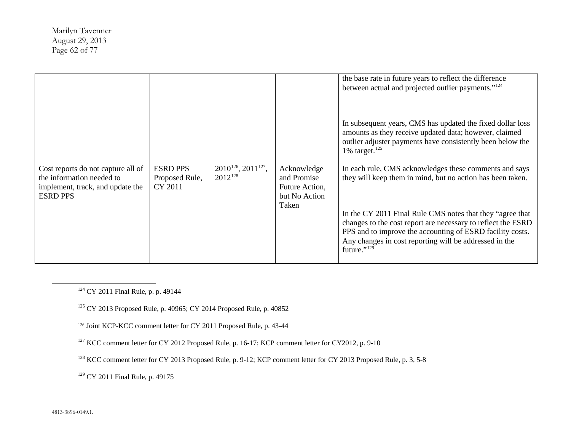<span id="page-61-5"></span><span id="page-61-4"></span><span id="page-61-3"></span><span id="page-61-2"></span><span id="page-61-1"></span><span id="page-61-0"></span>Marilyn Tavenner August 29, 2013 Page 62 of 77

|                                                                                                                        |                                              |                                               |                                                                        | the base rate in future years to reflect the difference<br>between actual and projected outlier payments." <sup>124</sup><br>In subsequent years, CMS has updated the fixed dollar loss<br>amounts as they receive updated data; however, claimed<br>outlier adjuster payments have consistently been below the<br>1% target. $125$                                                     |
|------------------------------------------------------------------------------------------------------------------------|----------------------------------------------|-----------------------------------------------|------------------------------------------------------------------------|-----------------------------------------------------------------------------------------------------------------------------------------------------------------------------------------------------------------------------------------------------------------------------------------------------------------------------------------------------------------------------------------|
| Cost reports do not capture all of<br>the information needed to<br>implement, track, and update the<br><b>ESRD PPS</b> | <b>ESRD PPS</b><br>Proposed Rule,<br>CY 2011 | $2010^{126}$ , $2011^{127}$ ,<br>$2012^{128}$ | Acknowledge<br>and Promise<br>Future Action,<br>but No Action<br>Taken | In each rule, CMS acknowledges these comments and says<br>they will keep them in mind, but no action has been taken.<br>In the CY 2011 Final Rule CMS notes that they "agree that<br>changes to the cost report are necessary to reflect the ESRD<br>PPS and to improve the accounting of ESRD facility costs.<br>Any changes in cost reporting will be addressed in the<br>future."129 |

<sup>124</sup> CY 2011 Final Rule, p. p. 49144

<sup>125</sup> CY 2013 Proposed Rule, p. 40965; CY 2014 Proposed Rule, p. 40852

<sup>126</sup> Joint KCP-KCC comment letter for CY 2011 Proposed Rule, p. 43-44

<sup>127</sup> KCC comment letter for CY 2012 Proposed Rule, p. 16-17; KCP comment letter for CY2012, p. 9-10

<sup>128</sup> KCC comment letter for CY 2013 Proposed Rule, p. 9-12; KCP comment letter for CY 2013 Proposed Rule, p. 3, 5-8

<sup>129</sup> CY 2011 Final Rule, p. 49175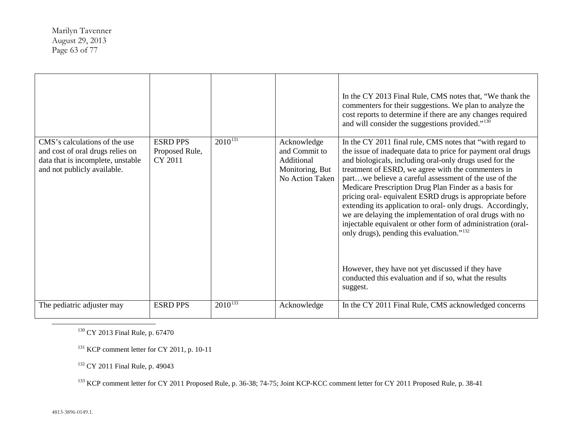<span id="page-62-3"></span><span id="page-62-2"></span><span id="page-62-1"></span><span id="page-62-0"></span>Marilyn Tavenner August 29, 2013 Page 63 of 77

| CMS's calculations of the use<br>and cost of oral drugs relies on<br>data that is incomplete, unstable<br>and not publicly available. | <b>ESRD PPS</b><br>Proposed Rule,<br>CY 2011 | $2010^{131}$ | Acknowledge<br>and Commit to<br>Additional<br>Monitoring, But<br>No Action Taken | In the CY 2013 Final Rule, CMS notes that, "We thank the<br>commenters for their suggestions. We plan to analyze the<br>cost reports to determine if there are any changes required<br>and will consider the suggestions provided." <sup>130</sup><br>In the CY 2011 final rule, CMS notes that "with regard to<br>the issue of inadequate data to price for payment oral drugs<br>and biologicals, including oral-only drugs used for the<br>treatment of ESRD, we agree with the commenters in<br>partwe believe a careful assessment of the use of the<br>Medicare Prescription Drug Plan Finder as a basis for<br>pricing oral-equivalent ESRD drugs is appropriate before<br>extending its application to oral- only drugs. Accordingly,<br>we are delaying the implementation of oral drugs with no<br>injectable equivalent or other form of administration (oral-<br>only drugs), pending this evaluation." <sup>132</sup> |
|---------------------------------------------------------------------------------------------------------------------------------------|----------------------------------------------|--------------|----------------------------------------------------------------------------------|------------------------------------------------------------------------------------------------------------------------------------------------------------------------------------------------------------------------------------------------------------------------------------------------------------------------------------------------------------------------------------------------------------------------------------------------------------------------------------------------------------------------------------------------------------------------------------------------------------------------------------------------------------------------------------------------------------------------------------------------------------------------------------------------------------------------------------------------------------------------------------------------------------------------------------|
|                                                                                                                                       |                                              |              |                                                                                  | However, they have not yet discussed if they have<br>conducted this evaluation and if so, what the results<br>suggest.                                                                                                                                                                                                                                                                                                                                                                                                                                                                                                                                                                                                                                                                                                                                                                                                             |
| The pediatric adjuster may                                                                                                            | <b>ESRD PPS</b>                              | $2010^{133}$ | Acknowledge                                                                      | In the CY 2011 Final Rule, CMS acknowledged concerns                                                                                                                                                                                                                                                                                                                                                                                                                                                                                                                                                                                                                                                                                                                                                                                                                                                                               |

<sup>130</sup> CY 2013 Final Rule, p. 67470

<sup>131</sup> KCP comment letter for CY 2011, p. 10-11

<sup>132</sup> CY 2011 Final Rule, p. 49043

<sup>133</sup> KCP comment letter for CY 2011 Proposed Rule, p. 36-38; 74-75; Joint KCP-KCC comment letter for CY 2011 Proposed Rule, p. 38-41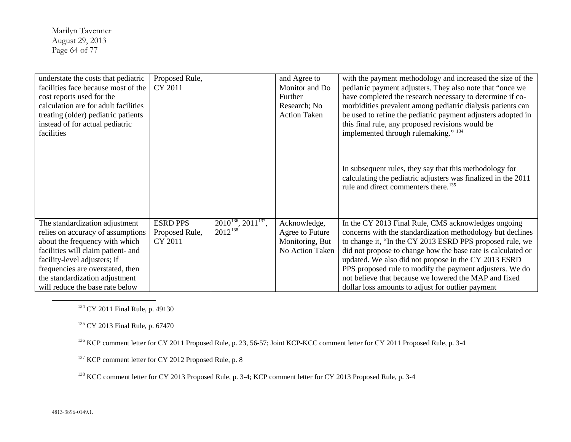<span id="page-63-4"></span><span id="page-63-3"></span><span id="page-63-2"></span><span id="page-63-1"></span><span id="page-63-0"></span>Marilyn Tavenner August 29, 2013 Page 64 of 77

| understate the costs that pediatric  | Proposed Rule,  |                               | and Agree to        | with the payment methodology and increased the size of the                                                                                                                   |
|--------------------------------------|-----------------|-------------------------------|---------------------|------------------------------------------------------------------------------------------------------------------------------------------------------------------------------|
| facilities face because most of the  | CY 2011         |                               | Monitor and Do      | pediatric payment adjusters. They also note that "once we                                                                                                                    |
| cost reports used for the            |                 |                               | Further             | have completed the research necessary to determine if co-                                                                                                                    |
|                                      |                 |                               |                     |                                                                                                                                                                              |
| calculation are for adult facilities |                 |                               | Research; No        | morbidities prevalent among pediatric dialysis patients can                                                                                                                  |
| treating (older) pediatric patients  |                 |                               | <b>Action Taken</b> | be used to refine the pediatric payment adjusters adopted in                                                                                                                 |
| instead of for actual pediatric      |                 |                               |                     | this final rule, any proposed revisions would be                                                                                                                             |
| facilities                           |                 |                               |                     | implemented through rulemaking." 134                                                                                                                                         |
|                                      |                 |                               |                     | In subsequent rules, they say that this methodology for<br>calculating the pediatric adjusters was finalized in the 2011<br>rule and direct commenters there. <sup>135</sup> |
| The standardization adjustment       | <b>ESRD PPS</b> | $2010^{136}$ , $2011^{137}$ , | Acknowledge,        | In the CY 2013 Final Rule, CMS acknowledges ongoing                                                                                                                          |
| relies on accuracy of assumptions    | Proposed Rule,  | $2012^{138}$                  | Agree to Future     | concerns with the standardization methodology but declines                                                                                                                   |
| about the frequency with which       | CY 2011         |                               | Monitoring, But     | to change it, "In the CY 2013 ESRD PPS proposed rule, we                                                                                                                     |
| facilities will claim patient- and   |                 |                               | No Action Taken     | did not propose to change how the base rate is calculated or                                                                                                                 |
| facility-level adjusters; if         |                 |                               |                     | updated. We also did not propose in the CY 2013 ESRD                                                                                                                         |
| frequencies are overstated, then     |                 |                               |                     | PPS proposed rule to modify the payment adjusters. We do                                                                                                                     |
| the standardization adjustment       |                 |                               |                     | not believe that because we lowered the MAP and fixed                                                                                                                        |
| will reduce the base rate below      |                 |                               |                     | dollar loss amounts to adjust for outlier payment                                                                                                                            |

<sup>134</sup> CY 2011 Final Rule, p. 49130

<sup>135</sup> CY 2013 Final Rule, p. 67470

<sup>136</sup> KCP comment letter for CY 2011 Proposed Rule, p. 23, 56-57; Joint KCP-KCC comment letter for CY 2011 Proposed Rule, p. 3-4

<sup>137</sup> KCP comment letter for CY 2012 Proposed Rule, p. 8

<sup>138</sup> KCC comment letter for CY 2013 Proposed Rule, p. 3-4; KCP comment letter for CY 2013 Proposed Rule, p. 3-4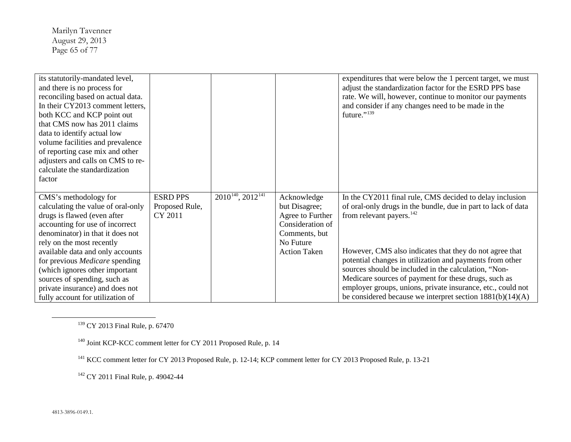<span id="page-64-3"></span><span id="page-64-2"></span><span id="page-64-1"></span><span id="page-64-0"></span>Marilyn Tavenner August 29, 2013 Page 65 of 77

| its statutorily-mandated level,    |                 |                             |                     | expenditures that were below the 1 percent target, we must    |
|------------------------------------|-----------------|-----------------------------|---------------------|---------------------------------------------------------------|
| and there is no process for        |                 |                             |                     | adjust the standardization factor for the ESRD PPS base       |
| reconciling based on actual data.  |                 |                             |                     | rate. We will, however, continue to monitor our payments      |
| In their CY2013 comment letters,   |                 |                             |                     | and consider if any changes need to be made in the            |
| both KCC and KCP point out         |                 |                             |                     | future." <sup>139</sup>                                       |
| that CMS now has 2011 claims       |                 |                             |                     |                                                               |
| data to identify actual low        |                 |                             |                     |                                                               |
| volume facilities and prevalence   |                 |                             |                     |                                                               |
| of reporting case mix and other    |                 |                             |                     |                                                               |
| adjusters and calls on CMS to re-  |                 |                             |                     |                                                               |
| calculate the standardization      |                 |                             |                     |                                                               |
| factor                             |                 |                             |                     |                                                               |
|                                    |                 |                             |                     |                                                               |
| CMS's methodology for              | <b>ESRD PPS</b> | $2010^{140}$ , $2012^{141}$ | Acknowledge         | In the CY2011 final rule, CMS decided to delay inclusion      |
| calculating the value of oral-only | Proposed Rule,  |                             | but Disagree;       | of oral-only drugs in the bundle, due in part to lack of data |
| drugs is flawed (even after        | CY 2011         |                             | Agree to Further    | from relevant payers. $142$                                   |
| accounting for use of incorrect    |                 |                             | Consideration of    |                                                               |
| denominator) in that it does not   |                 |                             | Comments, but       |                                                               |
| rely on the most recently          |                 |                             | No Future           |                                                               |
| available data and only accounts   |                 |                             | <b>Action Taken</b> | However, CMS also indicates that they do not agree that       |
| for previous Medicare spending     |                 |                             |                     | potential changes in utilization and payments from other      |
| (which ignores other important     |                 |                             |                     | sources should be included in the calculation, "Non-          |
| sources of spending, such as       |                 |                             |                     | Medicare sources of payment for these drugs, such as          |
| private insurance) and does not    |                 |                             |                     | employer groups, unions, private insurance, etc., could not   |
| fully account for utilization of   |                 |                             |                     | be considered because we interpret section $1881(b)(14)(A)$   |

<sup>139</sup> CY 2013 Final Rule, p. 67470

<sup>140</sup> Joint KCP-KCC comment letter for CY 2011 Proposed Rule, p. 14

<sup>141</sup> KCC comment letter for CY 2013 Proposed Rule, p. 12-14; KCP comment letter for CY 2013 Proposed Rule, p. 13-21

<sup>142</sup> CY 2011 Final Rule, p. 49042-44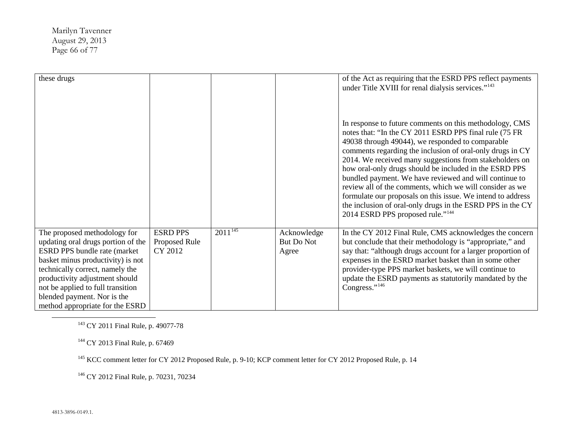<span id="page-65-3"></span><span id="page-65-2"></span><span id="page-65-1"></span><span id="page-65-0"></span>Marilyn Tavenner August 29, 2013 Page 66 of 77

| these drugs                                                                                                                                                                                                                                                                                                         |                                             |              |                                    | of the Act as requiring that the ESRD PPS reflect payments<br>under Title XVIII for renal dialysis services." <sup>143</sup><br>In response to future comments on this methodology, CMS<br>notes that: "In the CY 2011 ESRD PPS final rule (75 FR<br>49038 through 49044), we responded to comparable<br>comments regarding the inclusion of oral-only drugs in CY<br>2014. We received many suggestions from stakeholders on<br>how oral-only drugs should be included in the ESRD PPS<br>bundled payment. We have reviewed and will continue to<br>review all of the comments, which we will consider as we<br>formulate our proposals on this issue. We intend to address<br>the inclusion of oral-only drugs in the ESRD PPS in the CY<br>2014 ESRD PPS proposed rule." <sup>144</sup> |
|---------------------------------------------------------------------------------------------------------------------------------------------------------------------------------------------------------------------------------------------------------------------------------------------------------------------|---------------------------------------------|--------------|------------------------------------|--------------------------------------------------------------------------------------------------------------------------------------------------------------------------------------------------------------------------------------------------------------------------------------------------------------------------------------------------------------------------------------------------------------------------------------------------------------------------------------------------------------------------------------------------------------------------------------------------------------------------------------------------------------------------------------------------------------------------------------------------------------------------------------------|
| The proposed methodology for<br>updating oral drugs portion of the<br>ESRD PPS bundle rate (market<br>basket minus productivity) is not<br>technically correct, namely the<br>productivity adjustment should<br>not be applied to full transition<br>blended payment. Nor is the<br>method appropriate for the ESRD | <b>ESRD PPS</b><br>Proposed Rule<br>CY 2012 | $2011^{145}$ | Acknowledge<br>But Do Not<br>Agree | In the CY 2012 Final Rule, CMS acknowledges the concern<br>but conclude that their methodology is "appropriate," and<br>say that: "although drugs account for a larger proportion of<br>expenses in the ESRD market basket than in some other<br>provider-type PPS market baskets, we will continue to<br>update the ESRD payments as statutorily mandated by the<br>Congress."146                                                                                                                                                                                                                                                                                                                                                                                                         |

<sup>143</sup> CY 2011 Final Rule, p. 49077-78

<sup>144</sup> CY 2013 Final Rule, p. 67469

<sup>145</sup> KCC comment letter for CY 2012 Proposed Rule, p. 9-10; KCP comment letter for CY 2012 Proposed Rule, p. 14

<sup>146</sup> CY 2012 Final Rule, p. 70231, 70234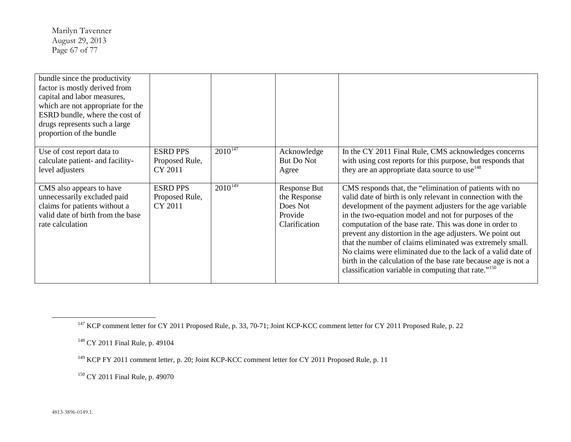<span id="page-66-3"></span><span id="page-66-2"></span><span id="page-66-1"></span><span id="page-66-0"></span>Marilyn Tavenner August 29, 2013 Page 67 of 77

| bundle since the productivity<br>factor is mostly derived from<br>capital and labor measures,<br>which are not appropriate for the<br>ESRD bundle, where the cost of<br>drugs represents such a large<br>proportion of the bundle |                                              |              |                                                                      |                                                                                                                                                                                                                                                                                                                                                                                                                                                                                                                                                                                                                                        |
|-----------------------------------------------------------------------------------------------------------------------------------------------------------------------------------------------------------------------------------|----------------------------------------------|--------------|----------------------------------------------------------------------|----------------------------------------------------------------------------------------------------------------------------------------------------------------------------------------------------------------------------------------------------------------------------------------------------------------------------------------------------------------------------------------------------------------------------------------------------------------------------------------------------------------------------------------------------------------------------------------------------------------------------------------|
| Use of cost report data to<br>calculate patient- and facility-<br>level adjusters                                                                                                                                                 | <b>ESRD PPS</b><br>Proposed Rule,<br>CY 2011 | $2010^{147}$ | Acknowledge<br>But Do Not<br>Agree                                   | In the CY 2011 Final Rule, CMS acknowledges concerns<br>with using cost reports for this purpose, but responds that<br>they are an appropriate data source to use <sup>148</sup>                                                                                                                                                                                                                                                                                                                                                                                                                                                       |
| CMS also appears to have<br>unnecessarily excluded paid<br>claims for patients without a<br>valid date of birth from the base<br>rate calculation                                                                                 | <b>ESRD PPS</b><br>Proposed Rule,<br>CY 2011 | $2010^{149}$ | Response But<br>the Response<br>Does Not<br>Provide<br>Clarification | CMS responds that, the "elimination of patients with no<br>valid date of birth is only relevant in connection with the<br>development of the payment adjusters for the age variable<br>in the two-equation model and not for purposes of the<br>computation of the base rate. This was done in order to<br>prevent any distortion in the age adjusters. We point out<br>that the number of claims eliminated was extremely small.<br>No claims were eliminated due to the lack of a valid date of<br>birth in the calculation of the base rate because age is not a<br>classification variable in computing that rate." <sup>150</sup> |

<sup>150</sup> CY 2011 Final Rule, p. 49070

<sup>&</sup>lt;sup>147</sup> KCP comment letter for CY 2011 Proposed Rule, p. 33, 70-71; Joint KCP-KCC comment letter for CY 2011 Proposed Rule, p. 22

<sup>148</sup> CY 2011 Final Rule, p. 49104

<sup>&</sup>lt;sup>149</sup> KCP FY 2011 comment letter, p. 20; Joint KCP-KCC comment letter for CY 2011 Proposed Rule, p. 11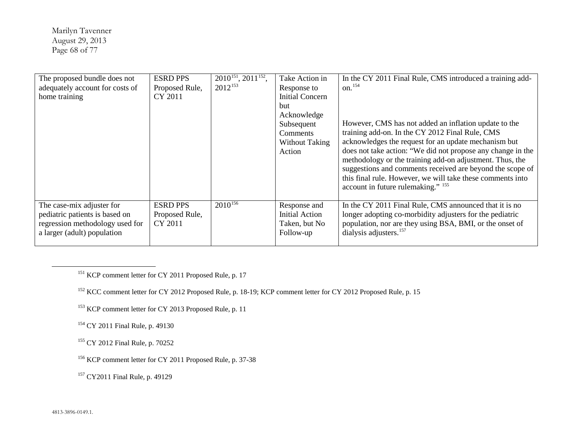<span id="page-67-6"></span><span id="page-67-5"></span><span id="page-67-4"></span><span id="page-67-3"></span><span id="page-67-2"></span><span id="page-67-1"></span><span id="page-67-0"></span>Marilyn Tavenner August 29, 2013 Page 68 of 77

| The proposed bundle does not    | <b>ESRD PPS</b> | $2010^{151}$ , $2011^{152}$ , | Take Action in        | In the CY 2011 Final Rule, CMS introduced a training add-   |
|---------------------------------|-----------------|-------------------------------|-----------------------|-------------------------------------------------------------|
| adequately account for costs of | Proposed Rule,  | $2012^{153}$                  | Response to           | $\mathrm{on.}^{154}$                                        |
| home training                   | CY 2011         |                               | Initial Concern       |                                                             |
|                                 |                 |                               | but                   |                                                             |
|                                 |                 |                               | Acknowledge           |                                                             |
|                                 |                 |                               | Subsequent            | However, CMS has not added an inflation update to the       |
|                                 |                 |                               | Comments              | training add-on. In the CY 2012 Final Rule, CMS             |
|                                 |                 |                               | <b>Without Taking</b> | acknowledges the request for an update mechanism but        |
|                                 |                 |                               | Action                | does not take action: "We did not propose any change in the |
|                                 |                 |                               |                       | methodology or the training add-on adjustment. Thus, the    |
|                                 |                 |                               |                       | suggestions and comments received are beyond the scope of   |
|                                 |                 |                               |                       | this final rule. However, we will take these comments into  |
|                                 |                 |                               |                       | account in future rulemaking." <sup>155</sup>               |
|                                 |                 |                               |                       |                                                             |
| The case-mix adjuster for       | <b>ESRD PPS</b> | $2010^{156}$                  | Response and          | In the CY 2011 Final Rule, CMS announced that it is no      |
| pediatric patients is based on  | Proposed Rule,  |                               | Initial Action        | longer adopting co-morbidity adjusters for the pediatric    |
| regression methodology used for | CY 2011         |                               | Taken, but No         | population, nor are they using BSA, BMI, or the onset of    |
| a larger (adult) population     |                 |                               | Follow-up             | dialysis adjusters. <sup>157</sup>                          |
|                                 |                 |                               |                       |                                                             |

<sup>151</sup> KCP comment letter for CY 2011 Proposed Rule, p. 17

<sup>152</sup> KCC comment letter for CY 2012 Proposed Rule, p. 18-19; KCP comment letter for CY 2012 Proposed Rule, p. 15

<sup>153</sup> KCP comment letter for CY 2013 Proposed Rule, p. 11

<sup>154</sup> CY 2011 Final Rule, p. 49130

<sup>155</sup> CY 2012 Final Rule, p. 70252

<sup>156</sup> KCP comment letter for CY 2011 Proposed Rule, p. 37-38

<sup>157</sup> CY2011 Final Rule, p. 49129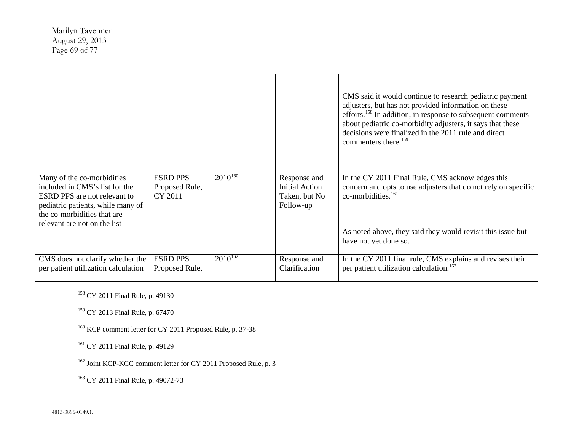<span id="page-68-5"></span><span id="page-68-4"></span><span id="page-68-3"></span><span id="page-68-2"></span><span id="page-68-1"></span><span id="page-68-0"></span>Marilyn Tavenner August 29, 2013 Page 69 of 77

|                                                                                                                                                                                                  |                                              |              |                                                              | CMS said it would continue to research pediatric payment<br>adjusters, but has not provided information on these<br>efforts. <sup>158</sup> In addition, in response to subsequent comments<br>about pediatric co-morbidity adjusters, it says that these<br>decisions were finalized in the 2011 rule and direct<br>commenters there. <sup>159</sup> |
|--------------------------------------------------------------------------------------------------------------------------------------------------------------------------------------------------|----------------------------------------------|--------------|--------------------------------------------------------------|-------------------------------------------------------------------------------------------------------------------------------------------------------------------------------------------------------------------------------------------------------------------------------------------------------------------------------------------------------|
| Many of the co-morbidities<br>included in CMS's list for the<br>ESRD PPS are not relevant to<br>pediatric patients, while many of<br>the co-morbidities that are<br>relevant are not on the list | <b>ESRD PPS</b><br>Proposed Rule,<br>CY 2011 | $2010^{160}$ | Response and<br>Initial Action<br>Taken, but No<br>Follow-up | In the CY 2011 Final Rule, CMS acknowledges this<br>concern and opts to use adjusters that do not rely on specific<br>co-morbidities. <sup>161</sup><br>As noted above, they said they would revisit this issue but<br>have not yet done so.                                                                                                          |
| CMS does not clarify whether the<br>per patient utilization calculation                                                                                                                          | <b>ESRD PPS</b><br>Proposed Rule,            | $2010^{162}$ | Response and<br>Clarification                                | In the CY 2011 final rule, CMS explains and revises their<br>per patient utilization calculation. <sup>163</sup>                                                                                                                                                                                                                                      |

<sup>158</sup> CY 2011 Final Rule, p. 49130

<sup>159</sup> CY 2013 Final Rule, p. 67470

<sup>160</sup> KCP comment letter for CY 2011 Proposed Rule, p. 37-38

<sup>161</sup> CY 2011 Final Rule, p. 49129

<sup>162</sup> Joint KCP-KCC comment letter for CY 2011 Proposed Rule, p. 3

<sup>163</sup> CY 2011 Final Rule, p. 49072-73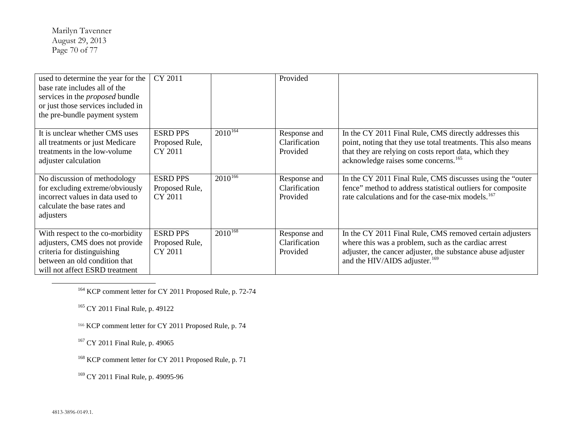<span id="page-69-5"></span><span id="page-69-4"></span><span id="page-69-3"></span><span id="page-69-2"></span><span id="page-69-1"></span><span id="page-69-0"></span>Marilyn Tavenner August 29, 2013 Page 70 of 77

| used to determine the year for the<br>base rate includes all of the<br>services in the <i>proposed</i> bundle<br>or just those services included in<br>the pre-bundle payment system | CY 2011                                      |              | Provided                                  |                                                                                                                                                                                                                                       |
|--------------------------------------------------------------------------------------------------------------------------------------------------------------------------------------|----------------------------------------------|--------------|-------------------------------------------|---------------------------------------------------------------------------------------------------------------------------------------------------------------------------------------------------------------------------------------|
| It is unclear whether CMS uses<br>all treatments or just Medicare<br>treatments in the low-volume<br>adjuster calculation                                                            | <b>ESRD PPS</b><br>Proposed Rule,<br>CY 2011 | $2010^{164}$ | Response and<br>Clarification<br>Provided | In the CY 2011 Final Rule, CMS directly addresses this<br>point, noting that they use total treatments. This also means<br>that they are relying on costs report data, which they<br>acknowledge raises some concerns. <sup>165</sup> |
| No discussion of methodology<br>for excluding extreme/obviously<br>incorrect values in data used to<br>calculate the base rates and<br>adjusters                                     | <b>ESRD PPS</b><br>Proposed Rule,<br>CY 2011 | $2010^{166}$ | Response and<br>Clarification<br>Provided | In the CY 2011 Final Rule, CMS discusses using the "outer"<br>fence" method to address statistical outliers for composite<br>rate calculations and for the case-mix models. <sup>167</sup>                                            |
| With respect to the co-morbidity<br>adjusters, CMS does not provide<br>criteria for distinguishing<br>between an old condition that<br>will not affect ESRD treatment                | <b>ESRD PPS</b><br>Proposed Rule,<br>CY 2011 | $2010^{168}$ | Response and<br>Clarification<br>Provided | In the CY 2011 Final Rule, CMS removed certain adjusters<br>where this was a problem, such as the cardiac arrest<br>adjuster, the cancer adjuster, the substance abuse adjuster<br>and the HIV/AIDS adjuster. <sup>169</sup>          |

<sup>164</sup> KCP comment letter for CY 2011 Proposed Rule, p. 72-74

<sup>165</sup> CY 2011 Final Rule, p. 49122

<sup>166</sup> KCP comment letter for CY 2011 Proposed Rule, p. 74

<sup>167</sup> CY 2011 Final Rule, p. 49065

<sup>168</sup> KCP comment letter for CY 2011 Proposed Rule, p. 71

<sup>169</sup> CY 2011 Final Rule, p. 49095-96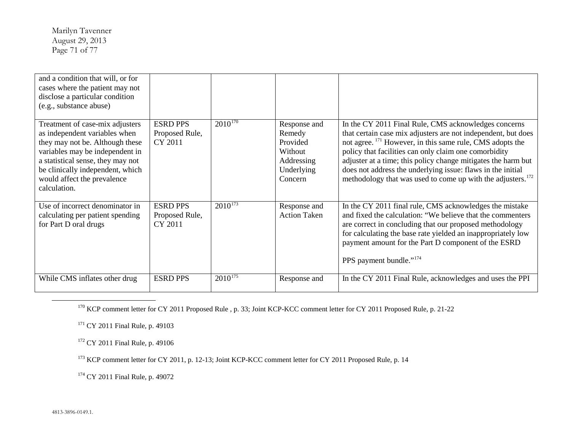<span id="page-70-5"></span><span id="page-70-4"></span><span id="page-70-3"></span><span id="page-70-2"></span><span id="page-70-1"></span><span id="page-70-0"></span>Marilyn Tavenner August 29, 2013 Page 71 of 77

| and a condition that will, or for<br>cases where the patient may not<br>disclose a particular condition<br>(e.g., substance abuse)                                                                                                                             |                                              |                         |                                                                                      |                                                                                                                                                                                                                                                                                                                                                                                                                                                                   |
|----------------------------------------------------------------------------------------------------------------------------------------------------------------------------------------------------------------------------------------------------------------|----------------------------------------------|-------------------------|--------------------------------------------------------------------------------------|-------------------------------------------------------------------------------------------------------------------------------------------------------------------------------------------------------------------------------------------------------------------------------------------------------------------------------------------------------------------------------------------------------------------------------------------------------------------|
| Treatment of case-mix adjusters<br>as independent variables when<br>they may not be. Although these<br>variables may be independent in<br>a statistical sense, they may not<br>be clinically independent, which<br>would affect the prevalence<br>calculation. | <b>ESRD PPS</b><br>Proposed Rule,<br>CY 2011 | $201\overline{0^{170}}$ | Response and<br>Remedy<br>Provided<br>Without<br>Addressing<br>Underlying<br>Concern | In the CY 2011 Final Rule, CMS acknowledges concerns<br>that certain case mix adjusters are not independent, but does<br>not agree. <sup>171</sup> However, in this same rule, CMS adopts the<br>policy that facilities can only claim one comorbidity<br>adjuster at a time; this policy change mitigates the harm but<br>does not address the underlying issue: flaws in the initial<br>methodology that was used to come up with the adjusters. <sup>172</sup> |
| Use of incorrect denominator in<br>calculating per patient spending<br>for Part D oral drugs                                                                                                                                                                   | <b>ESRD PPS</b><br>Proposed Rule,<br>CY 2011 | $2010^{173}$            | Response and<br><b>Action Taken</b>                                                  | In the CY 2011 final rule, CMS acknowledges the mistake<br>and fixed the calculation: "We believe that the commenters<br>are correct in concluding that our proposed methodology<br>for calculating the base rate yielded an inappropriately low<br>payment amount for the Part D component of the ESRD<br>PPS payment bundle." <sup>174</sup>                                                                                                                    |
| While CMS inflates other drug                                                                                                                                                                                                                                  | <b>ESRD PPS</b>                              | $2010^{175}$            | Response and                                                                         | In the CY 2011 Final Rule, acknowledges and uses the PPI                                                                                                                                                                                                                                                                                                                                                                                                          |

<sup>170</sup> KCP comment letter for CY 2011 Proposed Rule, p. 33; Joint KCP-KCC comment letter for CY 2011 Proposed Rule, p. 21-22

<sup>171</sup> CY 2011 Final Rule, p. 49103

<sup>172</sup> CY 2011 Final Rule, p. 49106

<sup>173</sup> KCP comment letter for CY 2011, p. 12-13; Joint KCP-KCC comment letter for CY 2011 Proposed Rule, p. 14

<sup>174</sup> CY 2011 Final Rule, p. 49072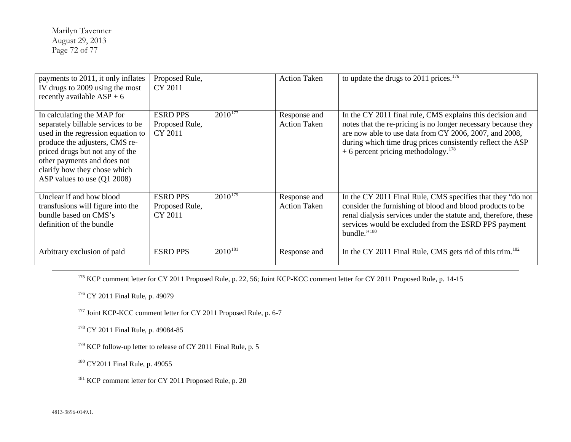<span id="page-71-6"></span><span id="page-71-5"></span><span id="page-71-4"></span><span id="page-71-3"></span><span id="page-71-2"></span><span id="page-71-1"></span><span id="page-71-0"></span>Marilyn Tavenner August 29, 2013 Page 72 of 77

| payments to 2011, it only inflates<br>IV drugs to 2009 using the most<br>recently available $ASP + 6$                                                                                                                                                                     | Proposed Rule,<br>CY 2011                    |              | <b>Action Taken</b>                 | to update the drugs to 2011 prices. $176$                                                                                                                                                                                                                                                             |
|---------------------------------------------------------------------------------------------------------------------------------------------------------------------------------------------------------------------------------------------------------------------------|----------------------------------------------|--------------|-------------------------------------|-------------------------------------------------------------------------------------------------------------------------------------------------------------------------------------------------------------------------------------------------------------------------------------------------------|
| In calculating the MAP for<br>separately billable services to be<br>used in the regression equation to<br>produce the adjusters, CMS re-<br>priced drugs but not any of the<br>other payments and does not<br>clarify how they chose which<br>ASP values to use (Q1 2008) | <b>ESRD PPS</b><br>Proposed Rule,<br>CY 2011 | $2010^{177}$ | Response and<br><b>Action Taken</b> | In the CY 2011 final rule, CMS explains this decision and<br>notes that the re-pricing is no longer necessary because they<br>are now able to use data from CY 2006, 2007, and 2008,<br>during which time drug prices consistently reflect the ASP<br>+ 6 percent pricing methodology. <sup>178</sup> |
| Unclear if and how blood<br>transfusions will figure into the<br>bundle based on CMS's<br>definition of the bundle                                                                                                                                                        | <b>ESRD PPS</b><br>Proposed Rule,<br>CY 2011 | $2010^{179}$ | Response and<br><b>Action Taken</b> | In the CY 2011 Final Rule, CMS specifies that they "do not<br>consider the furnishing of blood and blood products to be<br>renal dialysis services under the statute and, therefore, these<br>services would be excluded from the ESRD PPS payment<br>bundle." $^{180}$                               |
| Arbitrary exclusion of paid                                                                                                                                                                                                                                               | <b>ESRD PPS</b>                              | $2010^{181}$ | Response and                        | In the CY 2011 Final Rule, CMS gets rid of this trim. <sup>182</sup>                                                                                                                                                                                                                                  |

<sup>175</sup> KCP comment letter for CY 2011 Proposed Rule, p. 22, 56; Joint KCP-KCC comment letter for CY 2011 Proposed Rule, p. 14-15

<sup>176</sup> CY 2011 Final Rule, p. 49079

<sup>177</sup> Joint KCP-KCC comment letter for CY 2011 Proposed Rule, p. 6-7

<sup>178</sup> CY 2011 Final Rule, p. 49084-85

<sup>179</sup> KCP follow-up letter to release of CY 2011 Final Rule, p. 5

<sup>180</sup> CY2011 Final Rule, p. 49055

<sup>181</sup> KCP comment letter for CY 2011 Proposed Rule, p. 20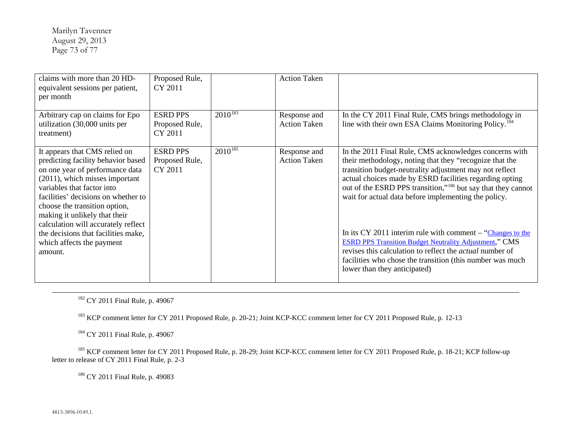<span id="page-72-3"></span><span id="page-72-2"></span><span id="page-72-1"></span><span id="page-72-0"></span>Marilyn Tavenner August 29, 2013 Page 73 of 77

| claims with more than 20 HD-<br>equivalent sessions per patient,<br>per month                                                                                                                                                                                                                                                                                                                         | Proposed Rule,<br>CY 2011                    |              | <b>Action Taken</b>                 |                                                                                                                                                                                                                                                                                                                                                                                                                                                                                                                                                                                                                                                                              |
|-------------------------------------------------------------------------------------------------------------------------------------------------------------------------------------------------------------------------------------------------------------------------------------------------------------------------------------------------------------------------------------------------------|----------------------------------------------|--------------|-------------------------------------|------------------------------------------------------------------------------------------------------------------------------------------------------------------------------------------------------------------------------------------------------------------------------------------------------------------------------------------------------------------------------------------------------------------------------------------------------------------------------------------------------------------------------------------------------------------------------------------------------------------------------------------------------------------------------|
| Arbitrary cap on claims for Epo<br>utilization (30,000 units per<br>treatment)                                                                                                                                                                                                                                                                                                                        | <b>ESRD PPS</b><br>Proposed Rule,<br>CY 2011 | $2010^{183}$ | Response and<br><b>Action Taken</b> | In the CY 2011 Final Rule, CMS brings methodology in<br>line with their own ESA Claims Monitoring Policy. <sup>184</sup>                                                                                                                                                                                                                                                                                                                                                                                                                                                                                                                                                     |
| It appears that CMS relied on<br>predicting facility behavior based<br>on one year of performance data<br>(2011), which misses important<br>variables that factor into<br>facilities' decisions on whether to<br>choose the transition option,<br>making it unlikely that their<br>calculation will accurately reflect<br>the decisions that facilities make,<br>which affects the payment<br>amount. | <b>ESRD PPS</b><br>Proposed Rule,<br>CY 2011 | $2010^{185}$ | Response and<br><b>Action Taken</b> | In the 2011 Final Rule, CMS acknowledges concerns with<br>their methodology, noting that they "recognize that the<br>transition budget-neutrality adjustment may not reflect<br>actual choices made by ESRD facilities regarding opting<br>out of the ESRD PPS transition," <sup>186</sup> but say that they cannot<br>wait for actual data before implementing the policy.<br>In its CY 2011 interim rule with comment $-$ "Changes to the<br><b>ESRD PPS Transition Budget Neutrality Adjustment," CMS</b><br>revises this calculation to reflect the <i>actual</i> number of<br>facilities who chose the transition (this number was much<br>lower than they anticipated) |

<sup>182</sup> CY 2011 Final Rule, p. 49067

<sup>183</sup> KCP comment letter for CY 2011 Proposed Rule, p. 20-21; Joint KCP-KCC comment letter for CY 2011 Proposed Rule, p. 12-13

<sup>184</sup> CY 2011 Final Rule, p. 49067

<sup>185</sup> KCP comment letter for CY 2011 Proposed Rule, p. 28-29; Joint KCP-KCC comment letter for CY 2011 Proposed Rule, p. 18-21; KCP follow-up letter to release of CY 2011 Final Rule, p. 2-3

<sup>186</sup> CY 2011 Final Rule, p. 49083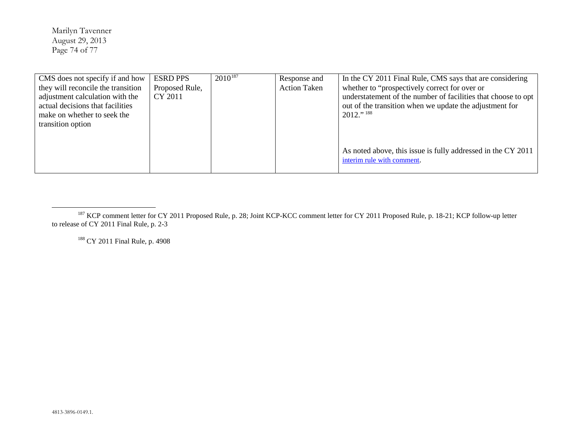<span id="page-73-1"></span><span id="page-73-0"></span>Marilyn Tavenner August 29, 2013 Page 74 of 77

| CMS does not specify if and how    | <b>ESRD PPS</b> | $2010^{187}$ | Response and        | In the CY 2011 Final Rule, CMS says that are considering      |
|------------------------------------|-----------------|--------------|---------------------|---------------------------------------------------------------|
| they will reconcile the transition | Proposed Rule,  |              | <b>Action Taken</b> | whether to "prospectively correct for over or                 |
| adjustment calculation with the    | CY 2011         |              |                     | understatement of the number of facilities that choose to opt |
| actual decisions that facilities   |                 |              |                     | out of the transition when we update the adjustment for       |
| make on whether to seek the        |                 |              |                     | $2012$ ." 188                                                 |
| transition option                  |                 |              |                     |                                                               |
|                                    |                 |              |                     |                                                               |
|                                    |                 |              |                     |                                                               |
|                                    |                 |              |                     | As noted above, this issue is fully addressed in the CY 2011  |
|                                    |                 |              |                     | interim rule with comment.                                    |
|                                    |                 |              |                     |                                                               |

<sup>188</sup> CY 2011 Final Rule, p. 4908

<sup>&</sup>lt;sup>187</sup> KCP comment letter for CY 2011 Proposed Rule, p. 28; Joint KCP-KCC comment letter for CY 2011 Proposed Rule, p. 18-21; KCP follow-up letter to release of CY 2011 Final Rule, p. 2-3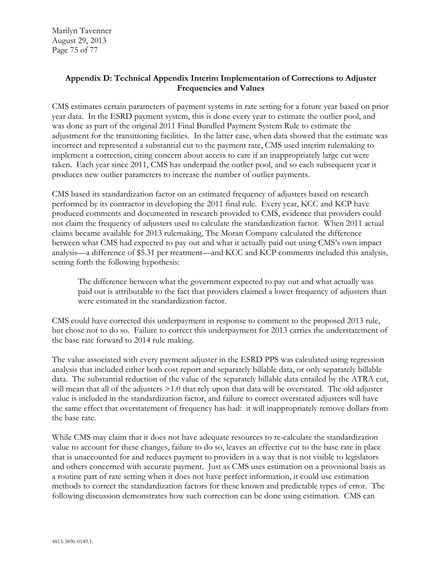Marilyn Tavenner August 29, 2013 Page 75 of 77

## **Appendix D: Technical Appendix Interim Implementation of Corrections to Adjuster Frequencies and Values**

CMS estimates certain parameters of payment systems in rate setting for a future year based on prior year data. In the ESRD payment system, this is done every year to estimate the outlier pool, and was done as part of the original 2011 Final Bundled Payment System Rule to estimate the adjustment for the transitioning facilities. In the latter case, when data showed that the estimate was incorrect and represented a substantial cut to the payment rate, CMS used interim rulemaking to implement a correction, citing concern about access to care if an inappropriately large cut were taken. Each year since 2011, CMS has underpaid the outlier pool, and so each subsequent year it produces new outlier parameters to increase the number of outlier payments.

CMS based its standardization factor on an estimated frequency of adjusters based on research performed by its contractor in developing the 2011 final rule. Every year, KCC and KCP have produced comments and documented in research provided to CMS, evidence that providers could not claim the frequency of adjusters used to calculate the standardization factor. When 2011 actual claims became available for 2013 rulemaking, The Moran Company calculated the difference between what CMS had expected to pay out and what it actually paid out using CMS's own impact analysis—a difference of \$5.31 per treatment—and KCC and KCP comments included this analysis, setting forth the following hypothesis:

The difference between what the government expected to pay out and what actually was paid out is attributable to the fact that providers claimed a lower frequency of adjusters than were estimated in the standardization factor.

CMS could have corrected this underpayment in response to comment to the proposed 2013 rule, but chose not to do so. Failure to correct this underpayment for 2013 carries the understatement of the base rate forward to 2014 rule making.

The value associated with every payment adjuster in the ESRD PPS was calculated using regression analysis that included either both cost report and separately billable data, or only separately billable data. The substantial reduction of the value of the separately billable data entailed by the ATRA cut, will mean that all of the adjusters  $>1.0$  that rely upon that data will be overstated. The old adjuster value is included in the standardization factor, and failure to correct overstated adjusters will have the same effect that overstatement of frequency has had: it will inappropriately remove dollars from the base rate.

While CMS may claim that it does not have adequate resources to re-calculate the standardization value to account for these changes, failure to do so, leaves an effective cut to the base rate in place that is unaccounted for and reduces payment to providers in a way that is not visible to legislators and others concerned with accurate payment. Just as CMS uses estimation on a provisional basis as a routine part of rate setting when it does not have perfect information, it could use estimation methods to correct the standardization factors for these known and predictable types of error. The following discussion demonstrates how such correction can be done using estimation. CMS can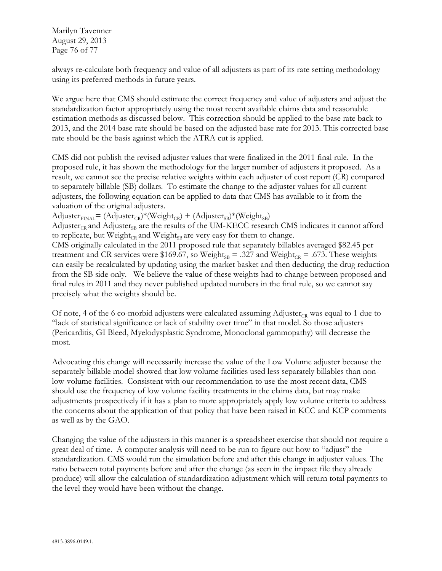Marilyn Tavenner August 29, 2013 Page 76 of 77

always re-calculate both frequency and value of all adjusters as part of its rate setting methodology using its preferred methods in future years.

We argue here that CMS should estimate the correct frequency and value of adjusters and adjust the standardization factor appropriately using the most recent available claims data and reasonable estimation methods as discussed below. This correction should be applied to the base rate back to 2013, and the 2014 base rate should be based on the adjusted base rate for 2013. This corrected base rate should be the basis against which the ATRA cut is applied.

CMS did not publish the revised adjuster values that were finalized in the 2011 final rule. In the proposed rule, it has shown the methodology for the larger number of adjusters it proposed. As a result, we cannot see the precise relative weights within each adjuster of cost report (CR) compared to separately billable (SB) dollars. To estimate the change to the adjuster values for all current adjusters, the following equation can be applied to data that CMS has available to it from the valuation of the original adjusters.

 $\text{Adjuster}_{\text{FINAL}} = (\text{Adjuster}_{\text{CR}})^*(\text{Weight}_{\text{CR}}) + (\text{Adjuster}_{\text{SB}})^*(\text{Weight}_{\text{SB}})$ 

Adjuster<sub>CR</sub> and Adjuster<sub>SB</sub> are the results of the UM-KECC research CMS indicates it cannot afford to replicate, but  $Weight_{CR}$  and  $Weight_{SB}$  are very easy for them to change.

CMS originally calculated in the 2011 proposed rule that separately billables averaged \$82.45 per treatment and CR services were \$169.67, so Weight<sub>SB</sub> = .327 and Weight<sub>CR</sub> = .673. These weights can easily be recalculated by updating using the market basket and then deducting the drug reduction from the SB side only. We believe the value of these weights had to change between proposed and final rules in 2011 and they never published updated numbers in the final rule, so we cannot say precisely what the weights should be.

Of note, 4 of the 6 co-morbid adjusters were calculated assuming Adjuster<sub>CR</sub> was equal to 1 due to "lack of statistical significance or lack of stability over time" in that model. So those adjusters (Pericarditis, GI Bleed, Myelodysplastic Syndrome, Monoclonal gammopathy) will decrease the most.

Advocating this change will necessarily increase the value of the Low Volume adjuster because the separately billable model showed that low volume facilities used less separately billables than nonlow-volume facilities. Consistent with our recommendation to use the most recent data, CMS should use the frequency of low volume facility treatments in the claims data, but may make adjustments prospectively if it has a plan to more appropriately apply low volume criteria to address the concerns about the application of that policy that have been raised in KCC and KCP comments as well as by the GAO.

Changing the value of the adjusters in this manner is a spreadsheet exercise that should not require a great deal of time. A computer analysis will need to be run to figure out how to "adjust" the standardization. CMS would run the simulation before and after this change in adjuster values. The ratio between total payments before and after the change (as seen in the impact file they already produce) will allow the calculation of standardization adjustment which will return total payments to the level they would have been without the change.